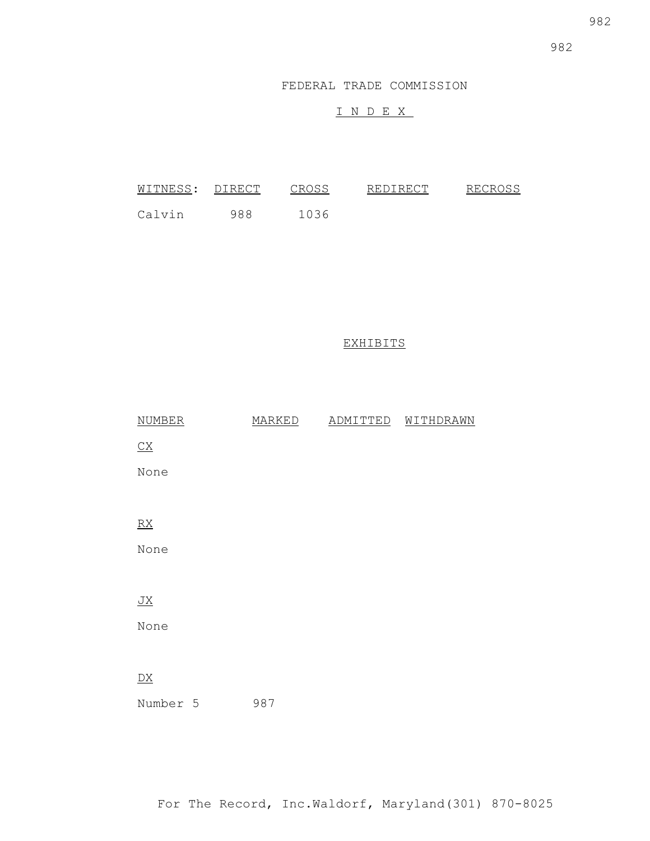982

FEDERAL TRADE COMMISSION

# I N D E X

| WITNESS: | DIRECT | しやいとく | REDIRECT | RECROSS |
|----------|--------|-------|----------|---------|
| Calvin   | 988    | 1036  |          |         |

## EXHIBITS

| <b>NUMBER</b>           | MARKED | ADMITTED | WITHDRAWN |
|-------------------------|--------|----------|-----------|
| $\underline{CX}$        |        |          |           |
| None                    |        |          |           |
|                         |        |          |           |
| $\underline{RX}$        |        |          |           |
| None                    |        |          |           |
|                         |        |          |           |
| $\underline{\text{JX}}$ |        |          |           |
| None                    |        |          |           |
|                         |        |          |           |
| $\underline{DX}$        |        |          |           |
| Number 5                | 987    |          |           |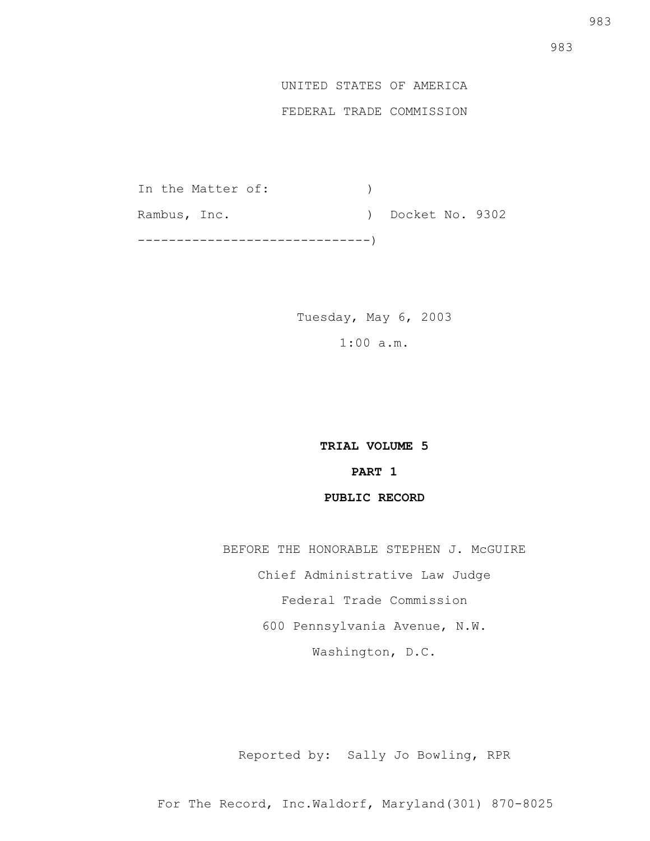## FEDERAL TRADE COMMISSION

In the Matter of:  $)$ Rambus, Inc. (a) Docket No. 9302 ------------------------------)

> Tuesday, May 6, 2003 1:00 a.m.

> > **TRIAL VOLUME 5 PART 1 PUBLIC RECORD**

BEFORE THE HONORABLE STEPHEN J. McGUIRE

Chief Administrative Law Judge

Federal Trade Commission

600 Pennsylvania Avenue, N.W.

Washington, D.C.

Reported by: Sally Jo Bowling, RPR

For The Record, Inc.Waldorf, Maryland(301) 870-8025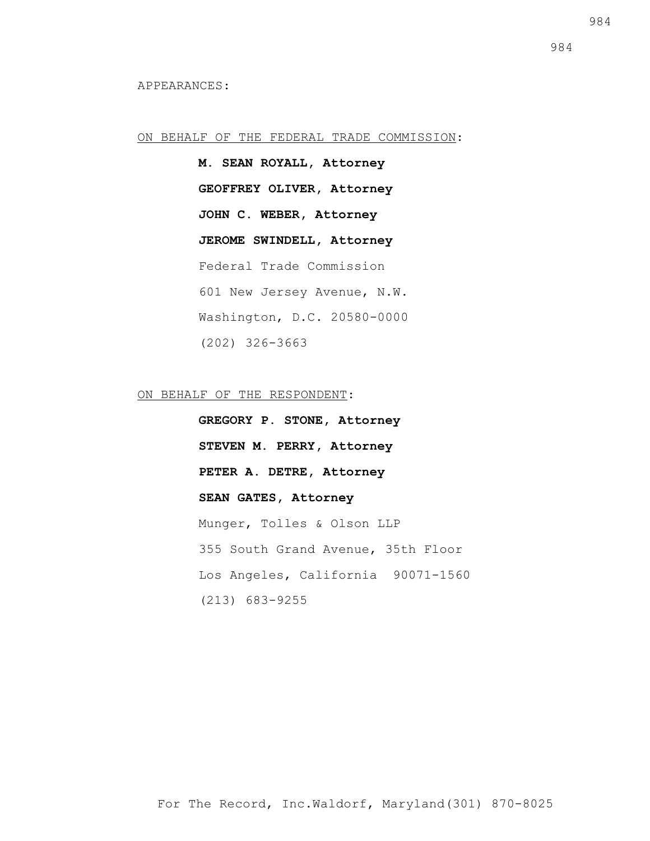### ON BEHALF OF THE FEDERAL TRADE COMMISSION:

**M. SEAN ROYALL, Attorney GEOFFREY OLIVER, Attorney JOHN C. WEBER, Attorney JEROME SWINDELL, Attorney** Federal Trade Commission 601 New Jersey Avenue, N.W. Washington, D.C. 20580-0000 (202) 326-3663

ON BEHALF OF THE RESPONDENT:

**GREGORY P. STONE, Attorney STEVEN M. PERRY, Attorney PETER A. DETRE, Attorney SEAN GATES, Attorney** Munger, Tolles & Olson LLP 355 South Grand Avenue, 35th Floor Los Angeles, California 90071-1560 (213) 683-9255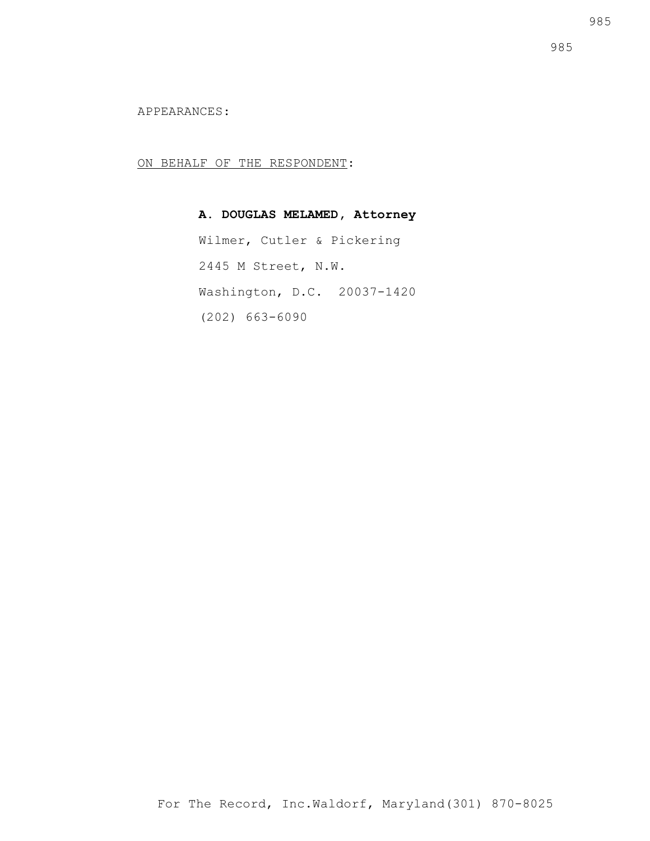APPEARANCES:

ON BEHALF OF THE RESPONDENT:

# **A. DOUGLAS MELAMED, Attorney**

Wilmer, Cutler & Pickering 2445 M Street, N.W. Washington, D.C. 20037-1420 (202) 663-6090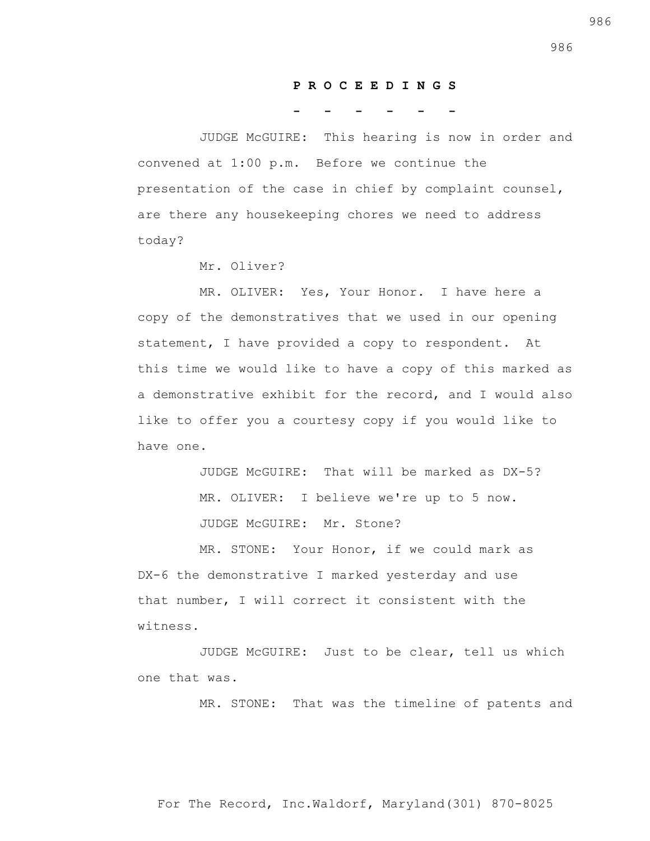#### **P R O C E E D I N G S**

**- - - - - -**

 JUDGE McGUIRE: This hearing is now in order and convened at 1:00 p.m. Before we continue the presentation of the case in chief by complaint counsel, are there any housekeeping chores we need to address today?

Mr. Oliver?

 MR. OLIVER: Yes, Your Honor. I have here a copy of the demonstratives that we used in our opening statement, I have provided a copy to respondent. At this time we would like to have a copy of this marked as a demonstrative exhibit for the record, and I would also like to offer you a courtesy copy if you would like to have one.

> JUDGE McGUIRE: That will be marked as DX-5? MR. OLIVER: I believe we're up to 5 now. JUDGE McGUIRE: Mr. Stone?

 MR. STONE: Your Honor, if we could mark as DX-6 the demonstrative I marked yesterday and use that number, I will correct it consistent with the witness.

 JUDGE McGUIRE: Just to be clear, tell us which one that was.

MR. STONE: That was the timeline of patents and

For The Record, Inc.Waldorf, Maryland(301) 870-8025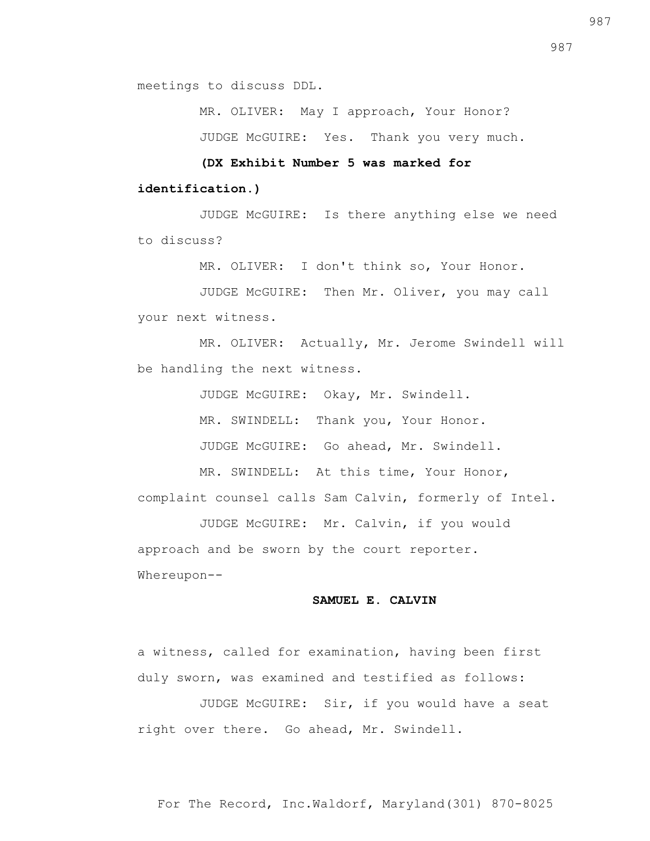meetings to discuss DDL.

MR. OLIVER: May I approach, Your Honor?

JUDGE McGUIRE: Yes. Thank you very much.

 **(DX Exhibit Number 5 was marked for** 

### **identification.)**

 JUDGE McGUIRE: Is there anything else we need to discuss?

MR. OLIVER: I don't think so, Your Honor.

 JUDGE McGUIRE: Then Mr. Oliver, you may call your next witness.

 MR. OLIVER: Actually, Mr. Jerome Swindell will be handling the next witness.

JUDGE McGUIRE: Okay, Mr. Swindell.

MR. SWINDELL: Thank you, Your Honor.

JUDGE McGUIRE: Go ahead, Mr. Swindell.

 MR. SWINDELL: At this time, Your Honor, complaint counsel calls Sam Calvin, formerly of Intel.

 JUDGE McGUIRE: Mr. Calvin, if you would approach and be sworn by the court reporter. Whereupon--

### **SAMUEL E. CALVIN**

a witness, called for examination, having been first duly sworn, was examined and testified as follows:

 JUDGE McGUIRE: Sir, if you would have a seat right over there. Go ahead, Mr. Swindell.

987

For The Record, Inc.Waldorf, Maryland(301) 870-8025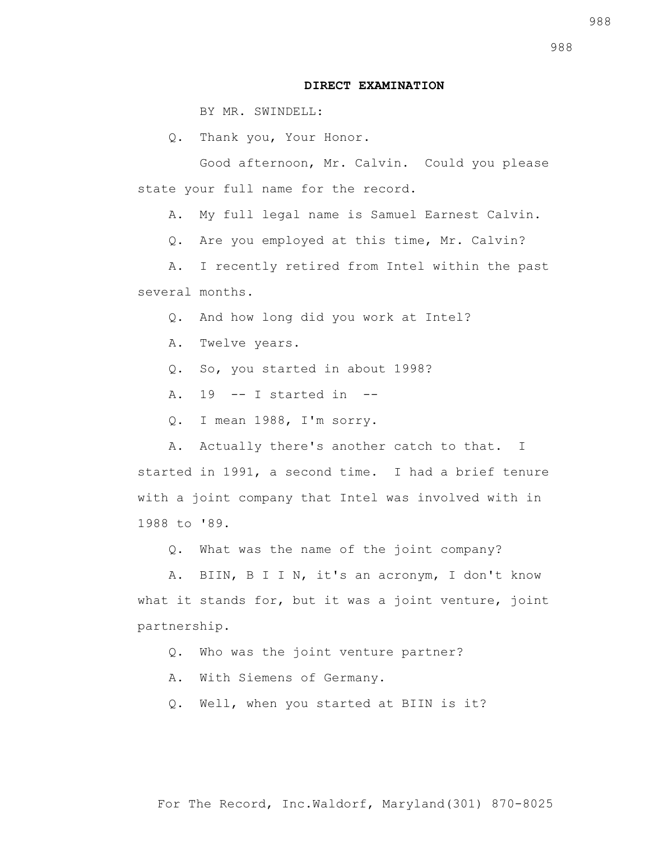### **DIRECT EXAMINATION**

BY MR. SWINDELL:

Q. Thank you, Your Honor.

 Good afternoon, Mr. Calvin. Could you please state your full name for the record.

A. My full legal name is Samuel Earnest Calvin.

Q. Are you employed at this time, Mr. Calvin?

 A. I recently retired from Intel within the past several months.

Q. And how long did you work at Intel?

A. Twelve years.

Q. So, you started in about 1998?

A.  $19$  -- I started in --

Q. I mean 1988, I'm sorry.

 A. Actually there's another catch to that. I started in 1991, a second time. I had a brief tenure with a joint company that Intel was involved with in 1988 to '89.

Q. What was the name of the joint company?

 A. BIIN, B I I N, it's an acronym, I don't know what it stands for, but it was a joint venture, joint partnership.

Q. Who was the joint venture partner?

A. With Siemens of Germany.

Q. Well, when you started at BIIN is it?

988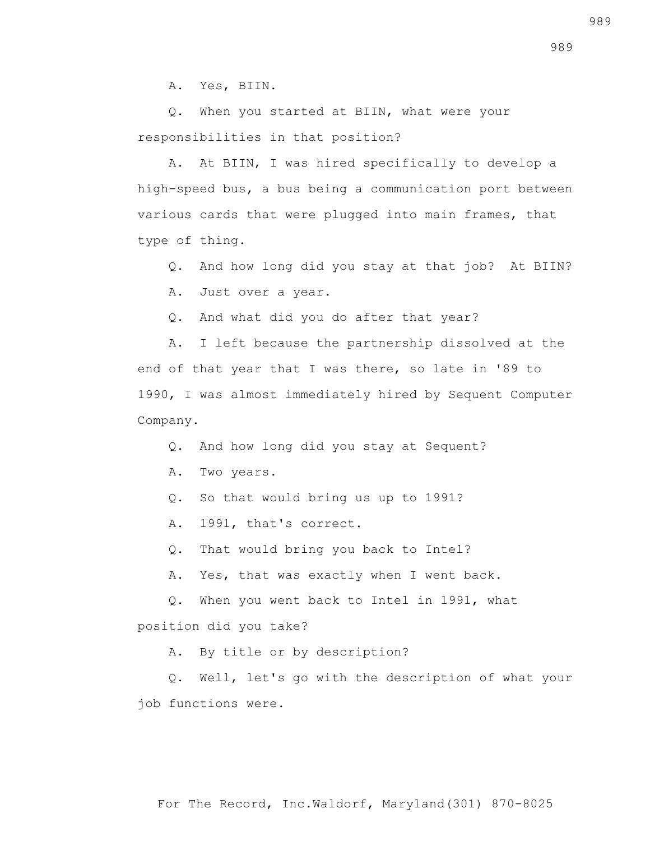A. Yes, BIIN.

 Q. When you started at BIIN, what were your responsibilities in that position?

 A. At BIIN, I was hired specifically to develop a high-speed bus, a bus being a communication port between various cards that were plugged into main frames, that type of thing.

Q. And how long did you stay at that job? At BIIN?

A. Just over a year.

Q. And what did you do after that year?

 A. I left because the partnership dissolved at the end of that year that I was there, so late in '89 to 1990, I was almost immediately hired by Sequent Computer Company.

Q. And how long did you stay at Sequent?

A. Two years.

Q. So that would bring us up to 1991?

A. 1991, that's correct.

Q. That would bring you back to Intel?

A. Yes, that was exactly when I went back.

 Q. When you went back to Intel in 1991, what position did you take?

A. By title or by description?

 Q. Well, let's go with the description of what your job functions were.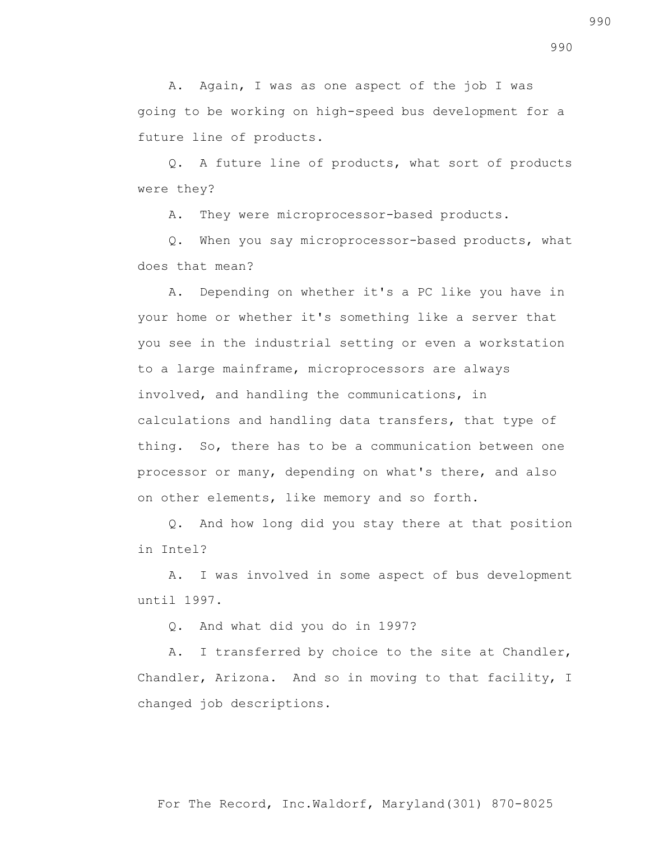A. Again, I was as one aspect of the job I was going to be working on high-speed bus development for a future line of products.

 Q. A future line of products, what sort of products were they?

A. They were microprocessor-based products.

 Q. When you say microprocessor-based products, what does that mean?

 A. Depending on whether it's a PC like you have in your home or whether it's something like a server that you see in the industrial setting or even a workstation to a large mainframe, microprocessors are always involved, and handling the communications, in calculations and handling data transfers, that type of thing. So, there has to be a communication between one processor or many, depending on what's there, and also on other elements, like memory and so forth.

 Q. And how long did you stay there at that position in Intel?

 A. I was involved in some aspect of bus development until 1997.

Q. And what did you do in 1997?

 A. I transferred by choice to the site at Chandler, Chandler, Arizona. And so in moving to that facility, I changed job descriptions.

990

990

For The Record, Inc.Waldorf, Maryland(301) 870-8025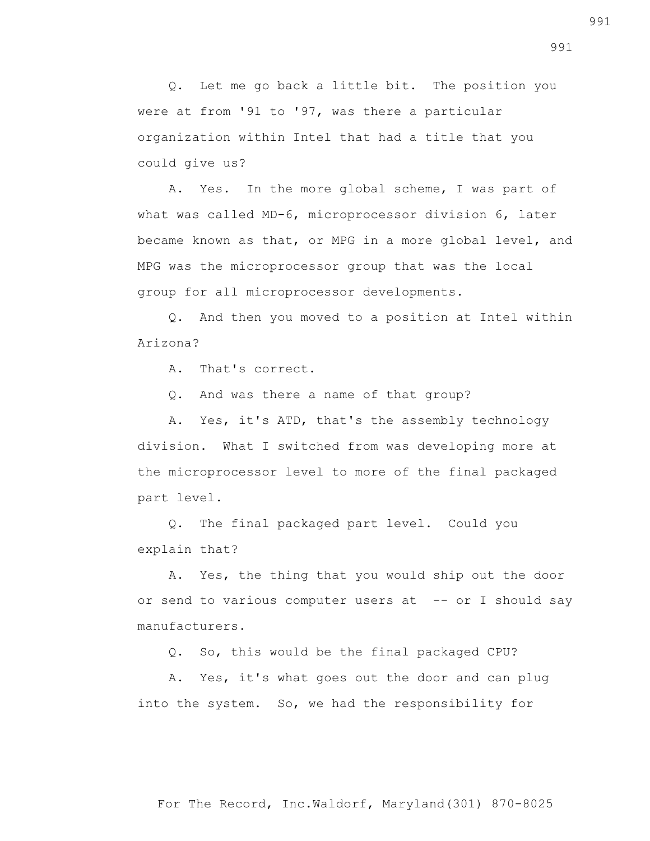Q. Let me go back a little bit. The position you were at from '91 to '97, was there a particular organization within Intel that had a title that you could give us?

 A. Yes. In the more global scheme, I was part of what was called MD-6, microprocessor division 6, later became known as that, or MPG in a more global level, and MPG was the microprocessor group that was the local group for all microprocessor developments.

 Q. And then you moved to a position at Intel within Arizona?

A. That's correct.

Q. And was there a name of that group?

 A. Yes, it's ATD, that's the assembly technology division. What I switched from was developing more at the microprocessor level to more of the final packaged part level.

 Q. The final packaged part level. Could you explain that?

 A. Yes, the thing that you would ship out the door or send to various computer users at -- or I should say manufacturers.

Q. So, this would be the final packaged CPU?

 A. Yes, it's what goes out the door and can plug into the system. So, we had the responsibility for

991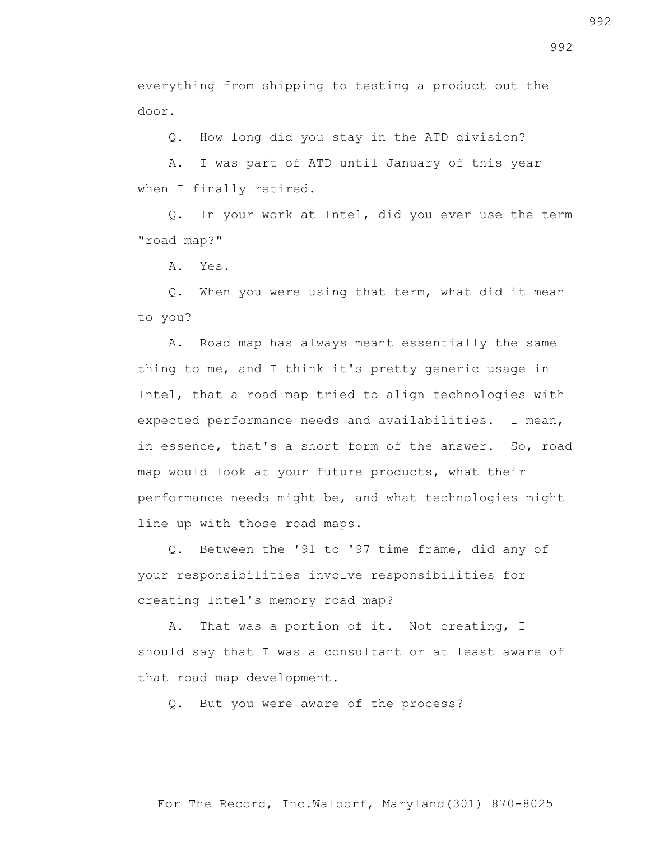everything from shipping to testing a product out the door.

Q. How long did you stay in the ATD division?

 A. I was part of ATD until January of this year when I finally retired.

 Q. In your work at Intel, did you ever use the term "road map?"

A. Yes.

 Q. When you were using that term, what did it mean to you?

 A. Road map has always meant essentially the same thing to me, and I think it's pretty generic usage in Intel, that a road map tried to align technologies with expected performance needs and availabilities. I mean, in essence, that's a short form of the answer. So, road map would look at your future products, what their performance needs might be, and what technologies might line up with those road maps.

 Q. Between the '91 to '97 time frame, did any of your responsibilities involve responsibilities for creating Intel's memory road map?

 A. That was a portion of it. Not creating, I should say that I was a consultant or at least aware of that road map development.

Q. But you were aware of the process?

For The Record, Inc.Waldorf, Maryland(301) 870-8025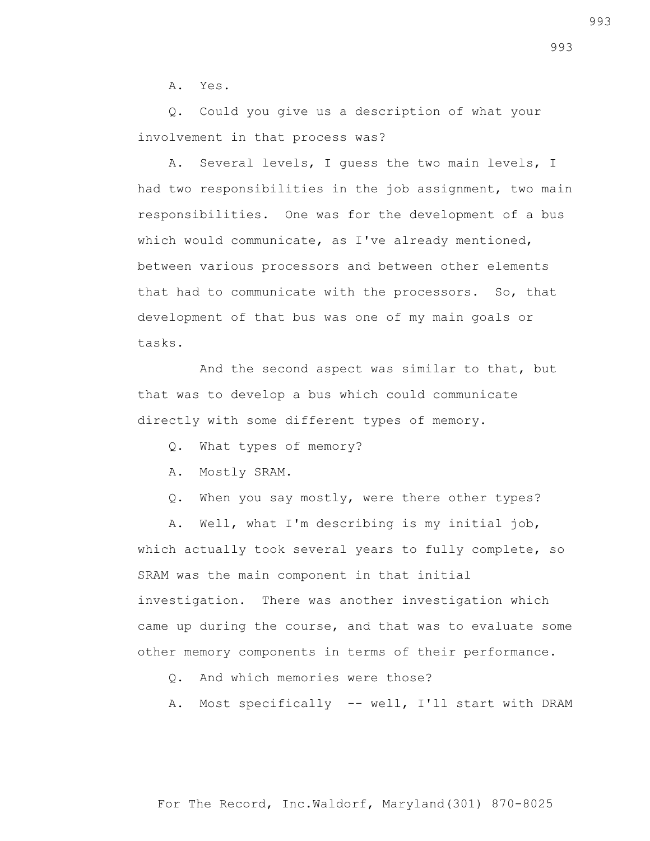A. Yes.

 Q. Could you give us a description of what your involvement in that process was?

 A. Several levels, I guess the two main levels, I had two responsibilities in the job assignment, two main responsibilities. One was for the development of a bus which would communicate, as I've already mentioned, between various processors and between other elements that had to communicate with the processors. So, that development of that bus was one of my main goals or tasks.

 And the second aspect was similar to that, but that was to develop a bus which could communicate directly with some different types of memory.

- Q. What types of memory?
- A. Mostly SRAM.
- Q. When you say mostly, were there other types?

 A. Well, what I'm describing is my initial job, which actually took several years to fully complete, so SRAM was the main component in that initial investigation. There was another investigation which came up during the course, and that was to evaluate some other memory components in terms of their performance.

- Q. And which memories were those?
- A. Most specifically -- well, I'll start with DRAM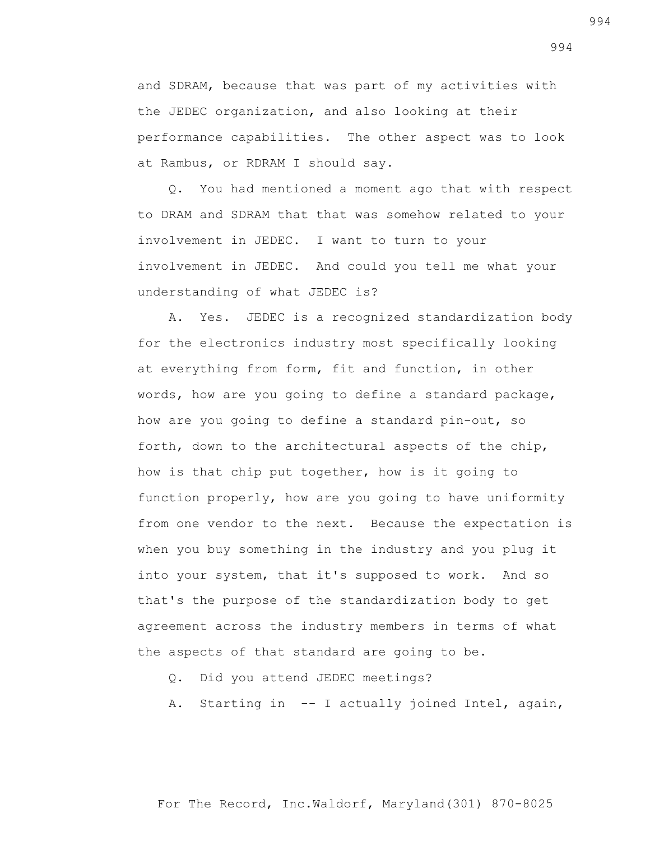and SDRAM, because that was part of my activities with the JEDEC organization, and also looking at their performance capabilities. The other aspect was to look at Rambus, or RDRAM I should say.

 Q. You had mentioned a moment ago that with respect to DRAM and SDRAM that that was somehow related to your involvement in JEDEC. I want to turn to your involvement in JEDEC. And could you tell me what your understanding of what JEDEC is?

 A. Yes. JEDEC is a recognized standardization body for the electronics industry most specifically looking at everything from form, fit and function, in other words, how are you going to define a standard package, how are you going to define a standard pin-out, so forth, down to the architectural aspects of the chip, how is that chip put together, how is it going to function properly, how are you going to have uniformity from one vendor to the next. Because the expectation is when you buy something in the industry and you plug it into your system, that it's supposed to work. And so that's the purpose of the standardization body to get agreement across the industry members in terms of what the aspects of that standard are going to be.

Q. Did you attend JEDEC meetings?

A. Starting in -- I actually joined Intel, again,

For The Record, Inc.Waldorf, Maryland(301) 870-8025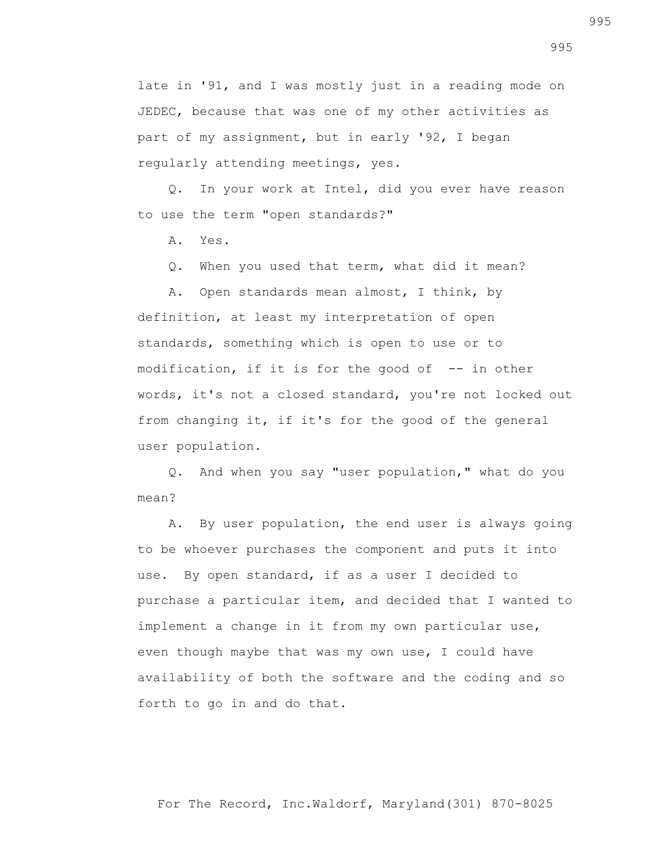late in '91, and I was mostly just in a reading mode on JEDEC, because that was one of my other activities as part of my assignment, but in early '92, I began regularly attending meetings, yes.

 Q. In your work at Intel, did you ever have reason to use the term "open standards?"

A. Yes.

Q. When you used that term, what did it mean?

 A. Open standards mean almost, I think, by definition, at least my interpretation of open standards, something which is open to use or to modification, if it is for the good of -- in other words, it's not a closed standard, you're not locked out from changing it, if it's for the good of the general user population.

 Q. And when you say "user population," what do you mean?

 A. By user population, the end user is always going to be whoever purchases the component and puts it into use. By open standard, if as a user I decided to purchase a particular item, and decided that I wanted to implement a change in it from my own particular use, even though maybe that was my own use, I could have availability of both the software and the coding and so forth to go in and do that.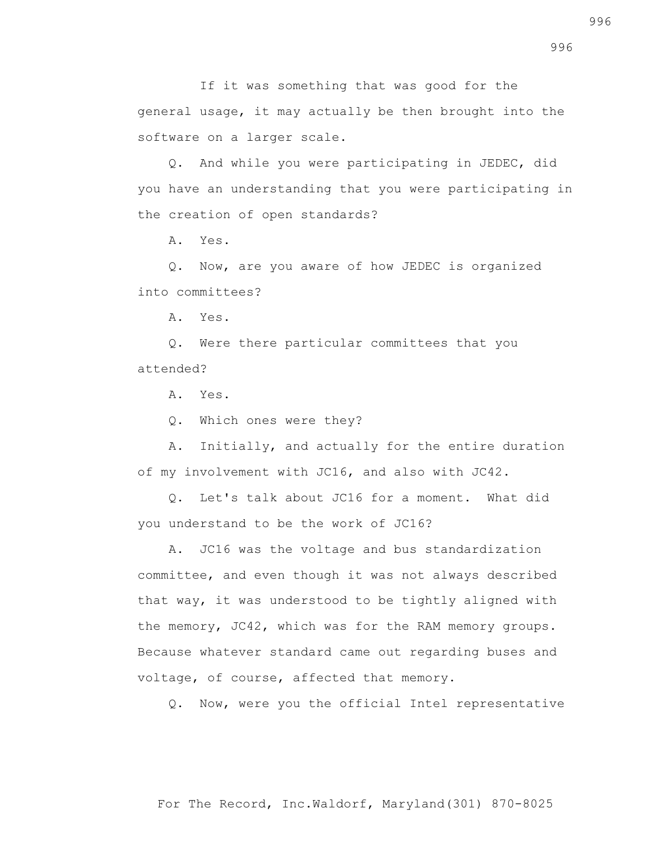If it was something that was good for the general usage, it may actually be then brought into the software on a larger scale.

 Q. And while you were participating in JEDEC, did you have an understanding that you were participating in the creation of open standards?

A. Yes.

 Q. Now, are you aware of how JEDEC is organized into committees?

A. Yes.

 Q. Were there particular committees that you attended?

A. Yes.

Q. Which ones were they?

 A. Initially, and actually for the entire duration of my involvement with JC16, and also with JC42.

 Q. Let's talk about JC16 for a moment. What did you understand to be the work of JC16?

 A. JC16 was the voltage and bus standardization committee, and even though it was not always described that way, it was understood to be tightly aligned with the memory, JC42, which was for the RAM memory groups. Because whatever standard came out regarding buses and voltage, of course, affected that memory.

Q. Now, were you the official Intel representative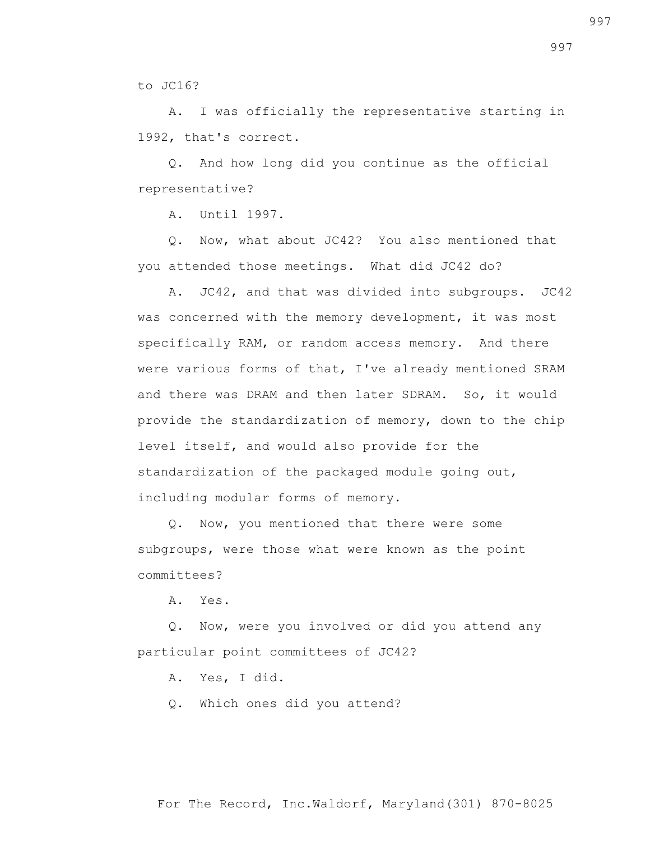to JC16?

 A. I was officially the representative starting in 1992, that's correct.

 Q. And how long did you continue as the official representative?

A. Until 1997.

 Q. Now, what about JC42? You also mentioned that you attended those meetings. What did JC42 do?

 A. JC42, and that was divided into subgroups. JC42 was concerned with the memory development, it was most specifically RAM, or random access memory. And there were various forms of that, I've already mentioned SRAM and there was DRAM and then later SDRAM. So, it would provide the standardization of memory, down to the chip level itself, and would also provide for the standardization of the packaged module going out, including modular forms of memory.

 Q. Now, you mentioned that there were some subgroups, were those what were known as the point committees?

A. Yes.

 Q. Now, were you involved or did you attend any particular point committees of JC42?

A. Yes, I did.

Q. Which ones did you attend?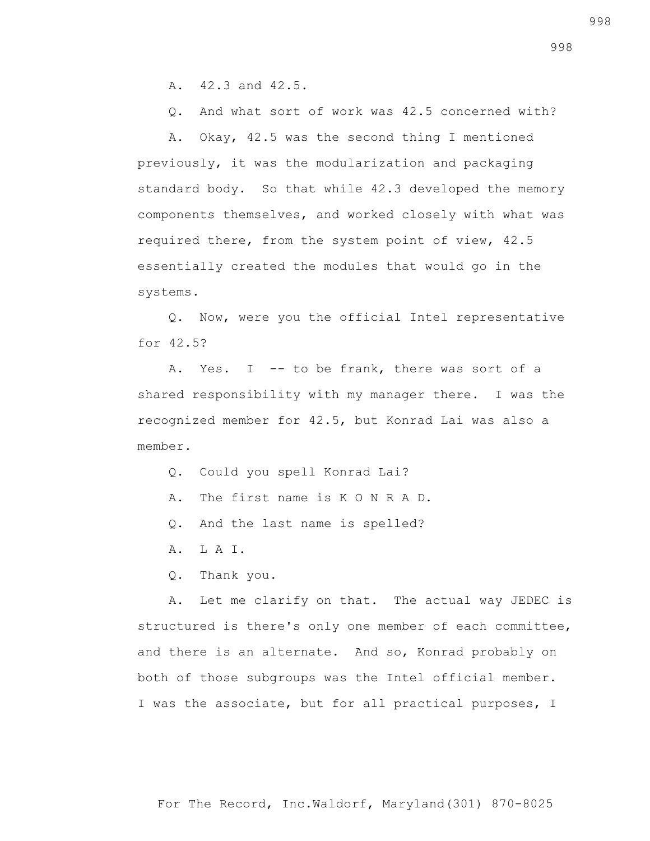A. 42.3 and 42.5.

Q. And what sort of work was 42.5 concerned with?

 A. Okay, 42.5 was the second thing I mentioned previously, it was the modularization and packaging standard body. So that while 42.3 developed the memory components themselves, and worked closely with what was required there, from the system point of view, 42.5 essentially created the modules that would go in the systems.

 Q. Now, were you the official Intel representative for 42.5?

A. Yes. I -- to be frank, there was sort of a shared responsibility with my manager there. I was the recognized member for 42.5, but Konrad Lai was also a member.

Q. Could you spell Konrad Lai?

- A. The first name is K O N R A D.
- Q. And the last name is spelled?
- A. L A I.
- Q. Thank you.

 A. Let me clarify on that. The actual way JEDEC is structured is there's only one member of each committee, and there is an alternate. And so, Konrad probably on both of those subgroups was the Intel official member. I was the associate, but for all practical purposes, I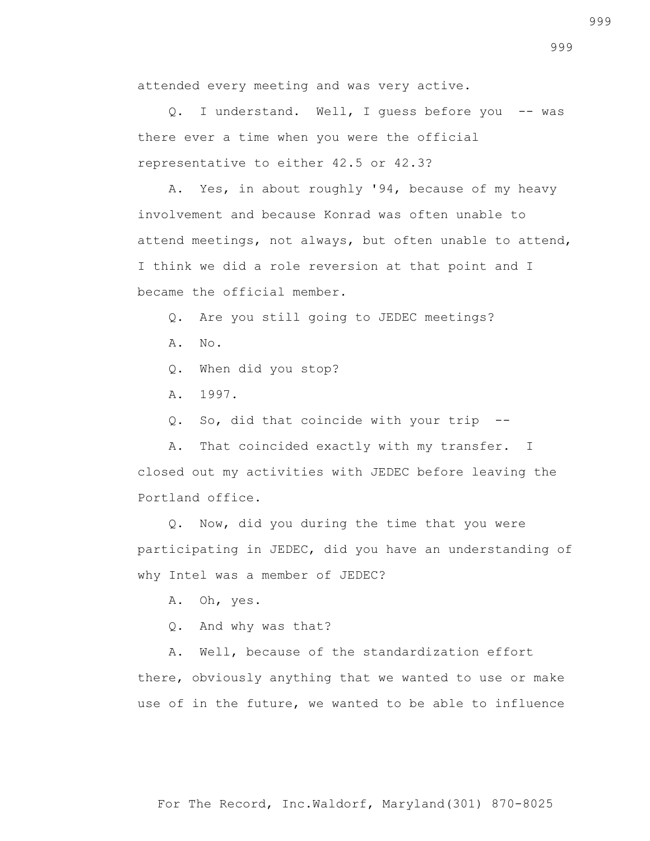attended every meeting and was very active.

Q. I understand. Well, I quess before you -- was there ever a time when you were the official representative to either 42.5 or 42.3?

 A. Yes, in about roughly '94, because of my heavy involvement and because Konrad was often unable to attend meetings, not always, but often unable to attend, I think we did a role reversion at that point and I became the official member.

Q. Are you still going to JEDEC meetings?

- A. No.
- Q. When did you stop?
- A. 1997.

Q. So, did that coincide with your trip --

 A. That coincided exactly with my transfer. I closed out my activities with JEDEC before leaving the Portland office.

 Q. Now, did you during the time that you were participating in JEDEC, did you have an understanding of why Intel was a member of JEDEC?

A. Oh, yes.

Q. And why was that?

 A. Well, because of the standardization effort there, obviously anything that we wanted to use or make use of in the future, we wanted to be able to influence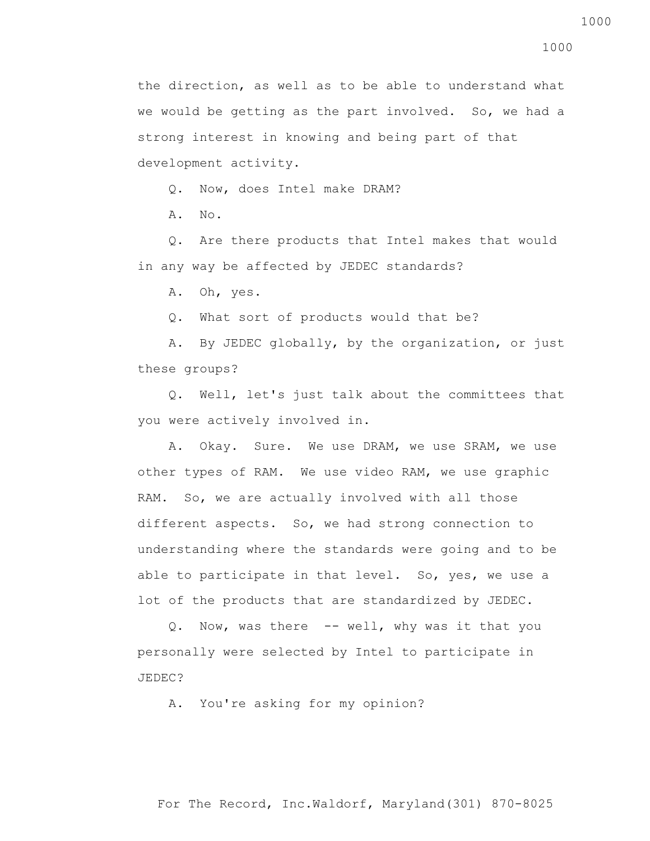Q. Now, does Intel make DRAM?

A. No.

 Q. Are there products that Intel makes that would in any way be affected by JEDEC standards?

A. Oh, yes.

Q. What sort of products would that be?

 A. By JEDEC globally, by the organization, or just these groups?

 Q. Well, let's just talk about the committees that you were actively involved in.

 A. Okay. Sure. We use DRAM, we use SRAM, we use other types of RAM. We use video RAM, we use graphic RAM. So, we are actually involved with all those different aspects. So, we had strong connection to understanding where the standards were going and to be able to participate in that level. So, yes, we use a lot of the products that are standardized by JEDEC.

 Q. Now, was there -- well, why was it that you personally were selected by Intel to participate in JEDEC?

A. You're asking for my opinion?

For The Record, Inc.Waldorf, Maryland(301) 870-8025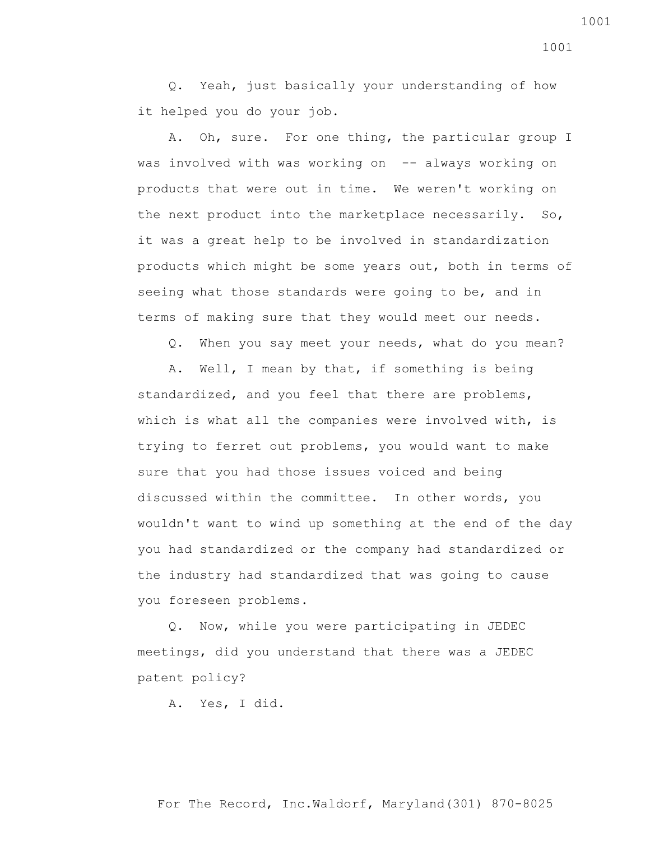Q. Yeah, just basically your understanding of how it helped you do your job.

 A. Oh, sure. For one thing, the particular group I was involved with was working on -- always working on products that were out in time. We weren't working on the next product into the marketplace necessarily. So, it was a great help to be involved in standardization products which might be some years out, both in terms of seeing what those standards were going to be, and in terms of making sure that they would meet our needs.

Q. When you say meet your needs, what do you mean?

 A. Well, I mean by that, if something is being standardized, and you feel that there are problems, which is what all the companies were involved with, is trying to ferret out problems, you would want to make sure that you had those issues voiced and being discussed within the committee. In other words, you wouldn't want to wind up something at the end of the day you had standardized or the company had standardized or the industry had standardized that was going to cause you foreseen problems.

 Q. Now, while you were participating in JEDEC meetings, did you understand that there was a JEDEC patent policy?

A. Yes, I did.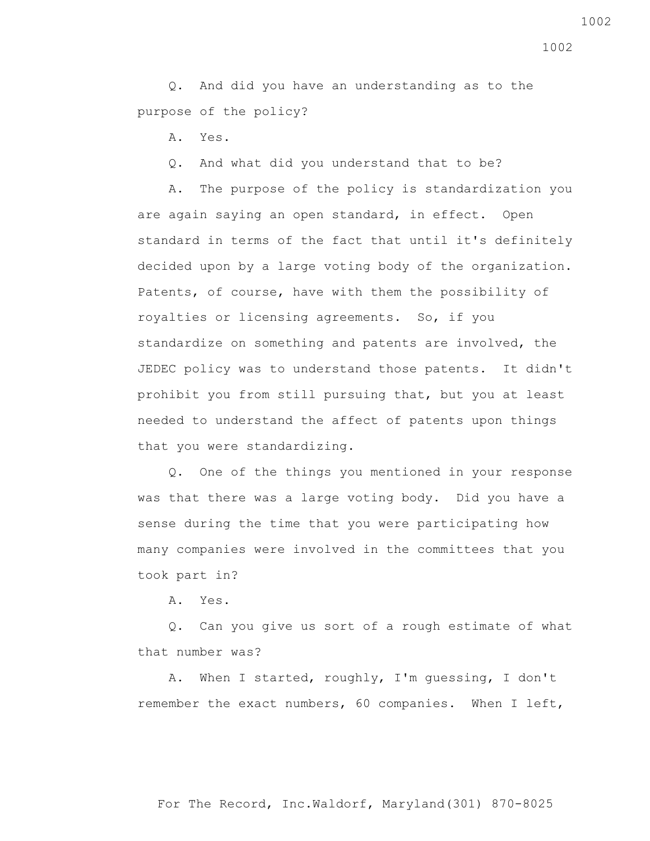Q. And did you have an understanding as to the purpose of the policy?

A. Yes.

Q. And what did you understand that to be?

 A. The purpose of the policy is standardization you are again saying an open standard, in effect. Open standard in terms of the fact that until it's definitely decided upon by a large voting body of the organization. Patents, of course, have with them the possibility of royalties or licensing agreements. So, if you standardize on something and patents are involved, the JEDEC policy was to understand those patents. It didn't prohibit you from still pursuing that, but you at least needed to understand the affect of patents upon things that you were standardizing.

 Q. One of the things you mentioned in your response was that there was a large voting body. Did you have a sense during the time that you were participating how many companies were involved in the committees that you took part in?

A. Yes.

 Q. Can you give us sort of a rough estimate of what that number was?

 A. When I started, roughly, I'm guessing, I don't remember the exact numbers, 60 companies. When I left,

1002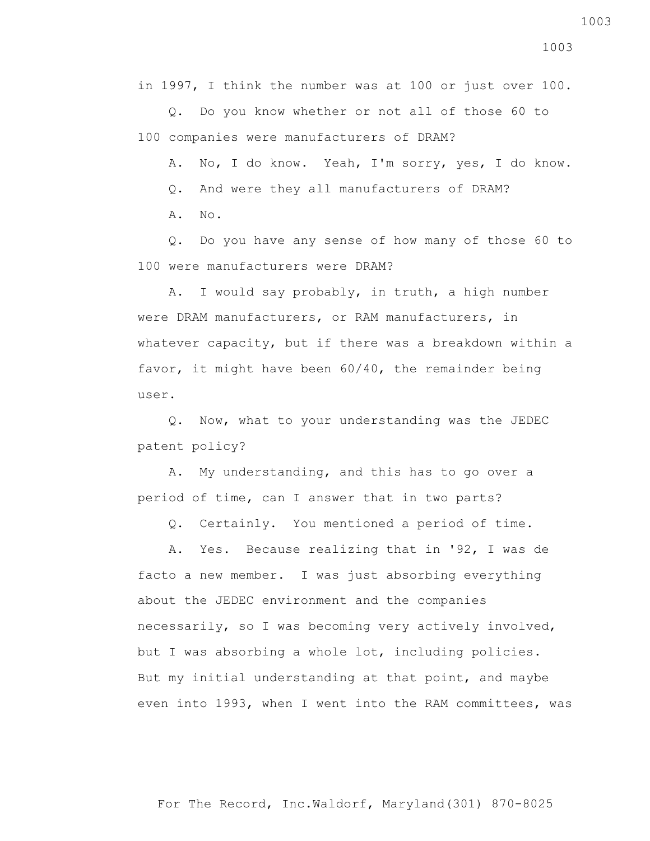in 1997, I think the number was at 100 or just over 100.

 Q. Do you know whether or not all of those 60 to 100 companies were manufacturers of DRAM?

A. No, I do know. Yeah, I'm sorry, yes, I do know.

Q. And were they all manufacturers of DRAM?

A. No.

 Q. Do you have any sense of how many of those 60 to 100 were manufacturers were DRAM?

 A. I would say probably, in truth, a high number were DRAM manufacturers, or RAM manufacturers, in whatever capacity, but if there was a breakdown within a favor, it might have been 60/40, the remainder being user.

 Q. Now, what to your understanding was the JEDEC patent policy?

 A. My understanding, and this has to go over a period of time, can I answer that in two parts?

Q. Certainly. You mentioned a period of time.

 A. Yes. Because realizing that in '92, I was de facto a new member. I was just absorbing everything about the JEDEC environment and the companies necessarily, so I was becoming very actively involved, but I was absorbing a whole lot, including policies. But my initial understanding at that point, and maybe even into 1993, when I went into the RAM committees, was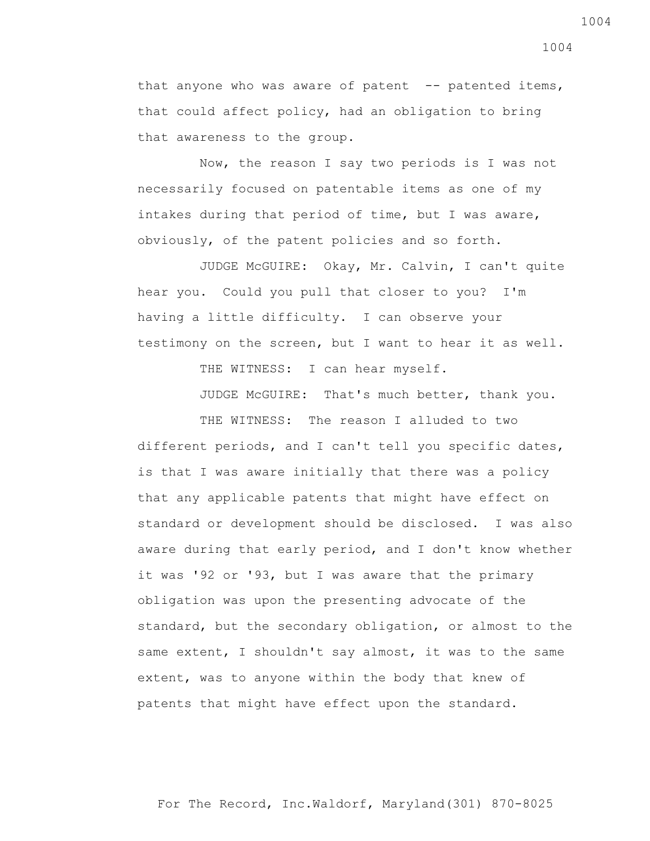that anyone who was aware of patent  $-$ - patented items, that could affect policy, had an obligation to bring that awareness to the group.

 Now, the reason I say two periods is I was not necessarily focused on patentable items as one of my intakes during that period of time, but I was aware, obviously, of the patent policies and so forth.

 JUDGE McGUIRE: Okay, Mr. Calvin, I can't quite hear you. Could you pull that closer to you? I'm having a little difficulty. I can observe your testimony on the screen, but I want to hear it as well.

THE WITNESS: I can hear myself.

JUDGE McGUIRE: That's much better, thank you.

THE WITNESS: The reason I alluded to two different periods, and I can't tell you specific dates, is that I was aware initially that there was a policy that any applicable patents that might have effect on standard or development should be disclosed. I was also aware during that early period, and I don't know whether it was '92 or '93, but I was aware that the primary obligation was upon the presenting advocate of the standard, but the secondary obligation, or almost to the same extent, I shouldn't say almost, it was to the same extent, was to anyone within the body that knew of patents that might have effect upon the standard.

For The Record, Inc.Waldorf, Maryland(301) 870-8025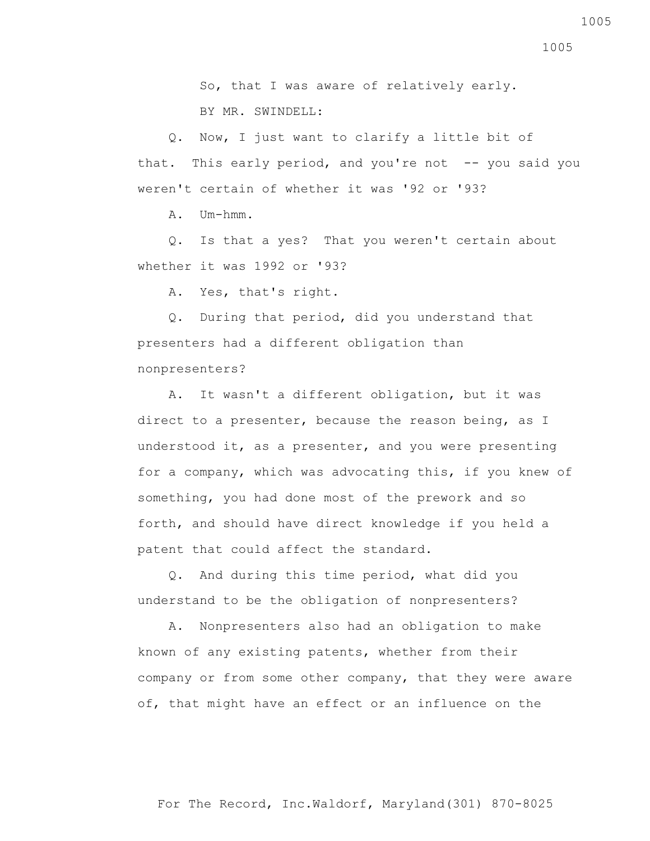So, that I was aware of relatively early. BY MR. SWINDELL:

 Q. Now, I just want to clarify a little bit of that. This early period, and you're not -- you said you weren't certain of whether it was '92 or '93?

A. Um-hmm.

 Q. Is that a yes? That you weren't certain about whether it was 1992 or '93?

A. Yes, that's right.

 Q. During that period, did you understand that presenters had a different obligation than nonpresenters?

 A. It wasn't a different obligation, but it was direct to a presenter, because the reason being, as I understood it, as a presenter, and you were presenting for a company, which was advocating this, if you knew of something, you had done most of the prework and so forth, and should have direct knowledge if you held a patent that could affect the standard.

 Q. And during this time period, what did you understand to be the obligation of nonpresenters?

 A. Nonpresenters also had an obligation to make known of any existing patents, whether from their company or from some other company, that they were aware of, that might have an effect or an influence on the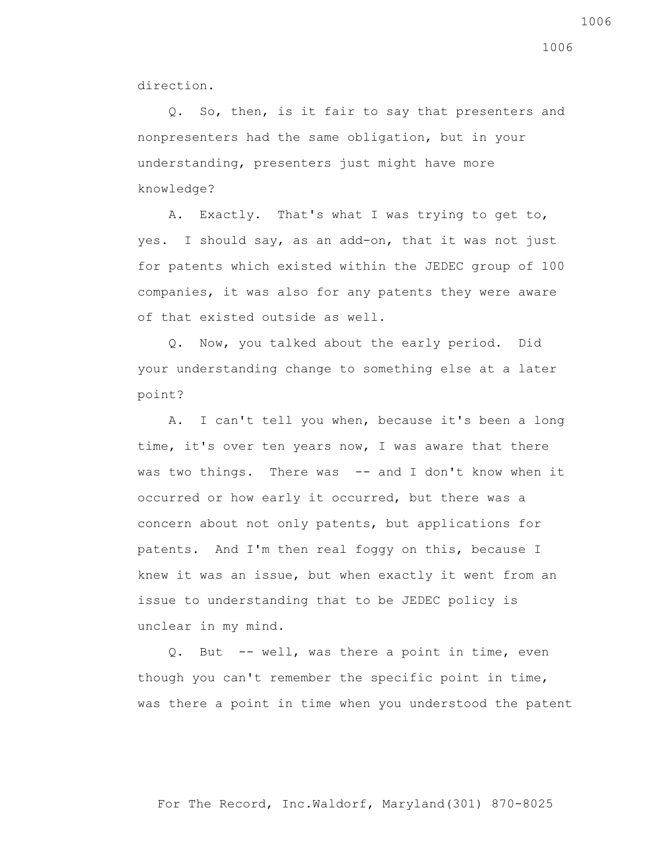direction.

 Q. So, then, is it fair to say that presenters and nonpresenters had the same obligation, but in your understanding, presenters just might have more knowledge?

 A. Exactly. That's what I was trying to get to, yes. I should say, as an add-on, that it was not just for patents which existed within the JEDEC group of 100 companies, it was also for any patents they were aware of that existed outside as well.

 Q. Now, you talked about the early period. Did your understanding change to something else at a later point?

 A. I can't tell you when, because it's been a long time, it's over ten years now, I was aware that there was two things. There was -- and I don't know when it occurred or how early it occurred, but there was a concern about not only patents, but applications for patents. And I'm then real foggy on this, because I knew it was an issue, but when exactly it went from an issue to understanding that to be JEDEC policy is unclear in my mind.

 Q. But -- well, was there a point in time, even though you can't remember the specific point in time, was there a point in time when you understood the patent

1006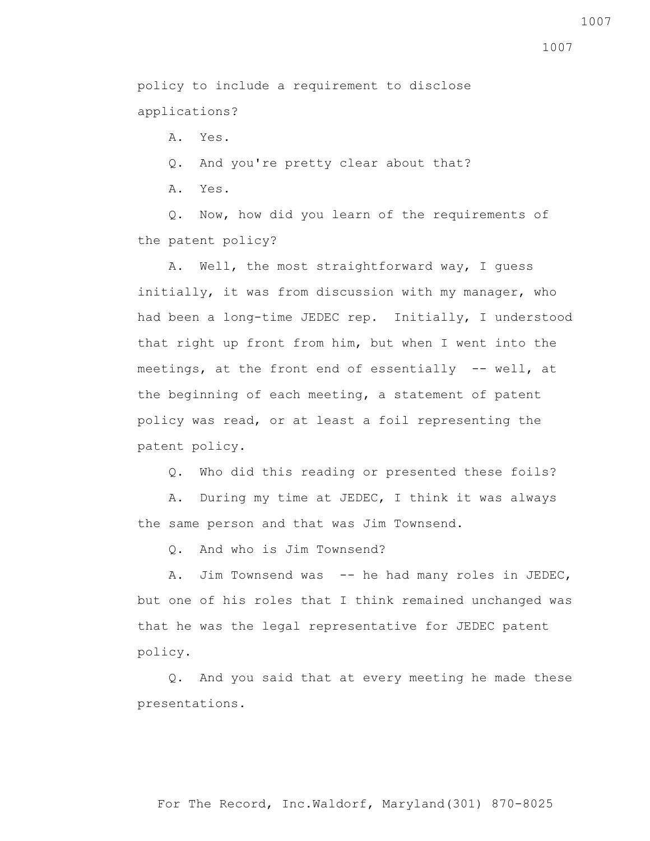policy to include a requirement to disclose applications?

A. Yes.

Q. And you're pretty clear about that?

A. Yes.

 Q. Now, how did you learn of the requirements of the patent policy?

 A. Well, the most straightforward way, I guess initially, it was from discussion with my manager, who had been a long-time JEDEC rep. Initially, I understood that right up front from him, but when I went into the meetings, at the front end of essentially -- well, at the beginning of each meeting, a statement of patent policy was read, or at least a foil representing the patent policy.

Q. Who did this reading or presented these foils?

 A. During my time at JEDEC, I think it was always the same person and that was Jim Townsend.

Q. And who is Jim Townsend?

A. Jim Townsend was -- he had many roles in JEDEC, but one of his roles that I think remained unchanged was that he was the legal representative for JEDEC patent policy.

 Q. And you said that at every meeting he made these presentations.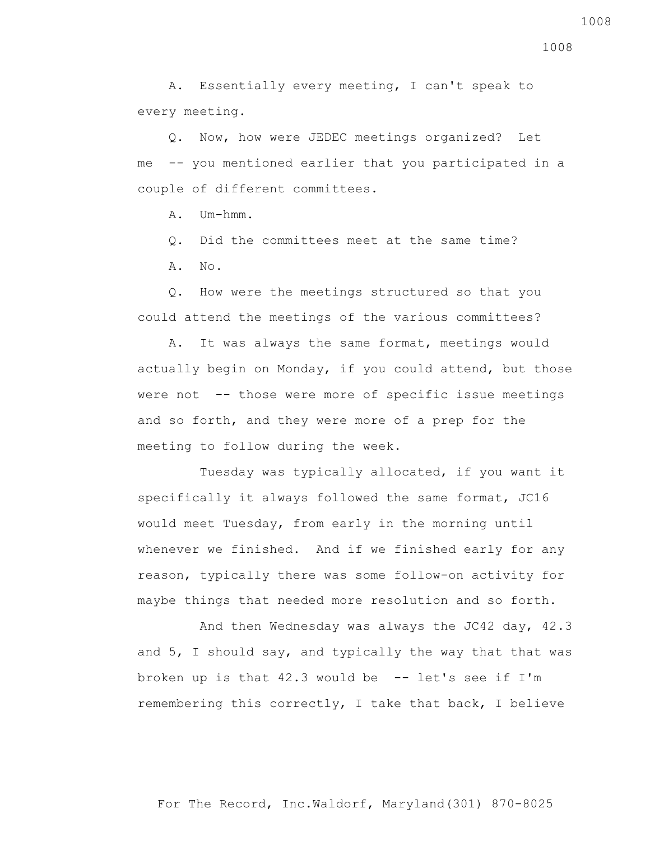A. Essentially every meeting, I can't speak to every meeting.

 Q. Now, how were JEDEC meetings organized? Let me -- you mentioned earlier that you participated in a couple of different committees.

A. Um-hmm.

Q. Did the committees meet at the same time?

A. No.

 Q. How were the meetings structured so that you could attend the meetings of the various committees?

 A. It was always the same format, meetings would actually begin on Monday, if you could attend, but those were not -- those were more of specific issue meetings and so forth, and they were more of a prep for the meeting to follow during the week.

 Tuesday was typically allocated, if you want it specifically it always followed the same format, JC16 would meet Tuesday, from early in the morning until whenever we finished. And if we finished early for any reason, typically there was some follow-on activity for maybe things that needed more resolution and so forth.

 And then Wednesday was always the JC42 day, 42.3 and 5, I should say, and typically the way that that was broken up is that  $42.3$  would be  $-$  let's see if I'm remembering this correctly, I take that back, I believe

1008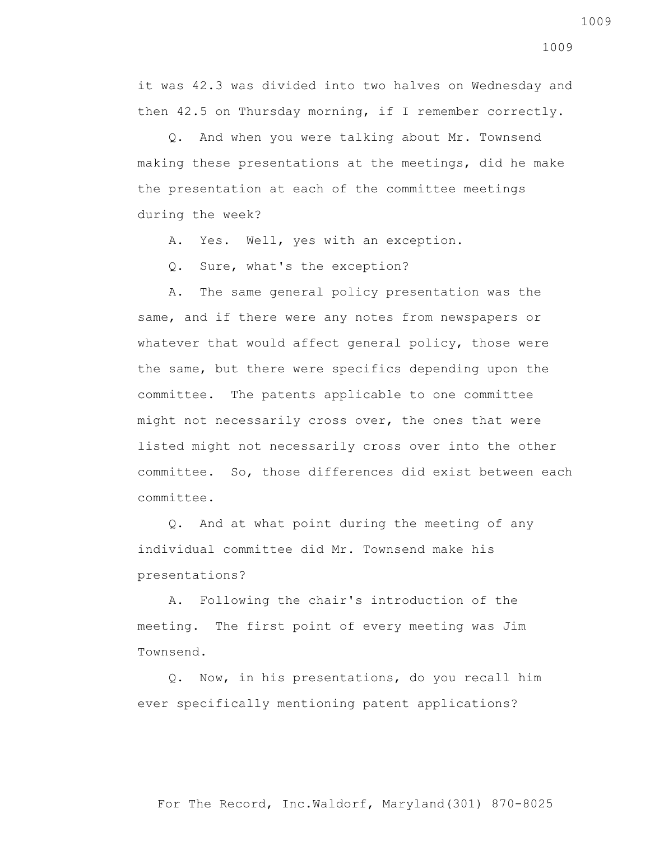it was 42.3 was divided into two halves on Wednesday and then 42.5 on Thursday morning, if I remember correctly.

 Q. And when you were talking about Mr. Townsend making these presentations at the meetings, did he make the presentation at each of the committee meetings during the week?

A. Yes. Well, yes with an exception.

Q. Sure, what's the exception?

 A. The same general policy presentation was the same, and if there were any notes from newspapers or whatever that would affect general policy, those were the same, but there were specifics depending upon the committee. The patents applicable to one committee might not necessarily cross over, the ones that were listed might not necessarily cross over into the other committee. So, those differences did exist between each committee.

 Q. And at what point during the meeting of any individual committee did Mr. Townsend make his presentations?

 A. Following the chair's introduction of the meeting. The first point of every meeting was Jim Townsend.

 Q. Now, in his presentations, do you recall him ever specifically mentioning patent applications?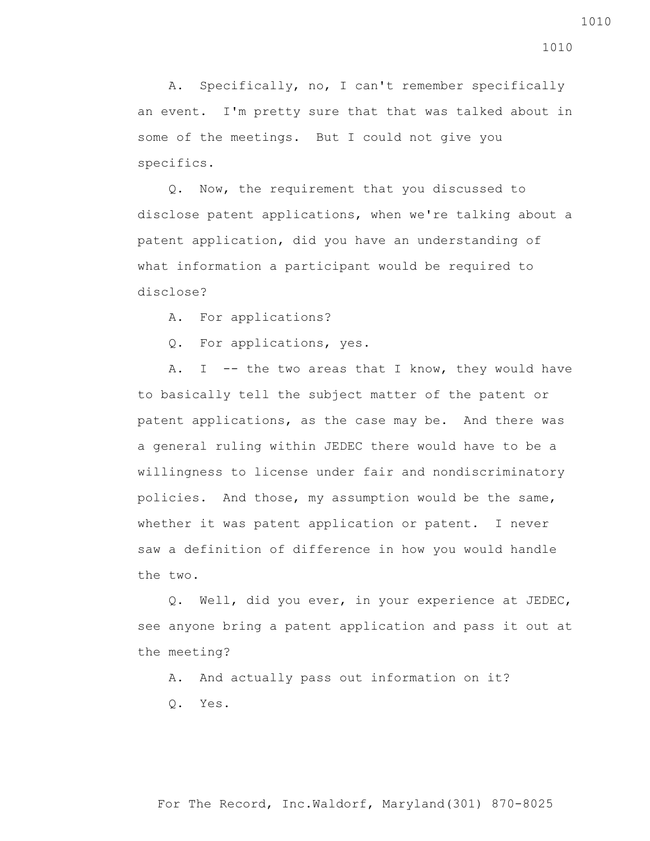A. Specifically, no, I can't remember specifically an event. I'm pretty sure that that was talked about in some of the meetings. But I could not give you specifics.

 Q. Now, the requirement that you discussed to disclose patent applications, when we're talking about a patent application, did you have an understanding of what information a participant would be required to disclose?

A. For applications?

Q. For applications, yes.

A. I  $-$ - the two areas that I know, they would have to basically tell the subject matter of the patent or patent applications, as the case may be. And there was a general ruling within JEDEC there would have to be a willingness to license under fair and nondiscriminatory policies. And those, my assumption would be the same, whether it was patent application or patent. I never saw a definition of difference in how you would handle the two.

 Q. Well, did you ever, in your experience at JEDEC, see anyone bring a patent application and pass it out at the meeting?

A. And actually pass out information on it?

Q. Yes.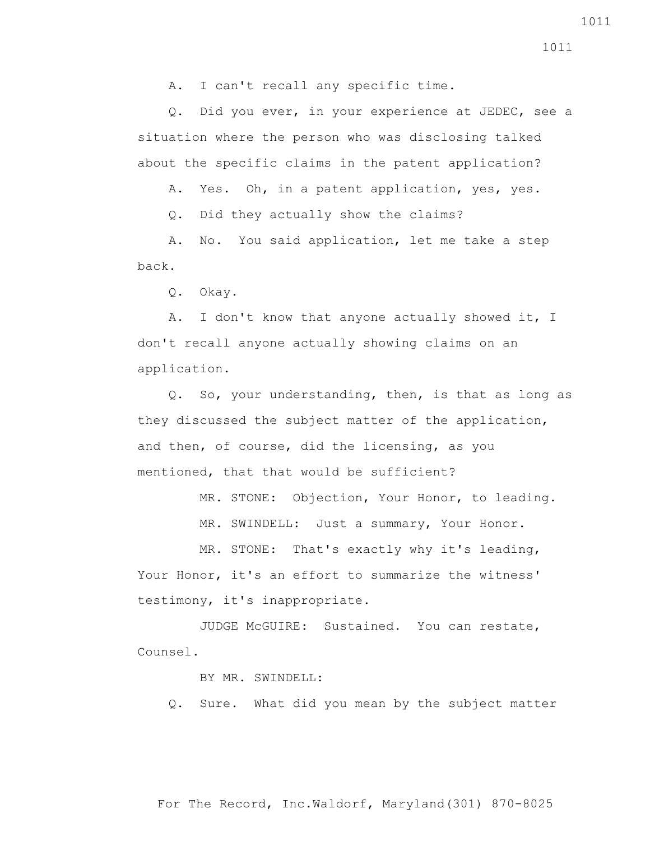A. I can't recall any specific time.

 Q. Did you ever, in your experience at JEDEC, see a situation where the person who was disclosing talked about the specific claims in the patent application?

A. Yes. Oh, in a patent application, yes, yes.

Q. Did they actually show the claims?

 A. No. You said application, let me take a step back.

Q. Okay.

 A. I don't know that anyone actually showed it, I don't recall anyone actually showing claims on an application.

 Q. So, your understanding, then, is that as long as they discussed the subject matter of the application, and then, of course, did the licensing, as you mentioned, that that would be sufficient?

MR. STONE: Objection, Your Honor, to leading.

MR. SWINDELL: Just a summary, Your Honor.

 MR. STONE: That's exactly why it's leading, Your Honor, it's an effort to summarize the witness' testimony, it's inappropriate.

 JUDGE McGUIRE: Sustained. You can restate, Counsel.

BY MR. SWINDELL:

Q. Sure. What did you mean by the subject matter

For The Record, Inc.Waldorf, Maryland(301) 870-8025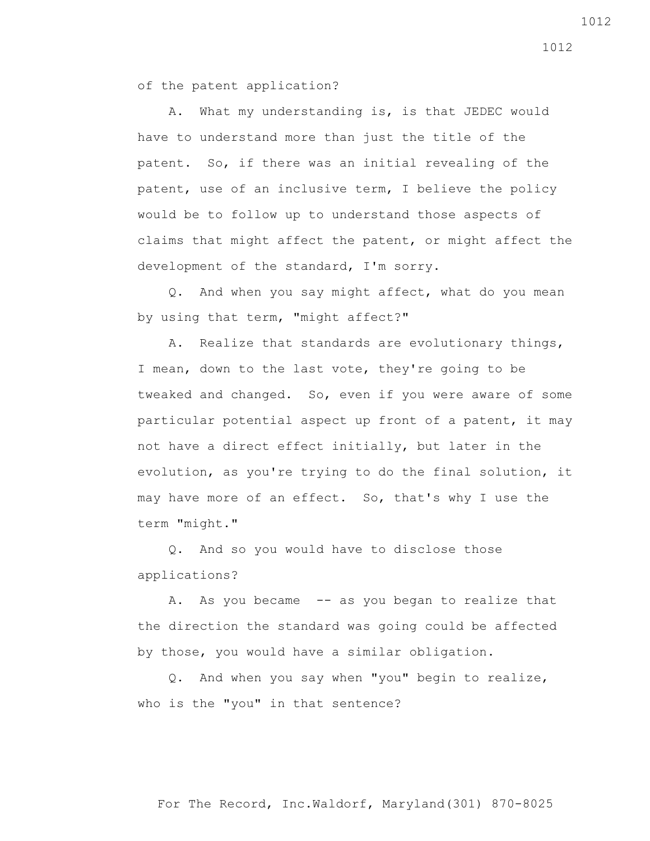of the patent application?

 A. What my understanding is, is that JEDEC would have to understand more than just the title of the patent. So, if there was an initial revealing of the patent, use of an inclusive term, I believe the policy would be to follow up to understand those aspects of claims that might affect the patent, or might affect the development of the standard, I'm sorry.

 Q. And when you say might affect, what do you mean by using that term, "might affect?"

 A. Realize that standards are evolutionary things, I mean, down to the last vote, they're going to be tweaked and changed. So, even if you were aware of some particular potential aspect up front of a patent, it may not have a direct effect initially, but later in the evolution, as you're trying to do the final solution, it may have more of an effect. So, that's why I use the term "might."

 Q. And so you would have to disclose those applications?

A. As you became -- as you began to realize that the direction the standard was going could be affected by those, you would have a similar obligation.

 Q. And when you say when "you" begin to realize, who is the "you" in that sentence?

For The Record, Inc.Waldorf, Maryland(301) 870-8025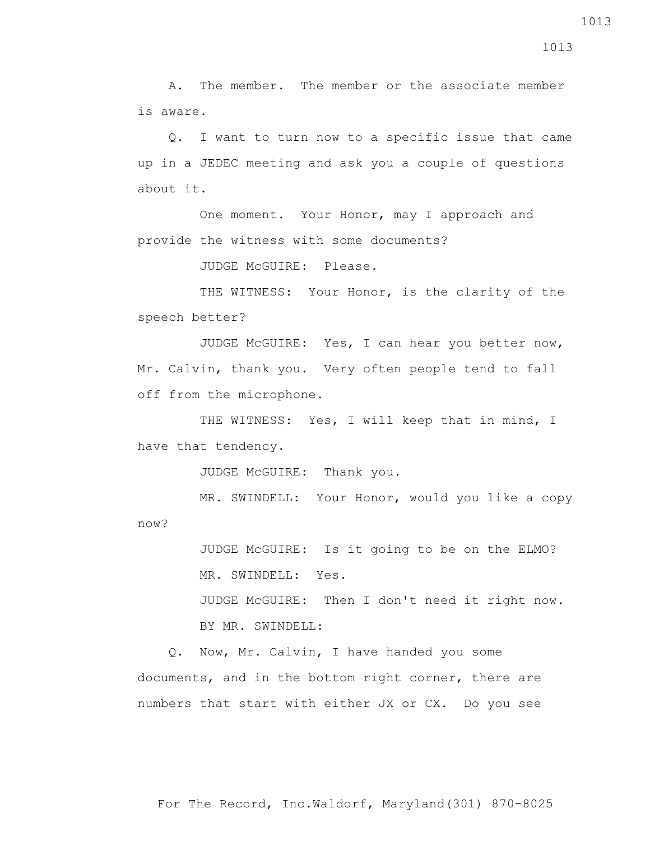A. The member. The member or the associate member is aware.

 Q. I want to turn now to a specific issue that came up in a JEDEC meeting and ask you a couple of questions about it.

 One moment. Your Honor, may I approach and provide the witness with some documents?

JUDGE McGUIRE: Please.

THE WITNESS: Your Honor, is the clarity of the speech better?

 JUDGE McGUIRE: Yes, I can hear you better now, Mr. Calvin, thank you. Very often people tend to fall off from the microphone.

THE WITNESS: Yes, I will keep that in mind, I have that tendency.

JUDGE McGUIRE: Thank you.

 MR. SWINDELL: Your Honor, would you like a copy now?

> JUDGE McGUIRE: Is it going to be on the ELMO? MR. SWINDELL: Yes.

 JUDGE McGUIRE: Then I don't need it right now. BY MR. SWINDELL:

 Q. Now, Mr. Calvin, I have handed you some documents, and in the bottom right corner, there are numbers that start with either JX or CX. Do you see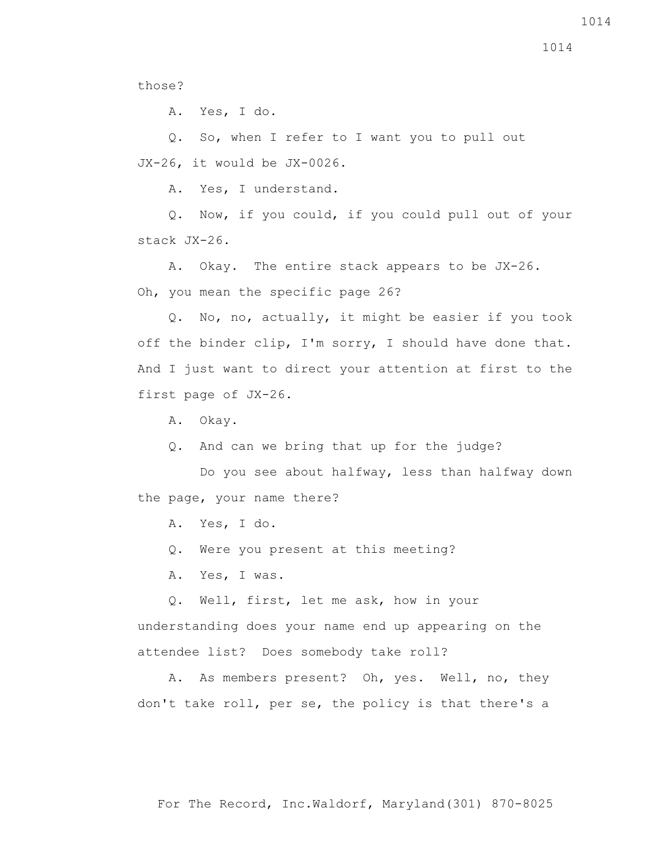those?

A. Yes, I do.

 Q. So, when I refer to I want you to pull out JX-26, it would be JX-0026.

A. Yes, I understand.

 Q. Now, if you could, if you could pull out of your stack JX-26.

 A. Okay. The entire stack appears to be JX-26. Oh, you mean the specific page 26?

 Q. No, no, actually, it might be easier if you took off the binder clip, I'm sorry, I should have done that. And I just want to direct your attention at first to the first page of JX-26.

A. Okay.

Q. And can we bring that up for the judge?

 Do you see about halfway, less than halfway down the page, your name there?

A. Yes, I do.

Q. Were you present at this meeting?

A. Yes, I was.

Q. Well, first, let me ask, how in your

understanding does your name end up appearing on the attendee list? Does somebody take roll?

 A. As members present? Oh, yes. Well, no, they don't take roll, per se, the policy is that there's a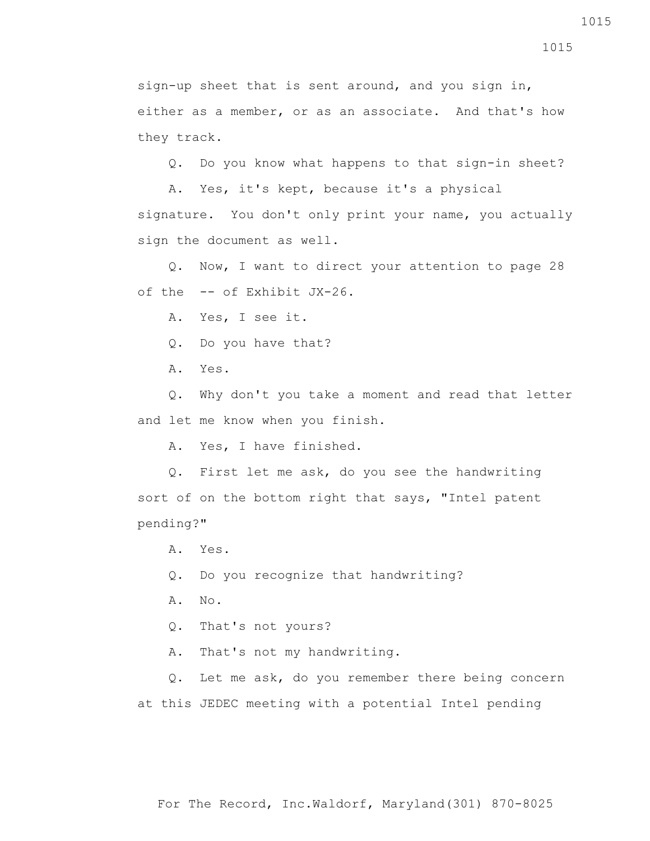sign-up sheet that is sent around, and you sign in, either as a member, or as an associate. And that's how they track.

Q. Do you know what happens to that sign-in sheet?

 A. Yes, it's kept, because it's a physical signature. You don't only print your name, you actually sign the document as well.

 Q. Now, I want to direct your attention to page 28 of the -- of Exhibit JX-26.

A. Yes, I see it.

Q. Do you have that?

A. Yes.

 Q. Why don't you take a moment and read that letter and let me know when you finish.

A. Yes, I have finished.

 Q. First let me ask, do you see the handwriting sort of on the bottom right that says, "Intel patent pending?"

A. Yes.

Q. Do you recognize that handwriting?

A. No.

Q. That's not yours?

A. That's not my handwriting.

 Q. Let me ask, do you remember there being concern at this JEDEC meeting with a potential Intel pending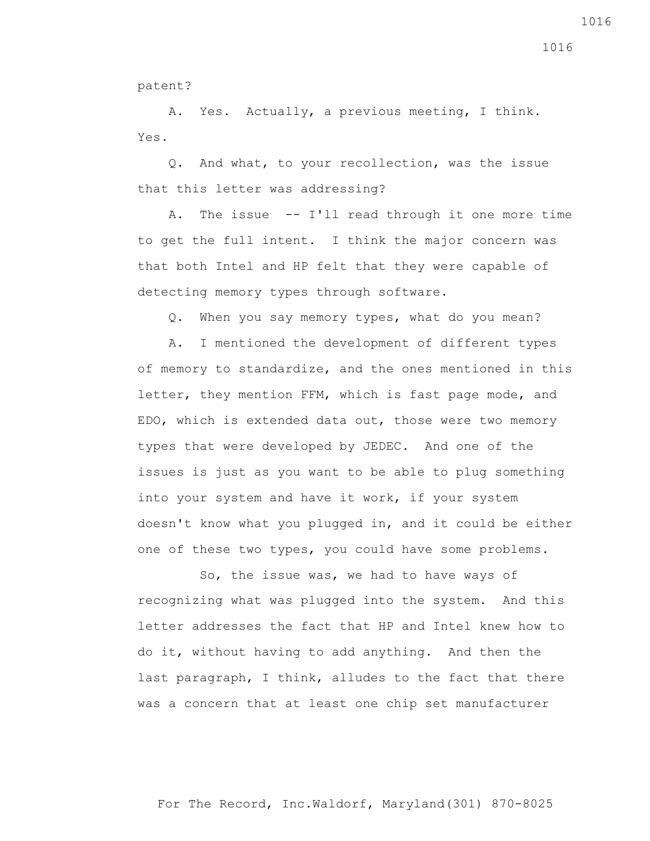patent?

 A. Yes. Actually, a previous meeting, I think. Yes.

 Q. And what, to your recollection, was the issue that this letter was addressing?

 A. The issue -- I'll read through it one more time to get the full intent. I think the major concern was that both Intel and HP felt that they were capable of detecting memory types through software.

Q. When you say memory types, what do you mean?

 A. I mentioned the development of different types of memory to standardize, and the ones mentioned in this letter, they mention FFM, which is fast page mode, and EDO, which is extended data out, those were two memory types that were developed by JEDEC. And one of the issues is just as you want to be able to plug something into your system and have it work, if your system doesn't know what you plugged in, and it could be either one of these two types, you could have some problems.

 So, the issue was, we had to have ways of recognizing what was plugged into the system. And this letter addresses the fact that HP and Intel knew how to do it, without having to add anything. And then the last paragraph, I think, alludes to the fact that there was a concern that at least one chip set manufacturer

For The Record, Inc.Waldorf, Maryland(301) 870-8025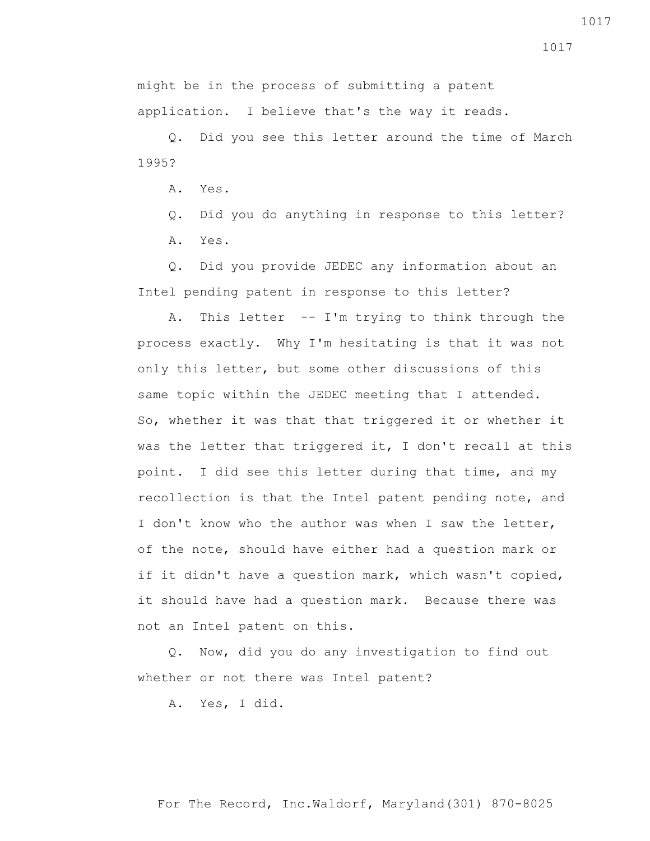1017

might be in the process of submitting a patent application. I believe that's the way it reads.

 Q. Did you see this letter around the time of March 1995?

A. Yes.

 Q. Did you do anything in response to this letter? A. Yes.

 Q. Did you provide JEDEC any information about an Intel pending patent in response to this letter?

 A. This letter -- I'm trying to think through the process exactly. Why I'm hesitating is that it was not only this letter, but some other discussions of this same topic within the JEDEC meeting that I attended. So, whether it was that that triggered it or whether it was the letter that triggered it, I don't recall at this point. I did see this letter during that time, and my recollection is that the Intel patent pending note, and I don't know who the author was when I saw the letter, of the note, should have either had a question mark or if it didn't have a question mark, which wasn't copied, it should have had a question mark. Because there was not an Intel patent on this.

 Q. Now, did you do any investigation to find out whether or not there was Intel patent?

A. Yes, I did.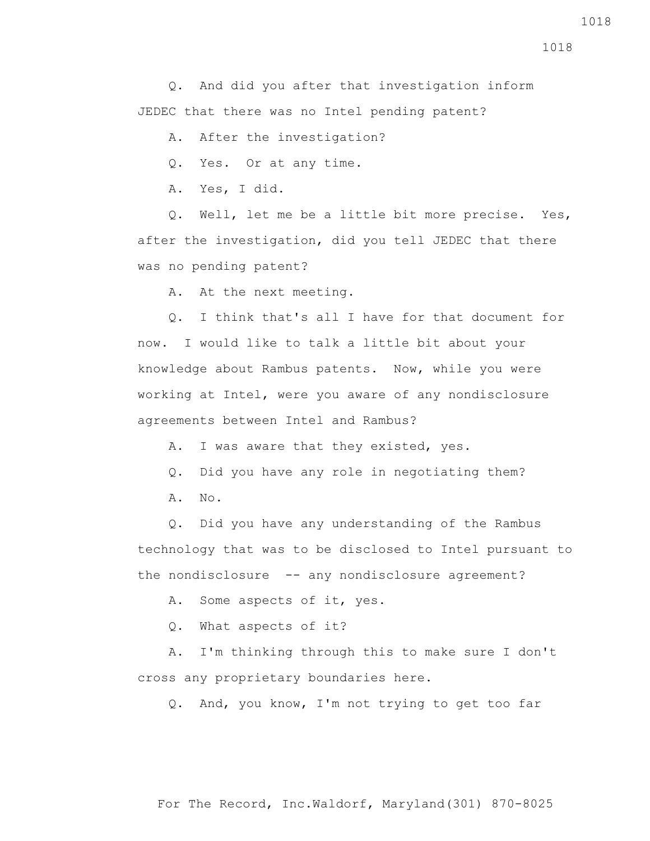Q. And did you after that investigation inform JEDEC that there was no Intel pending patent?

A. After the investigation?

Q. Yes. Or at any time.

A. Yes, I did.

 Q. Well, let me be a little bit more precise. Yes, after the investigation, did you tell JEDEC that there was no pending patent?

A. At the next meeting.

 Q. I think that's all I have for that document for now. I would like to talk a little bit about your knowledge about Rambus patents. Now, while you were working at Intel, were you aware of any nondisclosure agreements between Intel and Rambus?

A. I was aware that they existed, yes.

- Q. Did you have any role in negotiating them?
- A. No.

 Q. Did you have any understanding of the Rambus technology that was to be disclosed to Intel pursuant to the nondisclosure -- any nondisclosure agreement?

A. Some aspects of it, yes.

Q. What aspects of it?

 A. I'm thinking through this to make sure I don't cross any proprietary boundaries here.

Q. And, you know, I'm not trying to get too far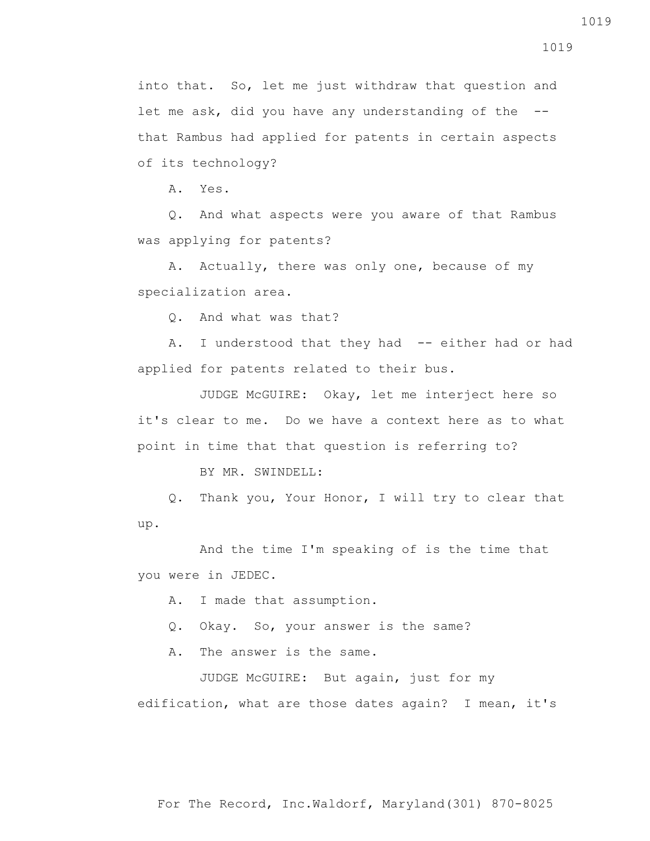1019

into that. So, let me just withdraw that question and let me ask, did you have any understanding of the - that Rambus had applied for patents in certain aspects of its technology?

A. Yes.

 Q. And what aspects were you aware of that Rambus was applying for patents?

 A. Actually, there was only one, because of my specialization area.

Q. And what was that?

A. I understood that they had -- either had or had applied for patents related to their bus.

 JUDGE McGUIRE: Okay, let me interject here so it's clear to me. Do we have a context here as to what point in time that that question is referring to?

BY MR. SWINDELL:

 Q. Thank you, Your Honor, I will try to clear that up.

 And the time I'm speaking of is the time that you were in JEDEC.

A. I made that assumption.

Q. Okay. So, your answer is the same?

A. The answer is the same.

 JUDGE McGUIRE: But again, just for my edification, what are those dates again? I mean, it's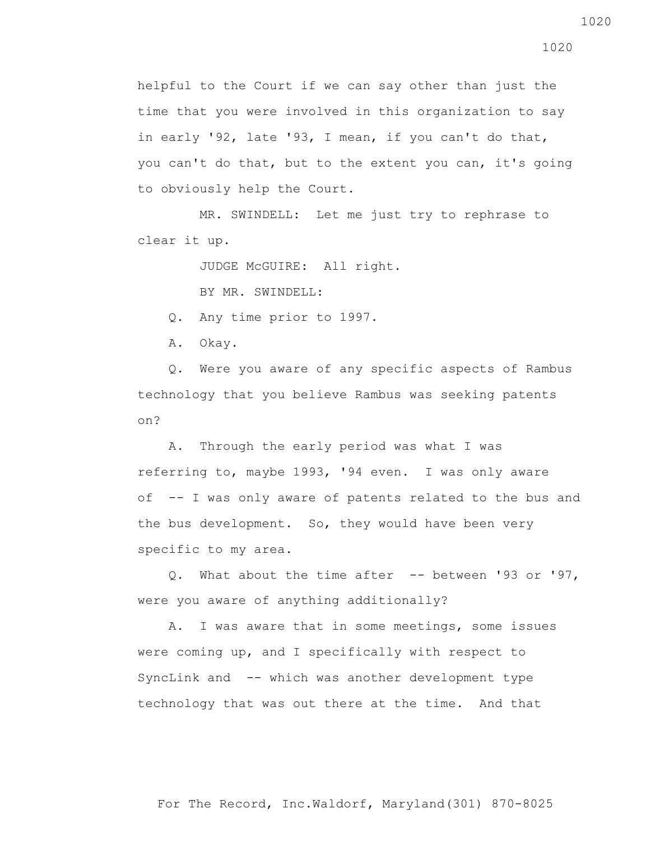helpful to the Court if we can say other than just the time that you were involved in this organization to say in early '92, late '93, I mean, if you can't do that, you can't do that, but to the extent you can, it's going to obviously help the Court.

 MR. SWINDELL: Let me just try to rephrase to clear it up.

JUDGE McGUIRE: All right.

BY MR. SWINDELL:

Q. Any time prior to 1997.

A. Okay.

 Q. Were you aware of any specific aspects of Rambus technology that you believe Rambus was seeking patents on?

 A. Through the early period was what I was referring to, maybe 1993, '94 even. I was only aware of -- I was only aware of patents related to the bus and the bus development. So, they would have been very specific to my area.

Q. What about the time after  $-$  between '93 or '97, were you aware of anything additionally?

 A. I was aware that in some meetings, some issues were coming up, and I specifically with respect to SyncLink and -- which was another development type technology that was out there at the time. And that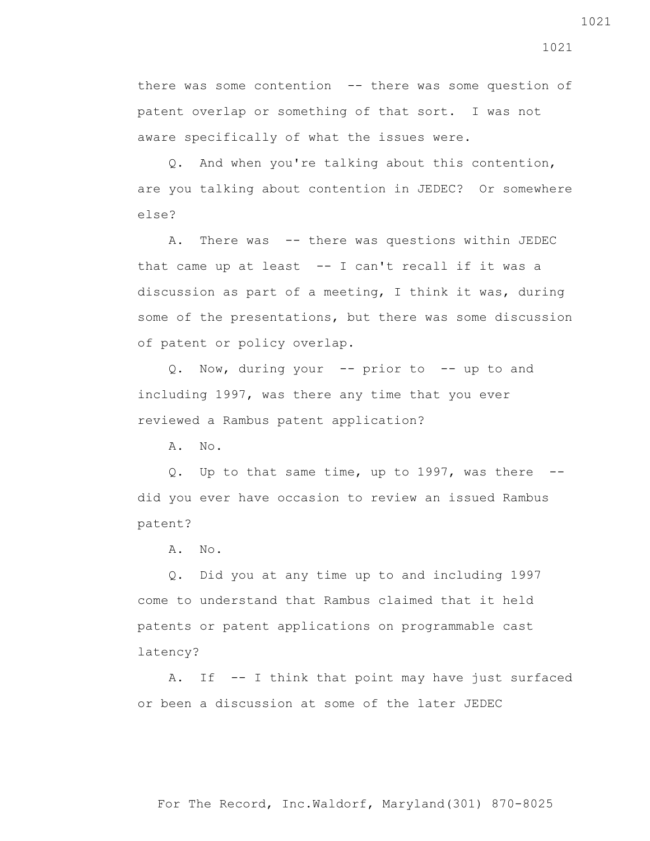there was some contention -- there was some question of patent overlap or something of that sort. I was not aware specifically of what the issues were.

 Q. And when you're talking about this contention, are you talking about contention in JEDEC? Or somewhere else?

 A. There was -- there was questions within JEDEC that came up at least  $-$ - I can't recall if it was a discussion as part of a meeting, I think it was, during some of the presentations, but there was some discussion of patent or policy overlap.

 Q. Now, during your -- prior to -- up to and including 1997, was there any time that you ever reviewed a Rambus patent application?

A. No.

 Q. Up to that same time, up to 1997, was there - did you ever have occasion to review an issued Rambus patent?

A. No.

 Q. Did you at any time up to and including 1997 come to understand that Rambus claimed that it held patents or patent applications on programmable cast latency?

 A. If -- I think that point may have just surfaced or been a discussion at some of the later JEDEC

For The Record, Inc.Waldorf, Maryland(301) 870-8025

1021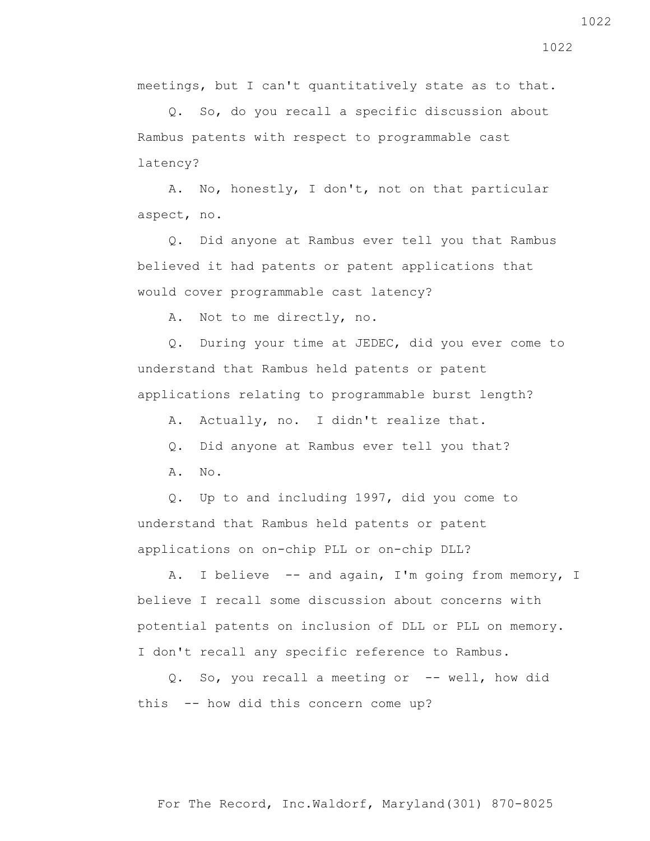For The Record, Inc.Waldorf, Maryland(301) 870-8025

 Q. So, do you recall a specific discussion about Rambus patents with respect to programmable cast latency?

meetings, but I can't quantitatively state as to that.

 A. No, honestly, I don't, not on that particular aspect, no.

 Q. Did anyone at Rambus ever tell you that Rambus believed it had patents or patent applications that would cover programmable cast latency?

A. Not to me directly, no.

 Q. During your time at JEDEC, did you ever come to understand that Rambus held patents or patent applications relating to programmable burst length?

A. Actually, no. I didn't realize that.

Q. Did anyone at Rambus ever tell you that?

 $A. \tNo.$ 

 Q. Up to and including 1997, did you come to understand that Rambus held patents or patent applications on on-chip PLL or on-chip DLL?

 A. I believe -- and again, I'm going from memory, I believe I recall some discussion about concerns with potential patents on inclusion of DLL or PLL on memory. I don't recall any specific reference to Rambus.

 Q. So, you recall a meeting or -- well, how did this -- how did this concern come up?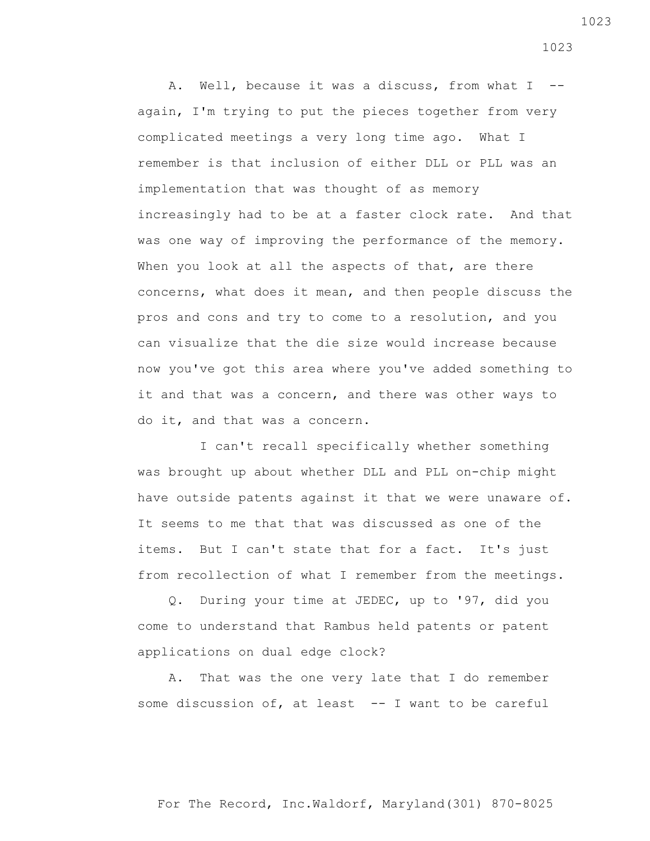A. Well, because it was a discuss, from what I - again, I'm trying to put the pieces together from very complicated meetings a very long time ago. What I remember is that inclusion of either DLL or PLL was an implementation that was thought of as memory increasingly had to be at a faster clock rate. And that was one way of improving the performance of the memory. When you look at all the aspects of that, are there concerns, what does it mean, and then people discuss the pros and cons and try to come to a resolution, and you can visualize that the die size would increase because now you've got this area where you've added something to it and that was a concern, and there was other ways to do it, and that was a concern.

 I can't recall specifically whether something was brought up about whether DLL and PLL on-chip might have outside patents against it that we were unaware of. It seems to me that that was discussed as one of the items. But I can't state that for a fact. It's just from recollection of what I remember from the meetings.

 Q. During your time at JEDEC, up to '97, did you come to understand that Rambus held patents or patent applications on dual edge clock?

 A. That was the one very late that I do remember some discussion of, at least  $-$  I want to be careful 1023

For The Record, Inc.Waldorf, Maryland(301) 870-8025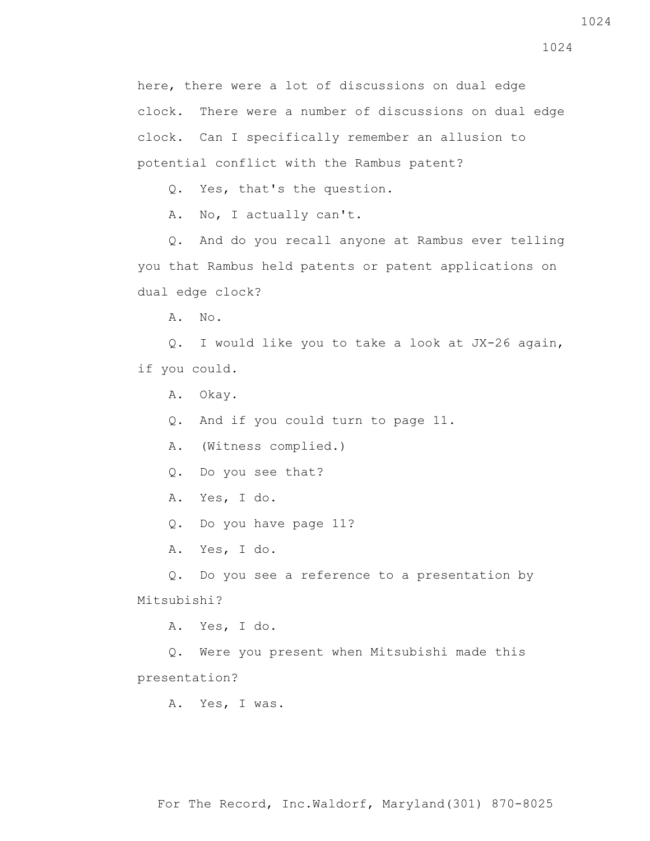here, there were a lot of discussions on dual edge clock. There were a number of discussions on dual edge clock. Can I specifically remember an allusion to potential conflict with the Rambus patent?

Q. Yes, that's the question.

A. No, I actually can't.

 Q. And do you recall anyone at Rambus ever telling you that Rambus held patents or patent applications on dual edge clock?

A. No.

 Q. I would like you to take a look at JX-26 again, if you could.

A. Okay.

Q. And if you could turn to page 11.

A. (Witness complied.)

Q. Do you see that?

A. Yes, I do.

Q. Do you have page 11?

A. Yes, I do.

 Q. Do you see a reference to a presentation by Mitsubishi?

A. Yes, I do.

 Q. Were you present when Mitsubishi made this presentation?

A. Yes, I was.

1024

For The Record, Inc.Waldorf, Maryland(301) 870-8025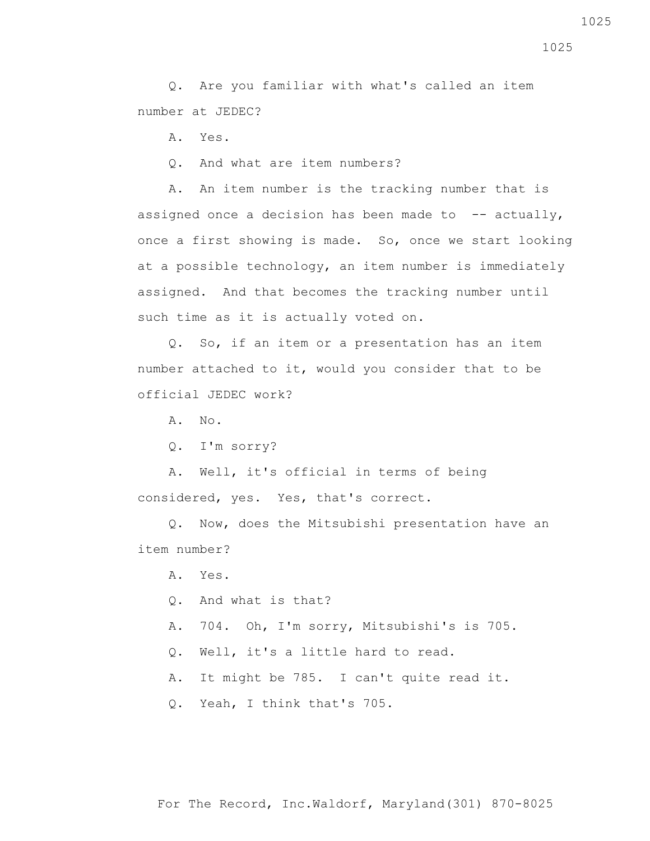Q. Are you familiar with what's called an item number at JEDEC?

A. Yes.

Q. And what are item numbers?

 A. An item number is the tracking number that is assigned once a decision has been made to  $-$ - actually, once a first showing is made. So, once we start looking at a possible technology, an item number is immediately assigned. And that becomes the tracking number until such time as it is actually voted on.

 Q. So, if an item or a presentation has an item number attached to it, would you consider that to be official JEDEC work?

A. No.

Q. I'm sorry?

 A. Well, it's official in terms of being considered, yes. Yes, that's correct.

 Q. Now, does the Mitsubishi presentation have an item number?

A. Yes.

Q. And what is that?

- A. 704. Oh, I'm sorry, Mitsubishi's is 705.
- Q. Well, it's a little hard to read.
- A. It might be 785. I can't quite read it.

Q. Yeah, I think that's 705.

1025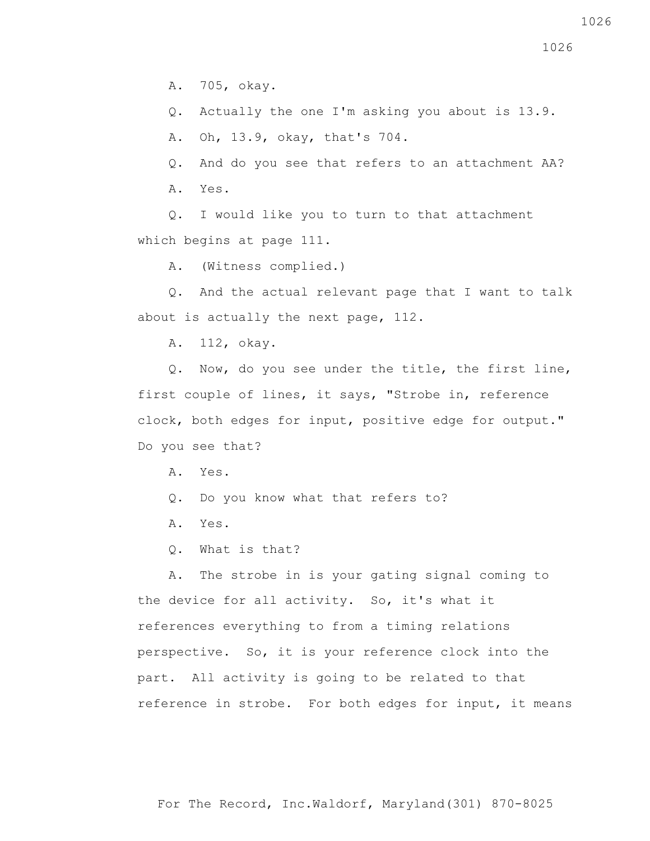A. 705, okay.

Q. Actually the one I'm asking you about is 13.9.

A. Oh, 13.9, okay, that's 704.

Q. And do you see that refers to an attachment AA?

A. Yes.

 Q. I would like you to turn to that attachment which begins at page 111.

A. (Witness complied.)

 Q. And the actual relevant page that I want to talk about is actually the next page, 112.

A. 112, okay.

 Q. Now, do you see under the title, the first line, first couple of lines, it says, "Strobe in, reference clock, both edges for input, positive edge for output." Do you see that?

A. Yes.

- Q. Do you know what that refers to?
- A. Yes.
- Q. What is that?

 A. The strobe in is your gating signal coming to the device for all activity. So, it's what it references everything to from a timing relations perspective. So, it is your reference clock into the part. All activity is going to be related to that reference in strobe. For both edges for input, it means

For The Record, Inc.Waldorf, Maryland(301) 870-8025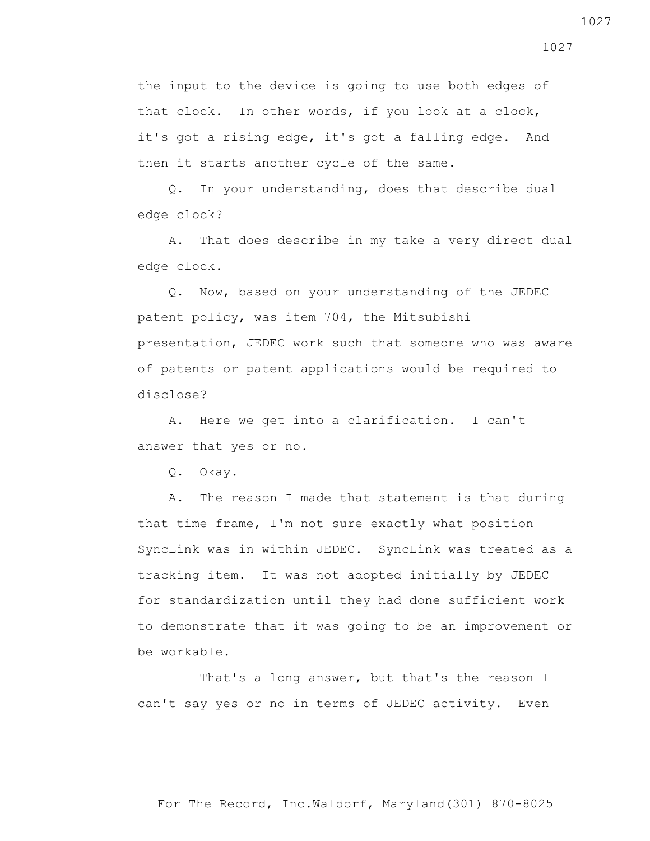the input to the device is going to use both edges of that clock. In other words, if you look at a clock, it's got a rising edge, it's got a falling edge. And then it starts another cycle of the same.

 Q. In your understanding, does that describe dual edge clock?

 A. That does describe in my take a very direct dual edge clock.

 Q. Now, based on your understanding of the JEDEC patent policy, was item 704, the Mitsubishi presentation, JEDEC work such that someone who was aware of patents or patent applications would be required to disclose?

 A. Here we get into a clarification. I can't answer that yes or no.

Q. Okay.

 A. The reason I made that statement is that during that time frame, I'm not sure exactly what position SyncLink was in within JEDEC. SyncLink was treated as a tracking item. It was not adopted initially by JEDEC for standardization until they had done sufficient work to demonstrate that it was going to be an improvement or be workable.

 That's a long answer, but that's the reason I can't say yes or no in terms of JEDEC activity. Even

For The Record, Inc.Waldorf, Maryland(301) 870-8025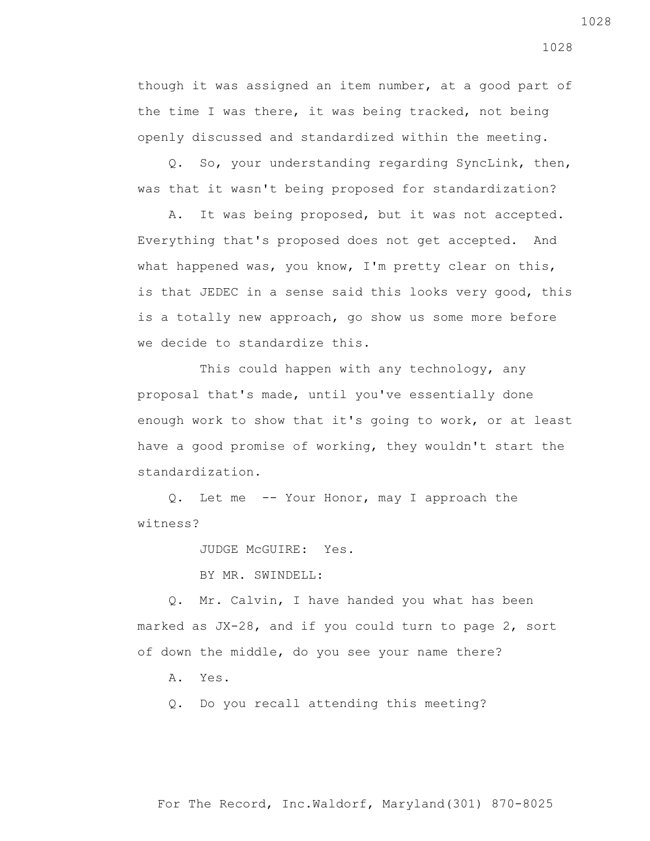though it was assigned an item number, at a good part of the time I was there, it was being tracked, not being openly discussed and standardized within the meeting.

 Q. So, your understanding regarding SyncLink, then, was that it wasn't being proposed for standardization?

 A. It was being proposed, but it was not accepted. Everything that's proposed does not get accepted. And what happened was, you know, I'm pretty clear on this, is that JEDEC in a sense said this looks very good, this is a totally new approach, go show us some more before we decide to standardize this.

This could happen with any technology, any proposal that's made, until you've essentially done enough work to show that it's going to work, or at least have a good promise of working, they wouldn't start the standardization.

 Q. Let me -- Your Honor, may I approach the witness?

JUDGE McGUIRE: Yes.

BY MR. SWINDELL:

 Q. Mr. Calvin, I have handed you what has been marked as JX-28, and if you could turn to page 2, sort of down the middle, do you see your name there?

A. Yes.

Q. Do you recall attending this meeting?

1028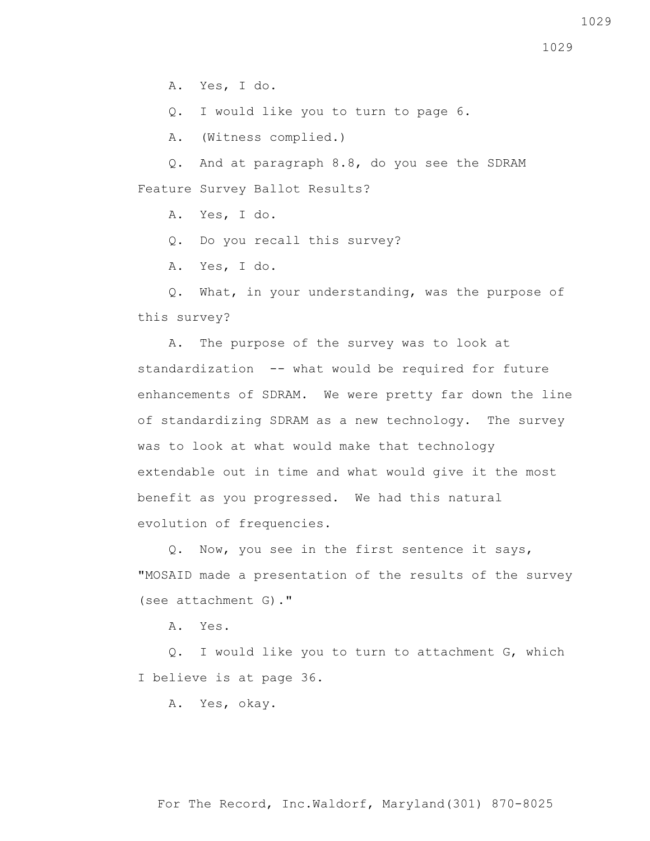A. Yes, I do.

Q. I would like you to turn to page 6.

A. (Witness complied.)

 Q. And at paragraph 8.8, do you see the SDRAM Feature Survey Ballot Results?

A. Yes, I do.

Q. Do you recall this survey?

A. Yes, I do.

 Q. What, in your understanding, was the purpose of this survey?

 A. The purpose of the survey was to look at standardization -- what would be required for future enhancements of SDRAM. We were pretty far down the line of standardizing SDRAM as a new technology. The survey was to look at what would make that technology extendable out in time and what would give it the most benefit as you progressed. We had this natural evolution of frequencies.

 Q. Now, you see in the first sentence it says, "MOSAID made a presentation of the results of the survey (see attachment G)."

A. Yes.

 Q. I would like you to turn to attachment G, which I believe is at page 36.

A. Yes, okay.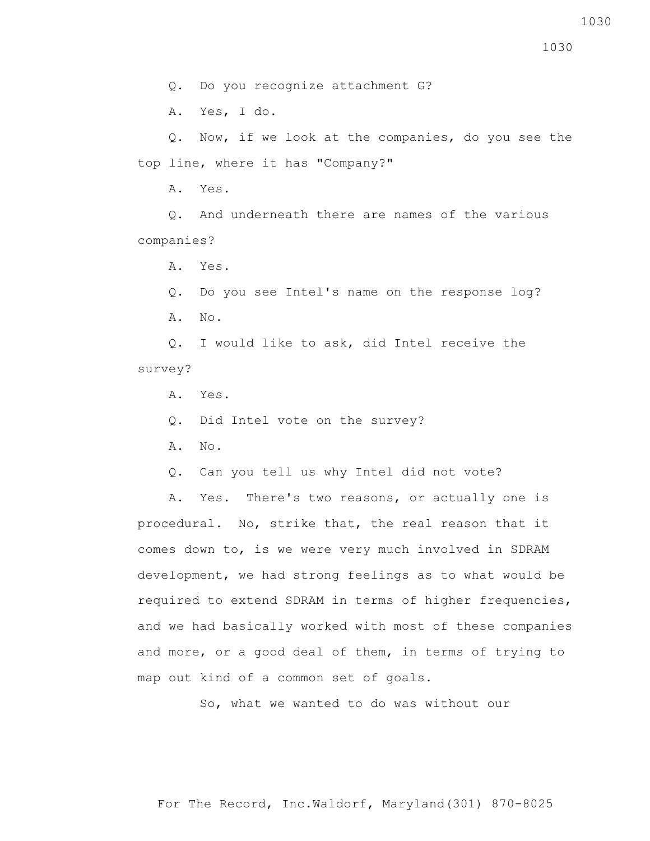1030

Q. Do you recognize attachment G?

A. Yes, I do.

 Q. Now, if we look at the companies, do you see the top line, where it has "Company?"

A. Yes.

 Q. And underneath there are names of the various companies?

A. Yes.

 Q. Do you see Intel's name on the response log? A. No.

 Q. I would like to ask, did Intel receive the survey?

A. Yes.

Q. Did Intel vote on the survey?

A. No.

Q. Can you tell us why Intel did not vote?

 A. Yes. There's two reasons, or actually one is procedural. No, strike that, the real reason that it comes down to, is we were very much involved in SDRAM development, we had strong feelings as to what would be required to extend SDRAM in terms of higher frequencies, and we had basically worked with most of these companies and more, or a good deal of them, in terms of trying to map out kind of a common set of goals.

So, what we wanted to do was without our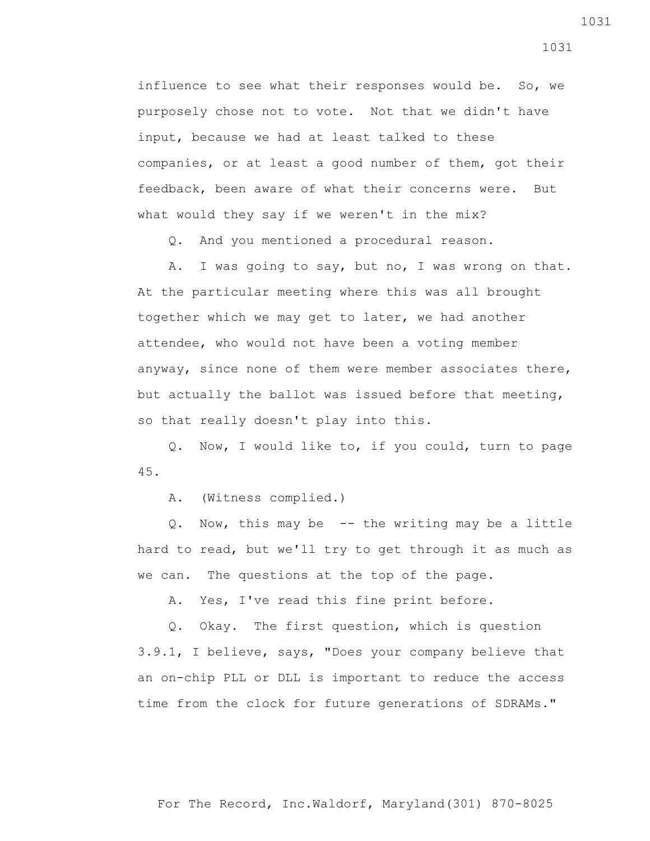influence to see what their responses would be. So, we purposely chose not to vote. Not that we didn't have input, because we had at least talked to these companies, or at least a good number of them, got their feedback, been aware of what their concerns were. But what would they say if we weren't in the mix?

Q. And you mentioned a procedural reason.

 A. I was going to say, but no, I was wrong on that. At the particular meeting where this was all brought together which we may get to later, we had another attendee, who would not have been a voting member anyway, since none of them were member associates there, but actually the ballot was issued before that meeting, so that really doesn't play into this.

 Q. Now, I would like to, if you could, turn to page 45.

A. (Witness complied.)

 Q. Now, this may be -- the writing may be a little hard to read, but we'll try to get through it as much as we can. The questions at the top of the page.

A. Yes, I've read this fine print before.

Q. Okay. The first question, which is question

3.9.1, I believe, says, "Does your company believe that an on-chip PLL or DLL is important to reduce the access time from the clock for future generations of SDRAMs."

1031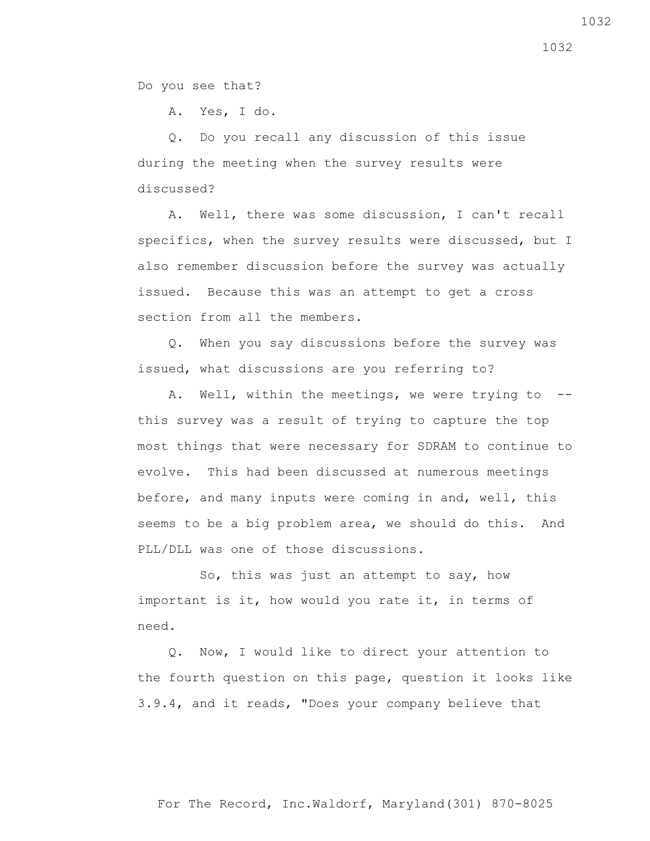Do you see that?

A. Yes, I do.

 Q. Do you recall any discussion of this issue during the meeting when the survey results were discussed?

 A. Well, there was some discussion, I can't recall specifics, when the survey results were discussed, but I also remember discussion before the survey was actually issued. Because this was an attempt to get a cross section from all the members.

 Q. When you say discussions before the survey was issued, what discussions are you referring to?

 A. Well, within the meetings, we were trying to - this survey was a result of trying to capture the top most things that were necessary for SDRAM to continue to evolve. This had been discussed at numerous meetings before, and many inputs were coming in and, well, this seems to be a big problem area, we should do this. And PLL/DLL was one of those discussions.

 So, this was just an attempt to say, how important is it, how would you rate it, in terms of need.

 Q. Now, I would like to direct your attention to the fourth question on this page, question it looks like 3.9.4, and it reads, "Does your company believe that

For The Record, Inc.Waldorf, Maryland(301) 870-8025

1032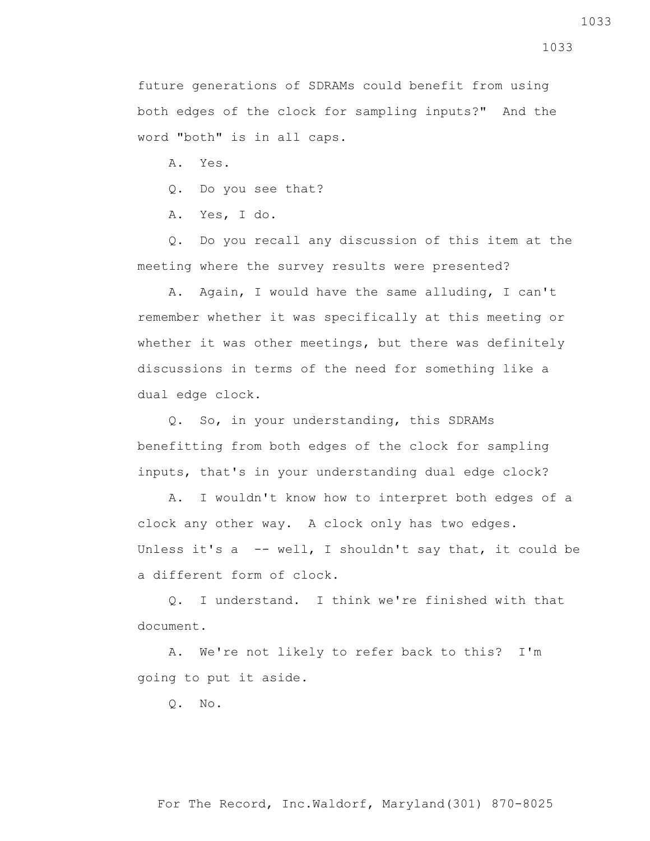future generations of SDRAMs could benefit from using both edges of the clock for sampling inputs?" And the word "both" is in all caps.

A. Yes.

Q. Do you see that?

A. Yes, I do.

 Q. Do you recall any discussion of this item at the meeting where the survey results were presented?

 A. Again, I would have the same alluding, I can't remember whether it was specifically at this meeting or whether it was other meetings, but there was definitely discussions in terms of the need for something like a dual edge clock.

 Q. So, in your understanding, this SDRAMs benefitting from both edges of the clock for sampling inputs, that's in your understanding dual edge clock?

 A. I wouldn't know how to interpret both edges of a clock any other way. A clock only has two edges. Unless it's a -- well, I shouldn't say that, it could be a different form of clock.

 Q. I understand. I think we're finished with that document.

 A. We're not likely to refer back to this? I'm going to put it aside.

Q. No.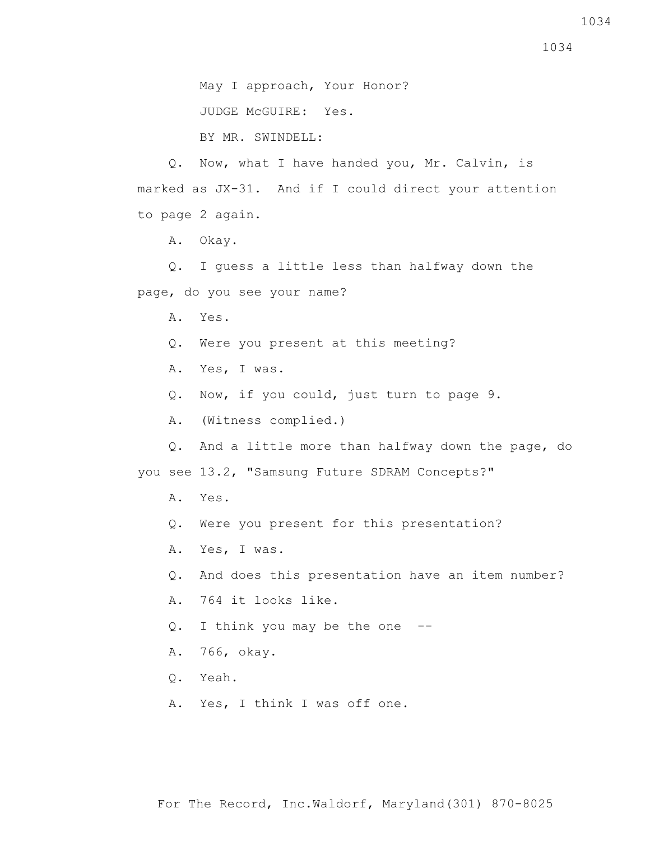May I approach, Your Honor?

JUDGE McGUIRE: Yes.

BY MR. SWINDELL:

 Q. Now, what I have handed you, Mr. Calvin, is marked as JX-31. And if I could direct your attention to page 2 again.

A. Okay.

 Q. I guess a little less than halfway down the page, do you see your name?

A. Yes.

Q. Were you present at this meeting?

A. Yes, I was.

Q. Now, if you could, just turn to page 9.

A. (Witness complied.)

 Q. And a little more than halfway down the page, do you see 13.2, "Samsung Future SDRAM Concepts?"

- A. Yes.
- Q. Were you present for this presentation?
- A. Yes, I was.
- Q. And does this presentation have an item number?
- A. 764 it looks like.
- Q. I think you may be the one --
- A. 766, okay.
- Q. Yeah.
- A. Yes, I think I was off one.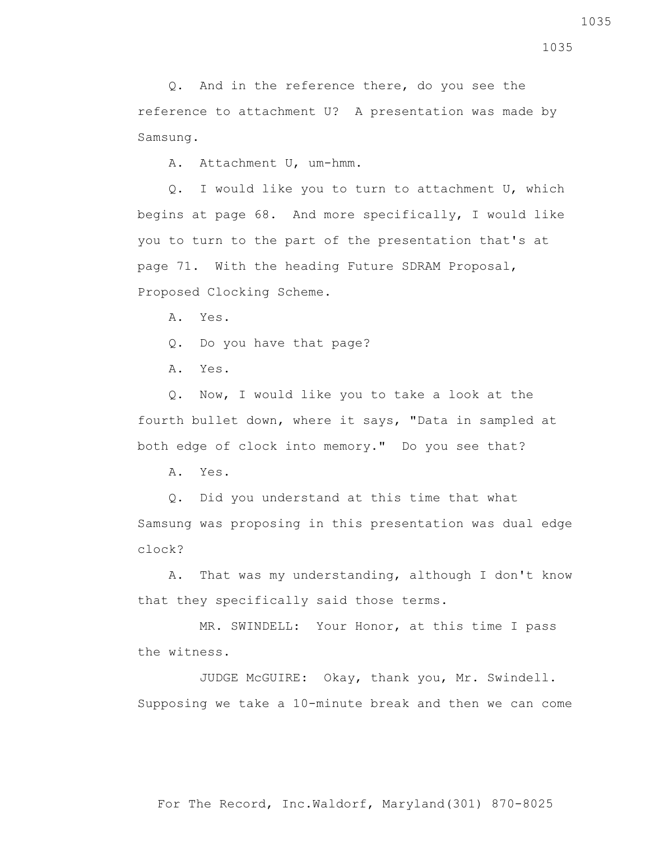Q. And in the reference there, do you see the reference to attachment U? A presentation was made by Samsung.

A. Attachment U, um-hmm.

 Q. I would like you to turn to attachment U, which begins at page 68. And more specifically, I would like you to turn to the part of the presentation that's at page 71. With the heading Future SDRAM Proposal, Proposed Clocking Scheme.

A. Yes.

Q. Do you have that page?

A. Yes.

 Q. Now, I would like you to take a look at the fourth bullet down, where it says, "Data in sampled at both edge of clock into memory." Do you see that?

A. Yes.

Q. Did you understand at this time that what

Samsung was proposing in this presentation was dual edge clock?

 A. That was my understanding, although I don't know that they specifically said those terms.

 MR. SWINDELL: Your Honor, at this time I pass the witness.

 JUDGE McGUIRE: Okay, thank you, Mr. Swindell. Supposing we take a 10-minute break and then we can come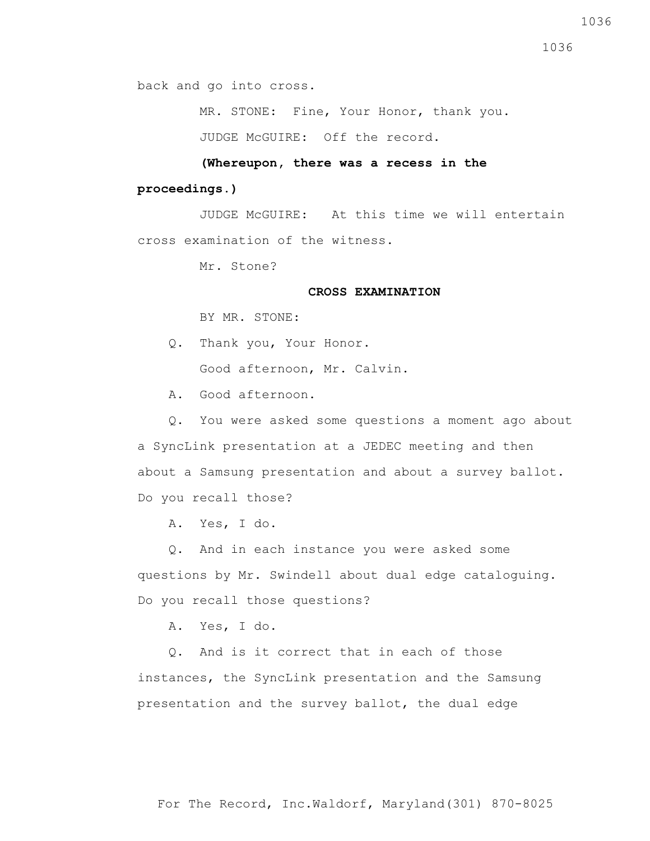back and go into cross.

MR. STONE: Fine, Your Honor, thank you.

JUDGE McGUIRE: Off the record.

 **(Whereupon, there was a recess in the** 

## **proceedings.)**

 JUDGE McGUIRE: At this time we will entertain cross examination of the witness.

Mr. Stone?

## **CROSS EXAMINATION**

BY MR. STONE:

- Q. Thank you, Your Honor. Good afternoon, Mr. Calvin.
- A. Good afternoon.

 Q. You were asked some questions a moment ago about a SyncLink presentation at a JEDEC meeting and then about a Samsung presentation and about a survey ballot. Do you recall those?

A. Yes, I do.

 Q. And in each instance you were asked some questions by Mr. Swindell about dual edge cataloguing. Do you recall those questions?

A. Yes, I do.

 Q. And is it correct that in each of those instances, the SyncLink presentation and the Samsung presentation and the survey ballot, the dual edge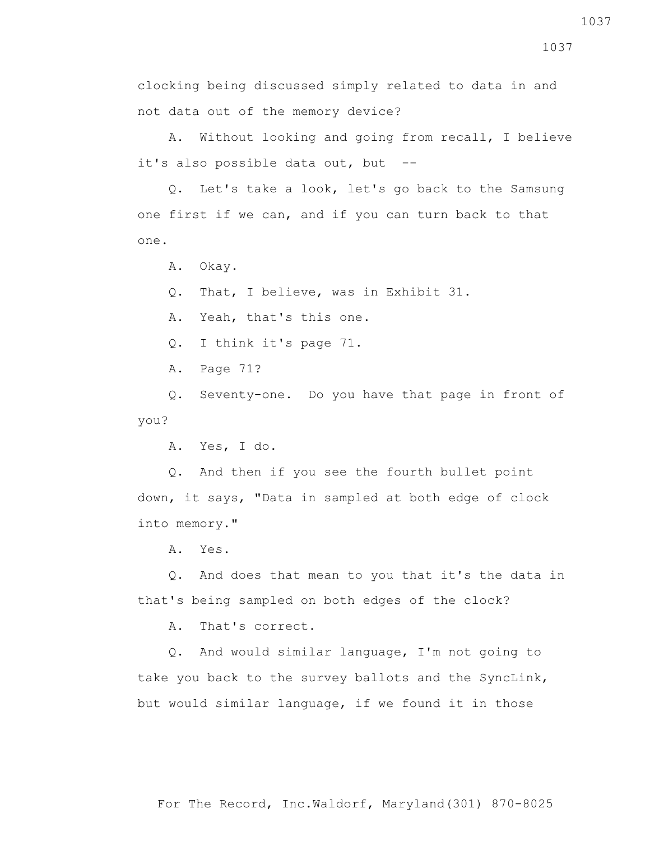clocking being discussed simply related to data in and not data out of the memory device?

 A. Without looking and going from recall, I believe it's also possible data out, but --

 Q. Let's take a look, let's go back to the Samsung one first if we can, and if you can turn back to that one.

A. Okay.

Q. That, I believe, was in Exhibit 31.

A. Yeah, that's this one.

Q. I think it's page 71.

A. Page 71?

 Q. Seventy-one. Do you have that page in front of you?

A. Yes, I do.

 Q. And then if you see the fourth bullet point down, it says, "Data in sampled at both edge of clock into memory."

A. Yes.

 Q. And does that mean to you that it's the data in that's being sampled on both edges of the clock?

A. That's correct.

 Q. And would similar language, I'm not going to take you back to the survey ballots and the SyncLink, but would similar language, if we found it in those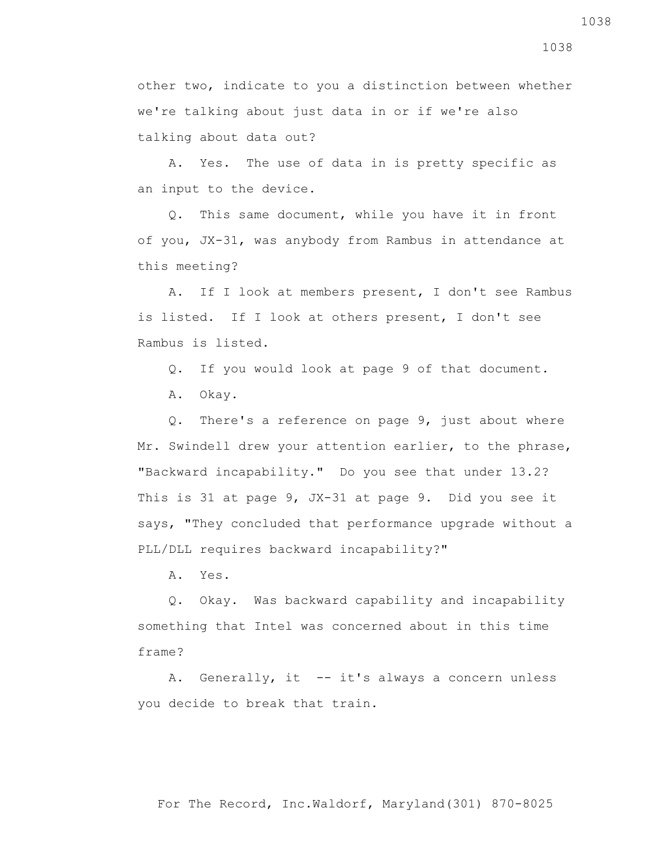other two, indicate to you a distinction between whether we're talking about just data in or if we're also talking about data out?

 A. Yes. The use of data in is pretty specific as an input to the device.

 Q. This same document, while you have it in front of you, JX-31, was anybody from Rambus in attendance at this meeting?

 A. If I look at members present, I don't see Rambus is listed. If I look at others present, I don't see Rambus is listed.

Q. If you would look at page 9 of that document.

A. Okay.

 Q. There's a reference on page 9, just about where Mr. Swindell drew your attention earlier, to the phrase, "Backward incapability." Do you see that under 13.2? This is 31 at page 9, JX-31 at page 9. Did you see it says, "They concluded that performance upgrade without a PLL/DLL requires backward incapability?"

A. Yes.

 Q. Okay. Was backward capability and incapability something that Intel was concerned about in this time frame?

A. Generally, it -- it's always a concern unless you decide to break that train.

1038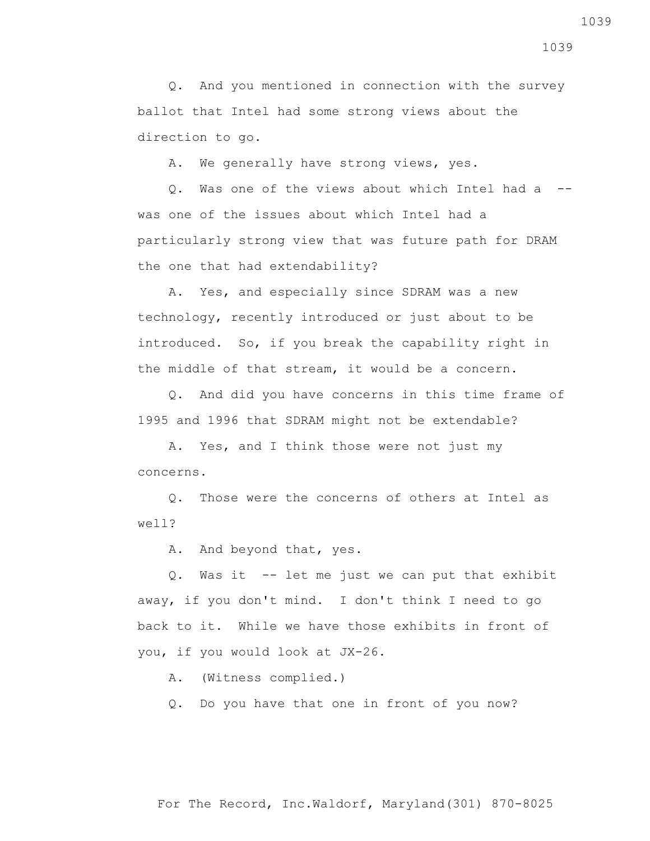Q. And you mentioned in connection with the survey ballot that Intel had some strong views about the direction to go.

A. We generally have strong views, yes.

 Q. Was one of the views about which Intel had a - was one of the issues about which Intel had a particularly strong view that was future path for DRAM the one that had extendability?

 A. Yes, and especially since SDRAM was a new technology, recently introduced or just about to be introduced. So, if you break the capability right in the middle of that stream, it would be a concern.

 Q. And did you have concerns in this time frame of 1995 and 1996 that SDRAM might not be extendable?

 A. Yes, and I think those were not just my concerns.

 Q. Those were the concerns of others at Intel as well?

A. And beyond that, yes.

 Q. Was it -- let me just we can put that exhibit away, if you don't mind. I don't think I need to go back to it. While we have those exhibits in front of you, if you would look at JX-26.

A. (Witness complied.)

Q. Do you have that one in front of you now?

1039

1039

For The Record, Inc.Waldorf, Maryland(301) 870-8025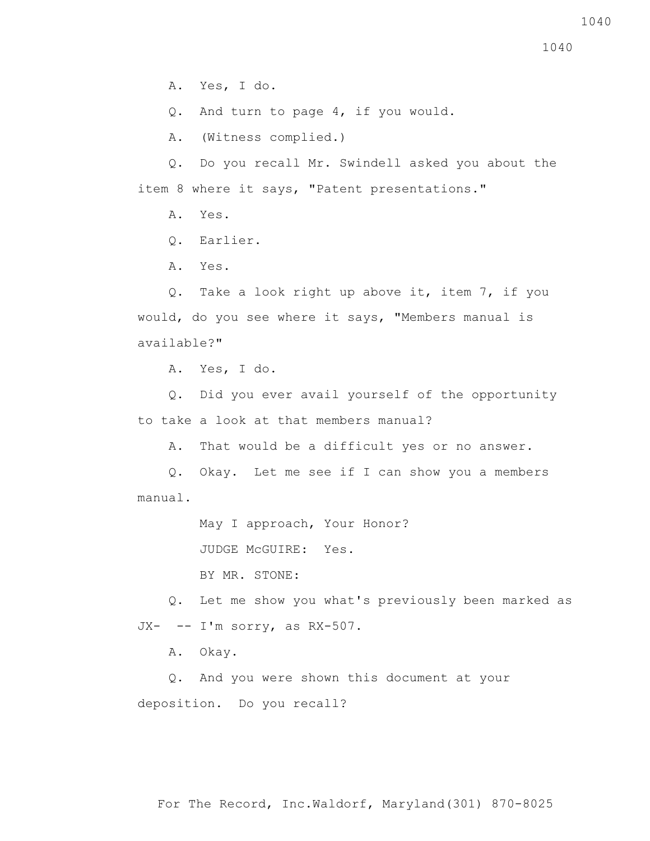A. Yes, I do.

Q. And turn to page 4, if you would.

A. (Witness complied.)

 Q. Do you recall Mr. Swindell asked you about the item 8 where it says, "Patent presentations."

A. Yes.

Q. Earlier.

A. Yes.

 Q. Take a look right up above it, item 7, if you would, do you see where it says, "Members manual is available?"

A. Yes, I do.

 Q. Did you ever avail yourself of the opportunity to take a look at that members manual?

A. That would be a difficult yes or no answer.

 Q. Okay. Let me see if I can show you a members manual.

May I approach, Your Honor?

JUDGE McGUIRE: Yes.

BY MR. STONE:

 Q. Let me show you what's previously been marked as  $JX--I'm sorry, as  $RX-507$ .$ 

A. Okay.

 Q. And you were shown this document at your deposition. Do you recall?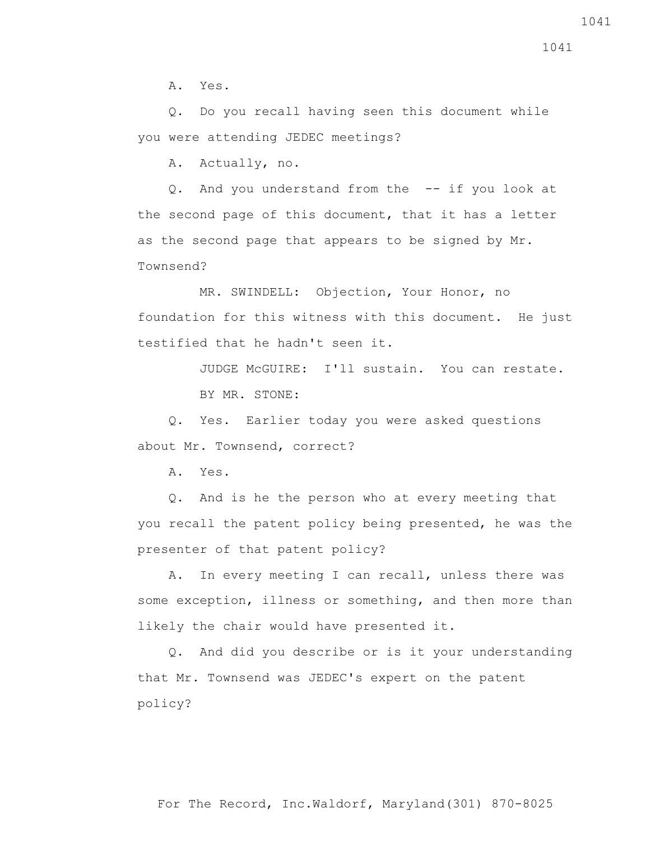A. Yes.

 Q. Do you recall having seen this document while you were attending JEDEC meetings?

A. Actually, no.

 Q. And you understand from the -- if you look at the second page of this document, that it has a letter as the second page that appears to be signed by Mr. Townsend?

 MR. SWINDELL: Objection, Your Honor, no foundation for this witness with this document. He just testified that he hadn't seen it.

JUDGE McGUIRE: I'll sustain. You can restate.

BY MR. STONE:

 Q. Yes. Earlier today you were asked questions about Mr. Townsend, correct?

A. Yes.

 Q. And is he the person who at every meeting that you recall the patent policy being presented, he was the presenter of that patent policy?

 A. In every meeting I can recall, unless there was some exception, illness or something, and then more than likely the chair would have presented it.

 Q. And did you describe or is it your understanding that Mr. Townsend was JEDEC's expert on the patent policy?

For The Record, Inc.Waldorf, Maryland(301) 870-8025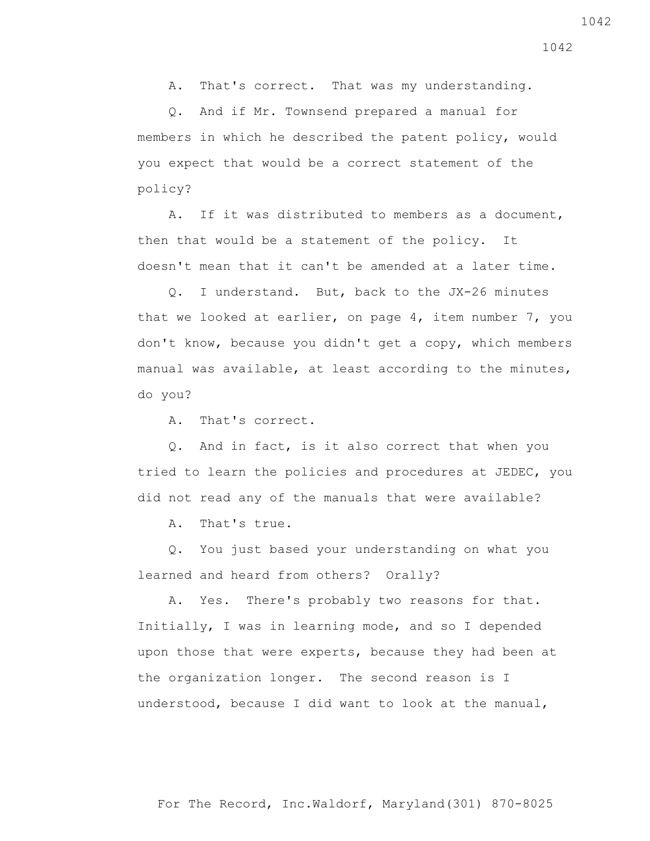For The Record, Inc.Waldorf, Maryland(301) 870-8025

A. That's correct. That was my understanding.

 Q. And if Mr. Townsend prepared a manual for members in which he described the patent policy, would you expect that would be a correct statement of the policy?

 A. If it was distributed to members as a document, then that would be a statement of the policy. It doesn't mean that it can't be amended at a later time.

 Q. I understand. But, back to the JX-26 minutes that we looked at earlier, on page 4, item number 7, you don't know, because you didn't get a copy, which members manual was available, at least according to the minutes, do you?

A. That's correct.

 Q. And in fact, is it also correct that when you tried to learn the policies and procedures at JEDEC, you did not read any of the manuals that were available?

A. That's true.

 Q. You just based your understanding on what you learned and heard from others? Orally?

 A. Yes. There's probably two reasons for that. Initially, I was in learning mode, and so I depended upon those that were experts, because they had been at the organization longer. The second reason is I understood, because I did want to look at the manual,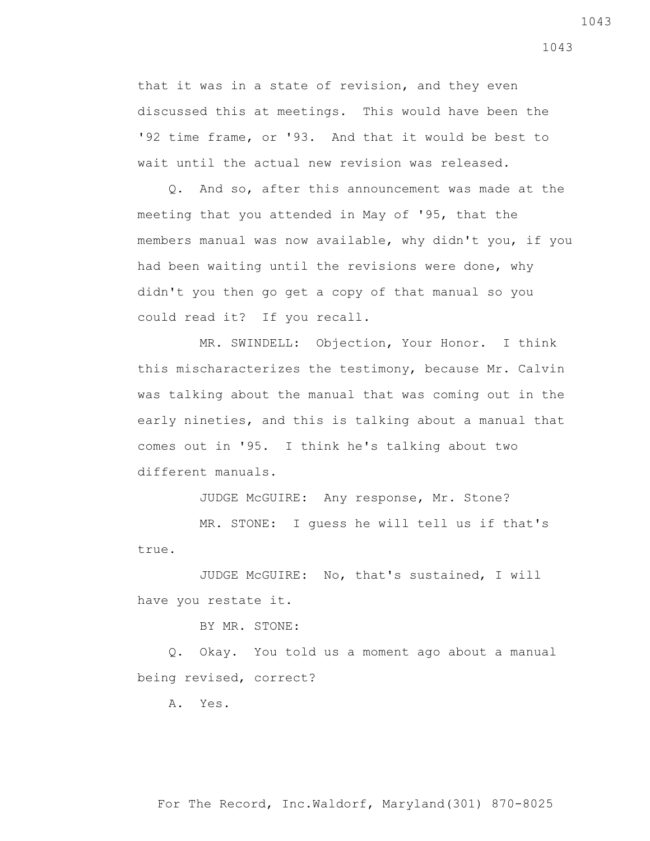that it was in a state of revision, and they even discussed this at meetings. This would have been the '92 time frame, or '93. And that it would be best to wait until the actual new revision was released.

 Q. And so, after this announcement was made at the meeting that you attended in May of '95, that the members manual was now available, why didn't you, if you had been waiting until the revisions were done, why didn't you then go get a copy of that manual so you could read it? If you recall.

 MR. SWINDELL: Objection, Your Honor. I think this mischaracterizes the testimony, because Mr. Calvin was talking about the manual that was coming out in the early nineties, and this is talking about a manual that comes out in '95. I think he's talking about two different manuals.

JUDGE McGUIRE: Any response, Mr. Stone?

 MR. STONE: I guess he will tell us if that's true.

 JUDGE McGUIRE: No, that's sustained, I will have you restate it.

BY MR. STONE:

 Q. Okay. You told us a moment ago about a manual being revised, correct?

A. Yes.

1043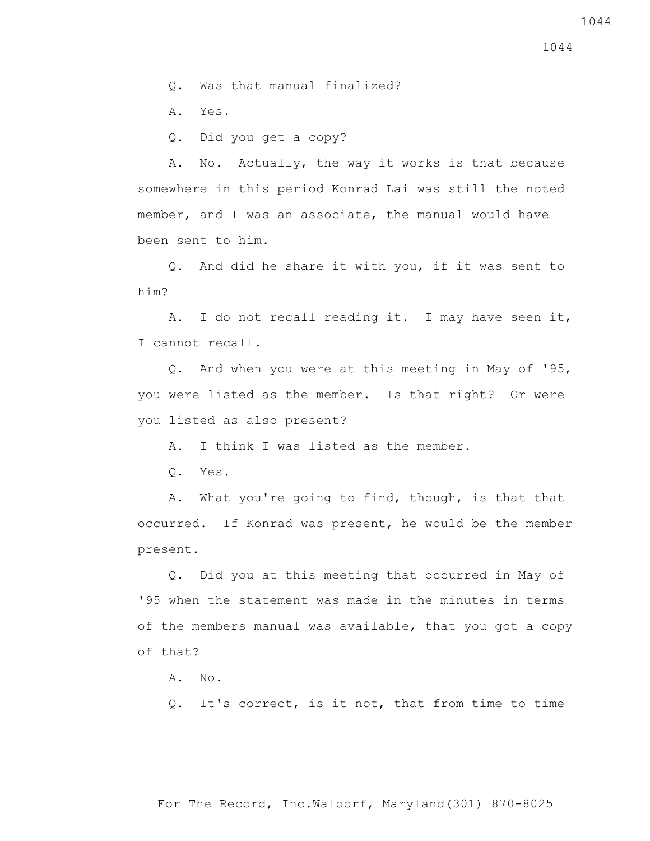Q. Was that manual finalized?

A. Yes.

Q. Did you get a copy?

 A. No. Actually, the way it works is that because somewhere in this period Konrad Lai was still the noted member, and I was an associate, the manual would have been sent to him.

 Q. And did he share it with you, if it was sent to him?

 A. I do not recall reading it. I may have seen it, I cannot recall.

 Q. And when you were at this meeting in May of '95, you were listed as the member. Is that right? Or were you listed as also present?

A. I think I was listed as the member.

Q. Yes.

 A. What you're going to find, though, is that that occurred. If Konrad was present, he would be the member present.

 Q. Did you at this meeting that occurred in May of '95 when the statement was made in the minutes in terms of the members manual was available, that you got a copy of that?

A. No.

Q. It's correct, is it not, that from time to time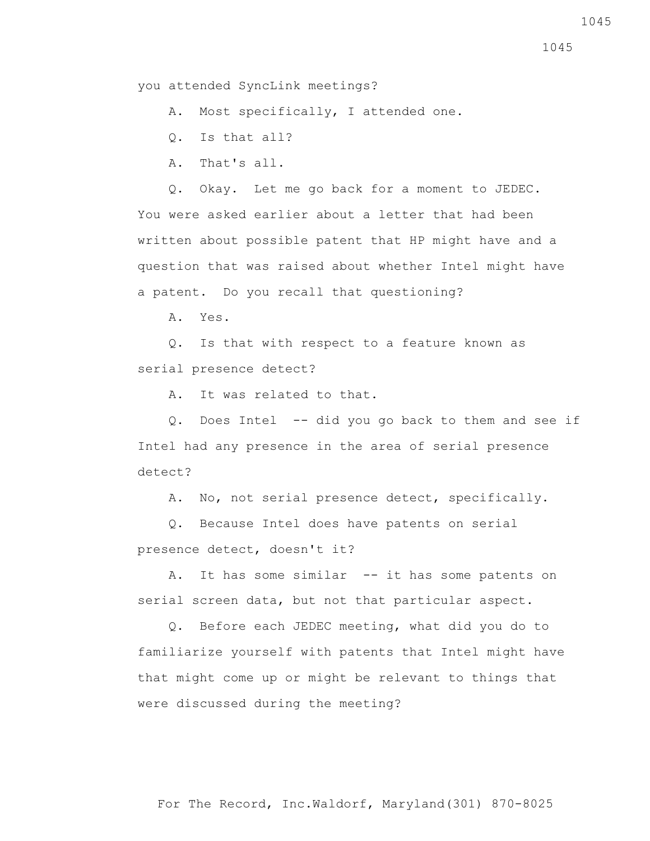you attended SyncLink meetings?

A. Most specifically, I attended one.

Q. Is that all?

A. That's all.

 Q. Okay. Let me go back for a moment to JEDEC. You were asked earlier about a letter that had been written about possible patent that HP might have and a question that was raised about whether Intel might have a patent. Do you recall that questioning?

A. Yes.

 Q. Is that with respect to a feature known as serial presence detect?

A. It was related to that.

 Q. Does Intel -- did you go back to them and see if Intel had any presence in the area of serial presence detect?

A. No, not serial presence detect, specifically.

 Q. Because Intel does have patents on serial presence detect, doesn't it?

A. It has some similar -- it has some patents on serial screen data, but not that particular aspect.

 Q. Before each JEDEC meeting, what did you do to familiarize yourself with patents that Intel might have that might come up or might be relevant to things that were discussed during the meeting?

1045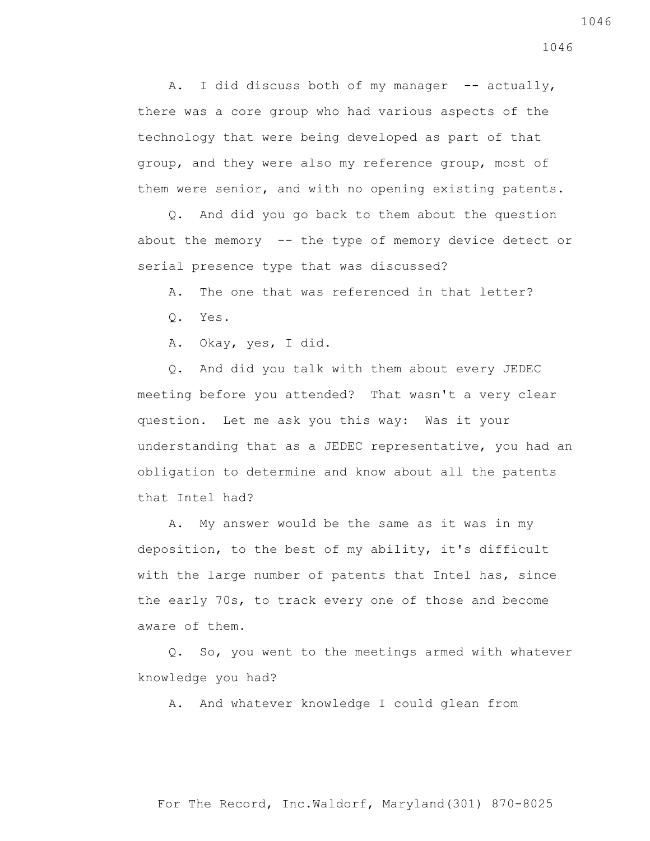A. I did discuss both of my manager -- actually, there was a core group who had various aspects of the technology that were being developed as part of that group, and they were also my reference group, most of them were senior, and with no opening existing patents.

 Q. And did you go back to them about the question about the memory -- the type of memory device detect or serial presence type that was discussed?

A. The one that was referenced in that letter?

Q. Yes.

A. Okay, yes, I did.

 Q. And did you talk with them about every JEDEC meeting before you attended? That wasn't a very clear question. Let me ask you this way: Was it your understanding that as a JEDEC representative, you had an obligation to determine and know about all the patents that Intel had?

 A. My answer would be the same as it was in my deposition, to the best of my ability, it's difficult with the large number of patents that Intel has, since the early 70s, to track every one of those and become aware of them.

 Q. So, you went to the meetings armed with whatever knowledge you had?

A. And whatever knowledge I could glean from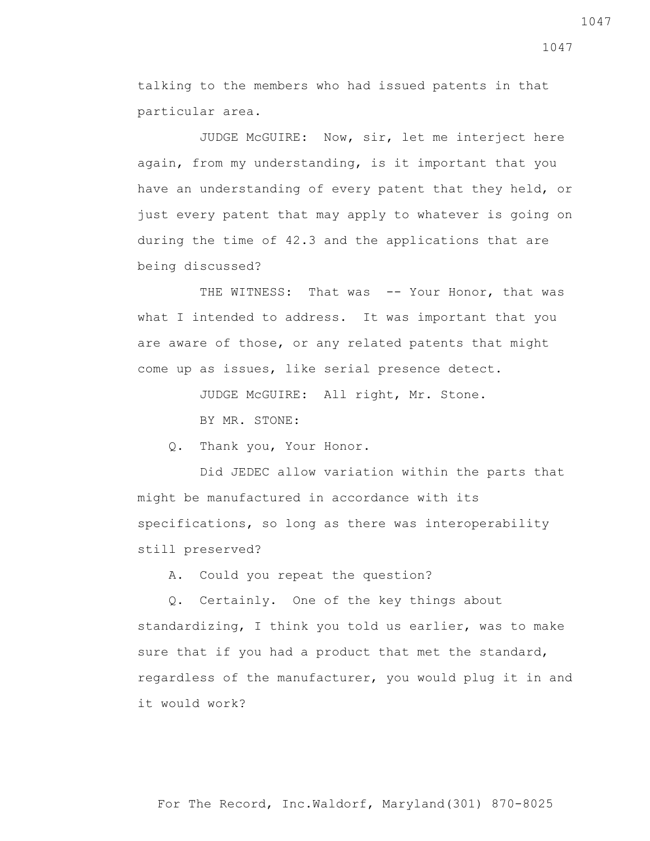talking to the members who had issued patents in that particular area.

 JUDGE McGUIRE: Now, sir, let me interject here again, from my understanding, is it important that you have an understanding of every patent that they held, or just every patent that may apply to whatever is going on during the time of 42.3 and the applications that are being discussed?

THE WITNESS: That was -- Your Honor, that was what I intended to address. It was important that you are aware of those, or any related patents that might come up as issues, like serial presence detect.

JUDGE McGUIRE: All right, Mr. Stone.

BY MR. STONE:

Q. Thank you, Your Honor.

 Did JEDEC allow variation within the parts that might be manufactured in accordance with its specifications, so long as there was interoperability still preserved?

A. Could you repeat the question?

 Q. Certainly. One of the key things about standardizing, I think you told us earlier, was to make sure that if you had a product that met the standard, regardless of the manufacturer, you would plug it in and it would work?

1047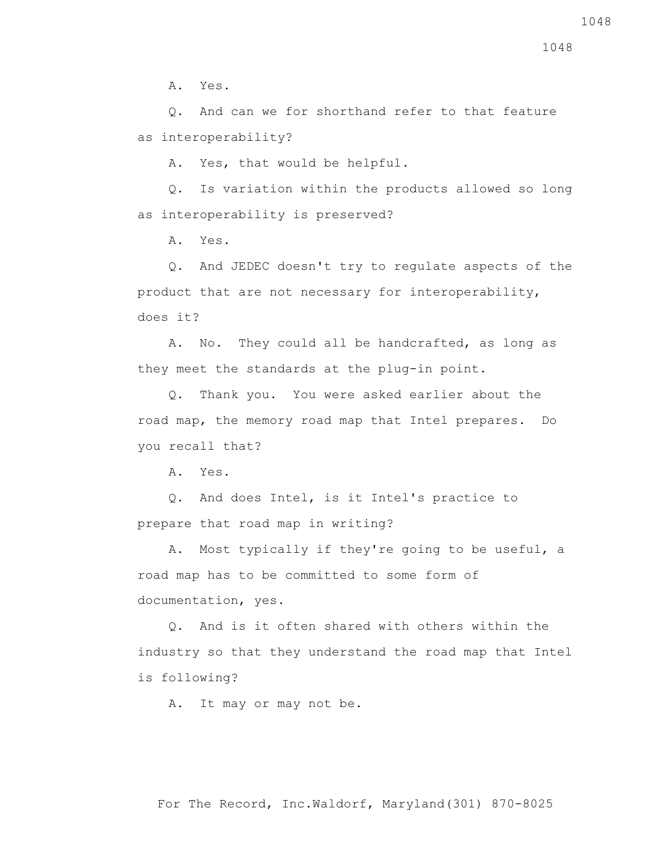A. Yes.

 Q. And can we for shorthand refer to that feature as interoperability?

A. Yes, that would be helpful.

 Q. Is variation within the products allowed so long as interoperability is preserved?

A. Yes.

 Q. And JEDEC doesn't try to regulate aspects of the product that are not necessary for interoperability, does it?

 A. No. They could all be handcrafted, as long as they meet the standards at the plug-in point.

 Q. Thank you. You were asked earlier about the road map, the memory road map that Intel prepares. Do you recall that?

A. Yes.

 Q. And does Intel, is it Intel's practice to prepare that road map in writing?

 A. Most typically if they're going to be useful, a road map has to be committed to some form of documentation, yes.

 Q. And is it often shared with others within the industry so that they understand the road map that Intel is following?

A. It may or may not be.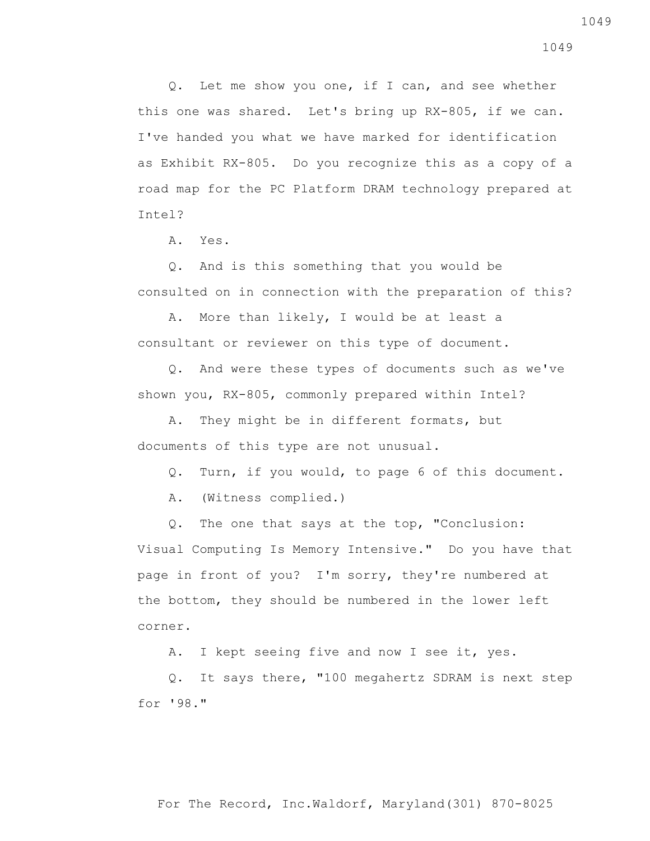Q. Let me show you one, if I can, and see whether this one was shared. Let's bring up RX-805, if we can. I've handed you what we have marked for identification as Exhibit RX-805. Do you recognize this as a copy of a road map for the PC Platform DRAM technology prepared at Intel?

A. Yes.

 Q. And is this something that you would be consulted on in connection with the preparation of this?

 A. More than likely, I would be at least a consultant or reviewer on this type of document.

 Q. And were these types of documents such as we've shown you, RX-805, commonly prepared within Intel?

 A. They might be in different formats, but documents of this type are not unusual.

Q. Turn, if you would, to page 6 of this document.

A. (Witness complied.)

 Q. The one that says at the top, "Conclusion: Visual Computing Is Memory Intensive." Do you have that page in front of you? I'm sorry, they're numbered at the bottom, they should be numbered in the lower left corner.

A. I kept seeing five and now I see it, yes.

 Q. It says there, "100 megahertz SDRAM is next step for '98."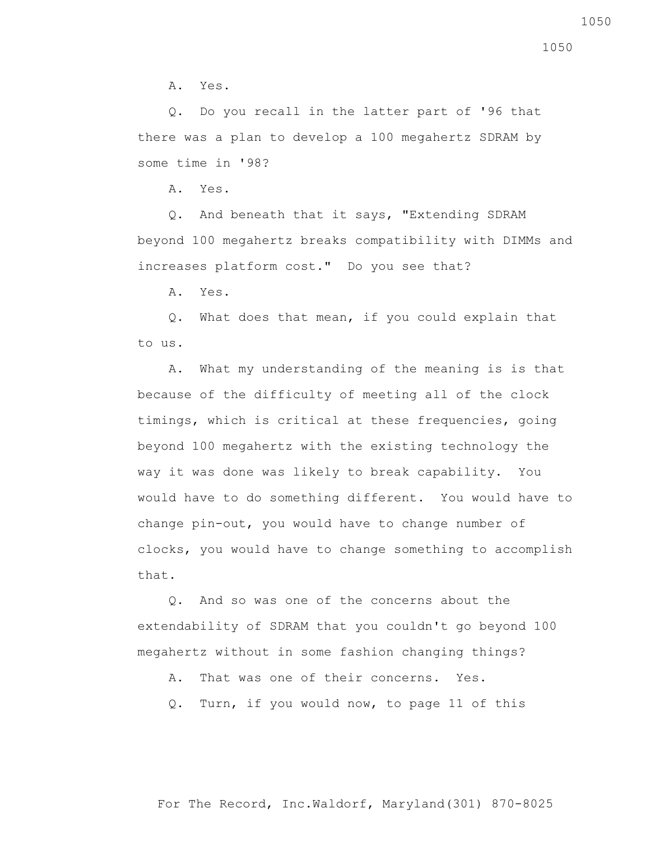A. Yes.

 Q. Do you recall in the latter part of '96 that there was a plan to develop a 100 megahertz SDRAM by some time in '98?

A. Yes.

 Q. And beneath that it says, "Extending SDRAM beyond 100 megahertz breaks compatibility with DIMMs and increases platform cost." Do you see that?

A. Yes.

 Q. What does that mean, if you could explain that to us.

 A. What my understanding of the meaning is is that because of the difficulty of meeting all of the clock timings, which is critical at these frequencies, going beyond 100 megahertz with the existing technology the way it was done was likely to break capability. You would have to do something different. You would have to change pin-out, you would have to change number of clocks, you would have to change something to accomplish that.

 Q. And so was one of the concerns about the extendability of SDRAM that you couldn't go beyond 100 megahertz without in some fashion changing things?

A. That was one of their concerns. Yes.

Q. Turn, if you would now, to page 11 of this

1050

For The Record, Inc.Waldorf, Maryland(301) 870-8025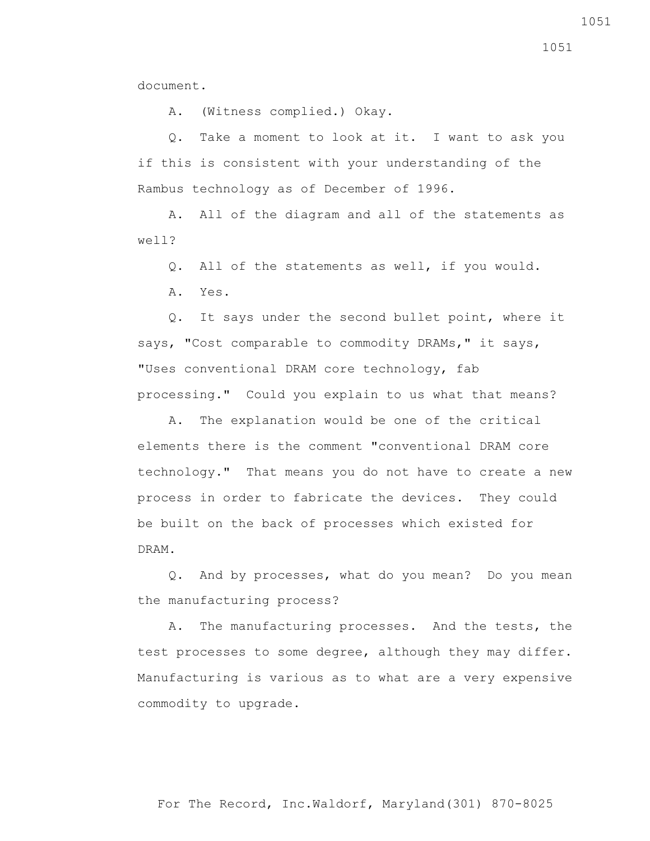document.

A. (Witness complied.) Okay.

 Q. Take a moment to look at it. I want to ask you if this is consistent with your understanding of the Rambus technology as of December of 1996.

 A. All of the diagram and all of the statements as well?

Q. All of the statements as well, if you would.

A. Yes.

 Q. It says under the second bullet point, where it says, "Cost comparable to commodity DRAMs," it says, "Uses conventional DRAM core technology, fab processing." Could you explain to us what that means?

 A. The explanation would be one of the critical elements there is the comment "conventional DRAM core technology." That means you do not have to create a new process in order to fabricate the devices. They could be built on the back of processes which existed for DRAM.

 Q. And by processes, what do you mean? Do you mean the manufacturing process?

 A. The manufacturing processes. And the tests, the test processes to some degree, although they may differ. Manufacturing is various as to what are a very expensive commodity to upgrade.

1051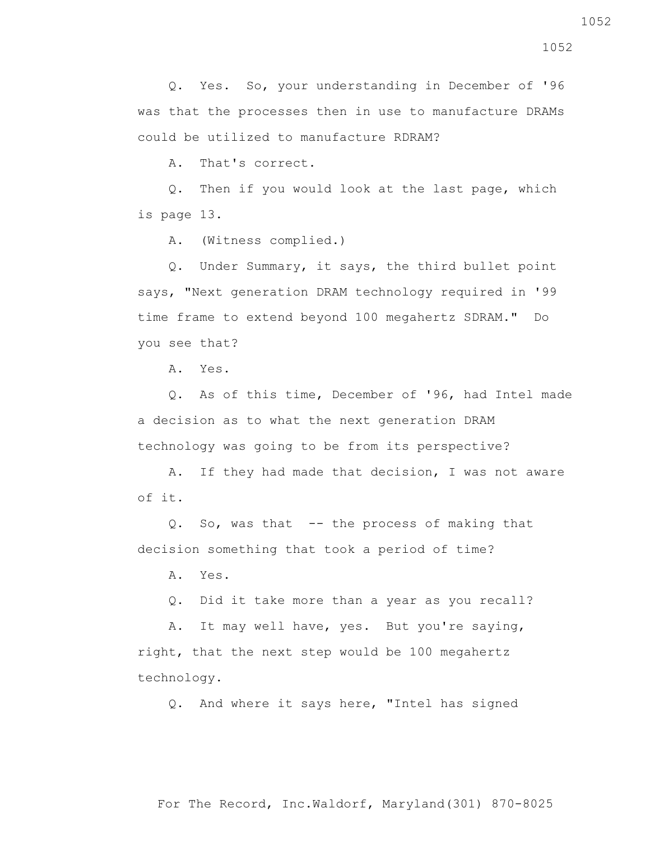Q. Yes. So, your understanding in December of '96 was that the processes then in use to manufacture DRAMs could be utilized to manufacture RDRAM?

A. That's correct.

 Q. Then if you would look at the last page, which is page 13.

A. (Witness complied.)

 Q. Under Summary, it says, the third bullet point says, "Next generation DRAM technology required in '99 time frame to extend beyond 100 megahertz SDRAM." Do you see that?

A. Yes.

 Q. As of this time, December of '96, had Intel made a decision as to what the next generation DRAM technology was going to be from its perspective?

 A. If they had made that decision, I was not aware of it.

 Q. So, was that -- the process of making that decision something that took a period of time?

A. Yes.

Q. Did it take more than a year as you recall?

 A. It may well have, yes. But you're saying, right, that the next step would be 100 megahertz technology.

Q. And where it says here, "Intel has signed

1052

For The Record, Inc.Waldorf, Maryland(301) 870-8025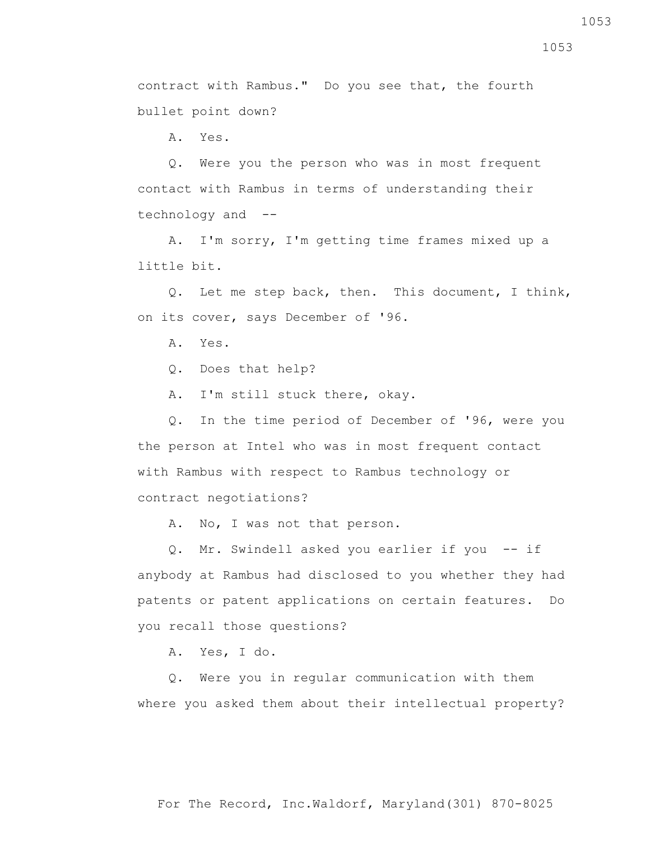1053

contract with Rambus." Do you see that, the fourth

bullet point down?

A. Yes.

 Q. Were you the person who was in most frequent contact with Rambus in terms of understanding their technology and --

 A. I'm sorry, I'm getting time frames mixed up a little bit.

 Q. Let me step back, then. This document, I think, on its cover, says December of '96.

A. Yes.

Q. Does that help?

A. I'm still stuck there, okay.

 Q. In the time period of December of '96, were you the person at Intel who was in most frequent contact with Rambus with respect to Rambus technology or contract negotiations?

A. No, I was not that person.

 Q. Mr. Swindell asked you earlier if you -- if anybody at Rambus had disclosed to you whether they had patents or patent applications on certain features. Do you recall those questions?

A. Yes, I do.

 Q. Were you in regular communication with them where you asked them about their intellectual property?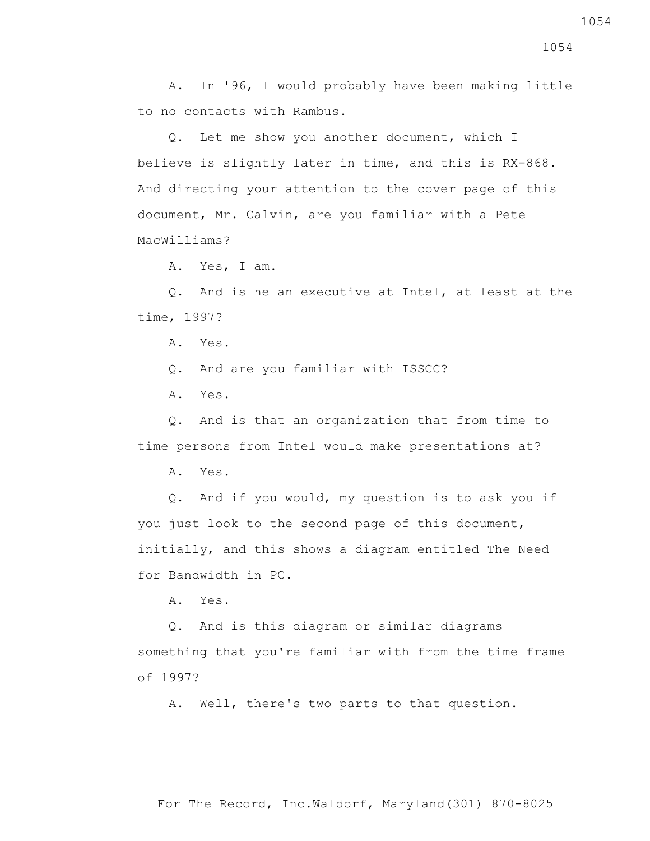A. In '96, I would probably have been making little to no contacts with Rambus.

 Q. Let me show you another document, which I believe is slightly later in time, and this is RX-868. And directing your attention to the cover page of this document, Mr. Calvin, are you familiar with a Pete MacWilliams?

A. Yes, I am.

 Q. And is he an executive at Intel, at least at the time, 1997?

A. Yes.

Q. And are you familiar with ISSCC?

A. Yes.

 Q. And is that an organization that from time to time persons from Intel would make presentations at?

A. Yes.

 Q. And if you would, my question is to ask you if you just look to the second page of this document, initially, and this shows a diagram entitled The Need for Bandwidth in PC.

A. Yes.

 Q. And is this diagram or similar diagrams something that you're familiar with from the time frame of 1997?

A. Well, there's two parts to that question.

1054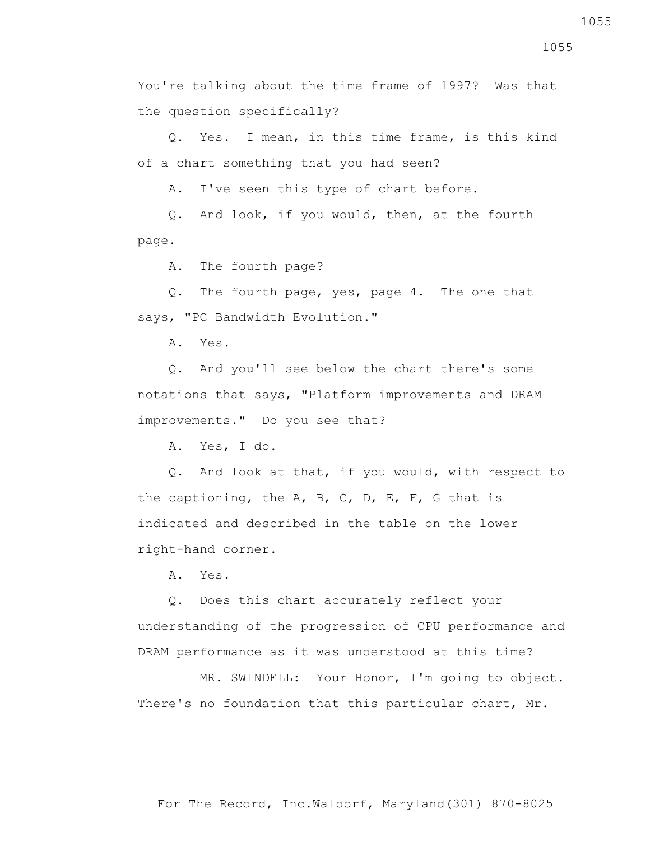improvements." Do you see that?

A. Yes, I do.

 Q. And look at that, if you would, with respect to the captioning, the  $A$ ,  $B$ ,  $C$ ,  $D$ ,  $E$ ,  $F$ ,  $G$  that is indicated and described in the table on the lower right-hand corner.

Q. And you'll see below the chart there's some

notations that says, "Platform improvements and DRAM

A. Yes.

 Q. Does this chart accurately reflect your understanding of the progression of CPU performance and DRAM performance as it was understood at this time?

 MR. SWINDELL: Your Honor, I'm going to object. There's no foundation that this particular chart, Mr.

You're talking about the time frame of 1997? Was that the question specifically?

 Q. Yes. I mean, in this time frame, is this kind of a chart something that you had seen?

A. I've seen this type of chart before.

 Q. And look, if you would, then, at the fourth page.

A. The fourth page?

 Q. The fourth page, yes, page 4. The one that says, "PC Bandwidth Evolution."

A. Yes.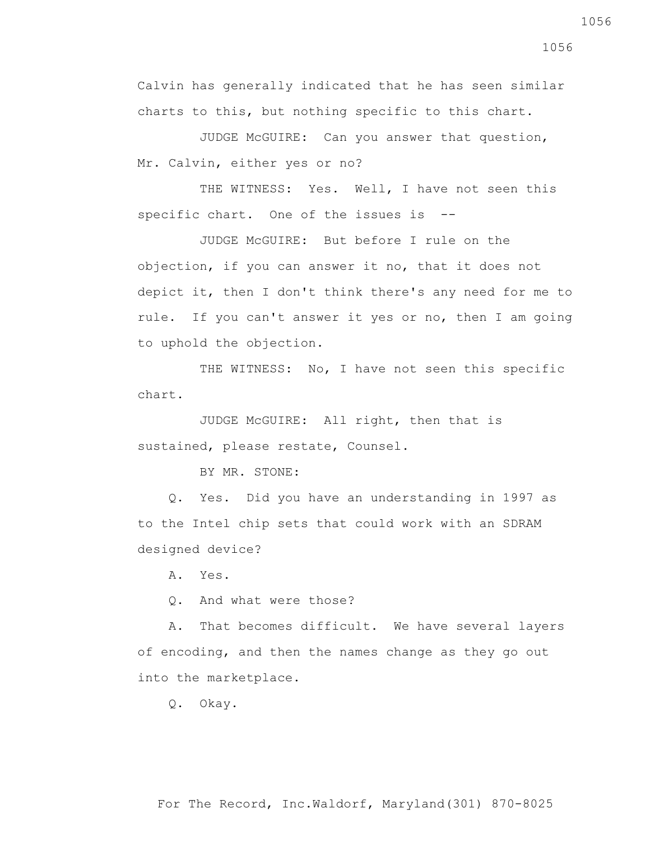Calvin has generally indicated that he has seen similar charts to this, but nothing specific to this chart.

 JUDGE McGUIRE: Can you answer that question, Mr. Calvin, either yes or no?

THE WITNESS: Yes. Well, I have not seen this specific chart. One of the issues is --

 JUDGE McGUIRE: But before I rule on the objection, if you can answer it no, that it does not depict it, then I don't think there's any need for me to rule. If you can't answer it yes or no, then I am going to uphold the objection.

THE WITNESS: No, I have not seen this specific chart.

 JUDGE McGUIRE: All right, then that is sustained, please restate, Counsel.

BY MR. STONE:

 Q. Yes. Did you have an understanding in 1997 as to the Intel chip sets that could work with an SDRAM designed device?

A. Yes.

Q. And what were those?

 A. That becomes difficult. We have several layers of encoding, and then the names change as they go out into the marketplace.

Q. Okay.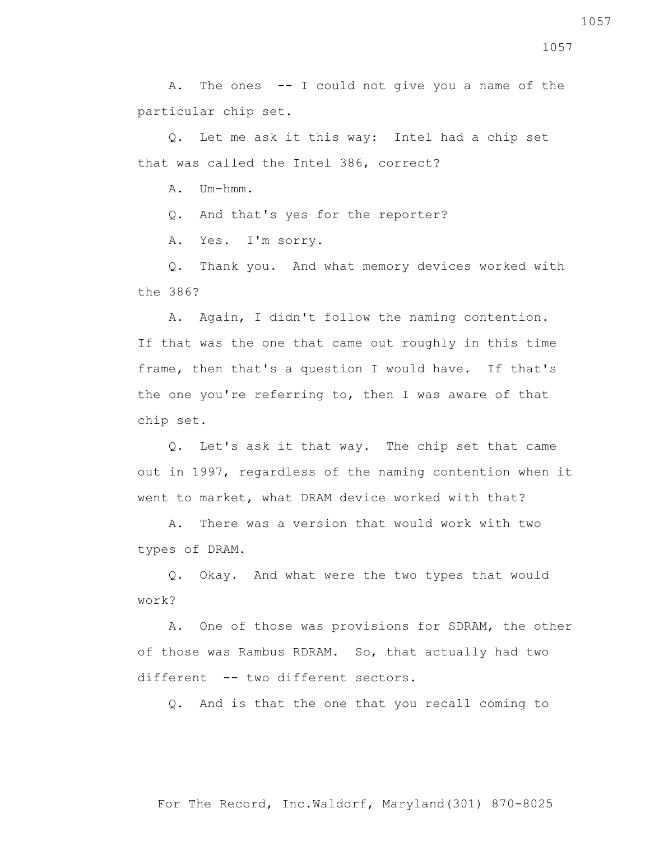A. The ones -- I could not give you a name of the particular chip set.

 Q. Let me ask it this way: Intel had a chip set that was called the Intel 386, correct?

A. Um-hmm.

Q. And that's yes for the reporter?

A. Yes. I'm sorry.

 Q. Thank you. And what memory devices worked with the 386?

 A. Again, I didn't follow the naming contention. If that was the one that came out roughly in this time frame, then that's a question I would have. If that's the one you're referring to, then I was aware of that chip set.

 Q. Let's ask it that way. The chip set that came out in 1997, regardless of the naming contention when it went to market, what DRAM device worked with that?

 A. There was a version that would work with two types of DRAM.

 Q. Okay. And what were the two types that would work?

 A. One of those was provisions for SDRAM, the other of those was Rambus RDRAM. So, that actually had two different -- two different sectors.

Q. And is that the one that you recall coming to

1057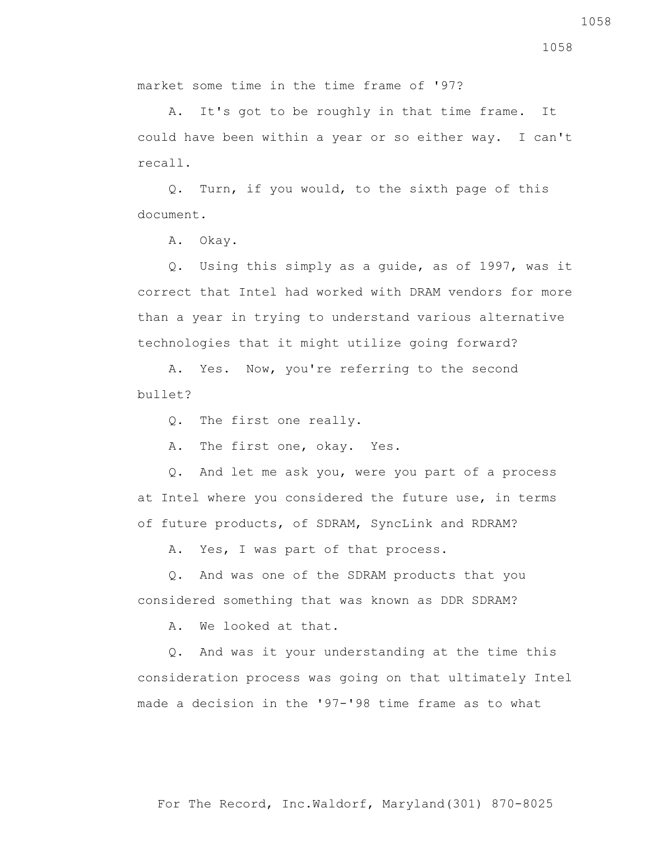For The Record, Inc.Waldorf, Maryland(301) 870-8025

1058

market some time in the time frame of '97?

 A. It's got to be roughly in that time frame. It could have been within a year or so either way. I can't recall.

 Q. Turn, if you would, to the sixth page of this document.

A. Okay.

 Q. Using this simply as a guide, as of 1997, was it correct that Intel had worked with DRAM vendors for more than a year in trying to understand various alternative technologies that it might utilize going forward?

 A. Yes. Now, you're referring to the second  $b$ ullet?

Q. The first one really.

A. The first one, okay. Yes.

 Q. And let me ask you, were you part of a process at Intel where you considered the future use, in terms of future products, of SDRAM, SyncLink and RDRAM?

A. Yes, I was part of that process.

 Q. And was one of the SDRAM products that you considered something that was known as DDR SDRAM?

A. We looked at that.

 Q. And was it your understanding at the time this consideration process was going on that ultimately Intel made a decision in the '97-'98 time frame as to what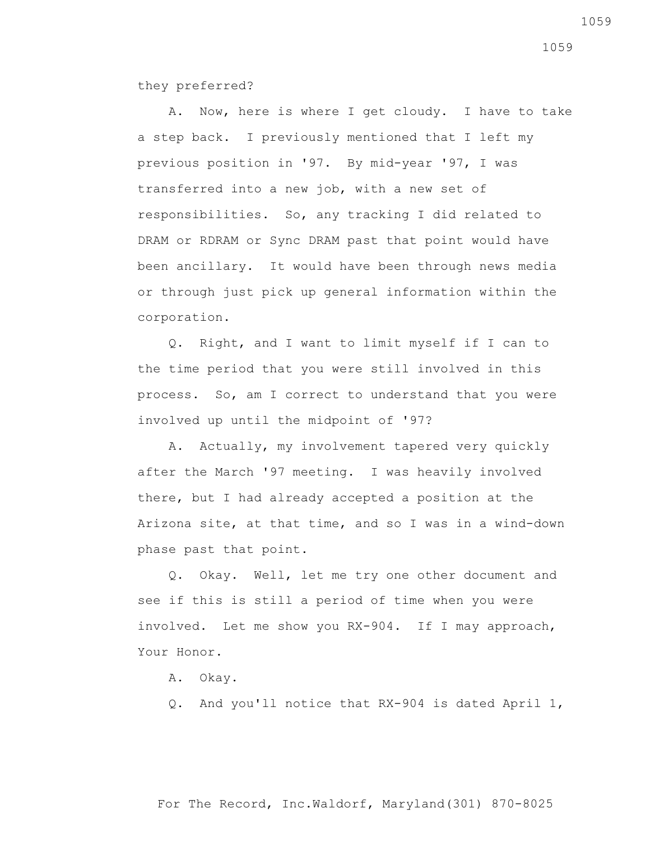they preferred?

 A. Now, here is where I get cloudy. I have to take a step back. I previously mentioned that I left my previous position in '97. By mid-year '97, I was transferred into a new job, with a new set of responsibilities. So, any tracking I did related to DRAM or RDRAM or Sync DRAM past that point would have been ancillary. It would have been through news media or through just pick up general information within the corporation.

 Q. Right, and I want to limit myself if I can to the time period that you were still involved in this process. So, am I correct to understand that you were involved up until the midpoint of '97?

 A. Actually, my involvement tapered very quickly after the March '97 meeting. I was heavily involved there, but I had already accepted a position at the Arizona site, at that time, and so I was in a wind-down phase past that point.

 Q. Okay. Well, let me try one other document and see if this is still a period of time when you were involved. Let me show you RX-904. If I may approach, Your Honor.

A. Okay.

Q. And you'll notice that RX-904 is dated April 1,

1059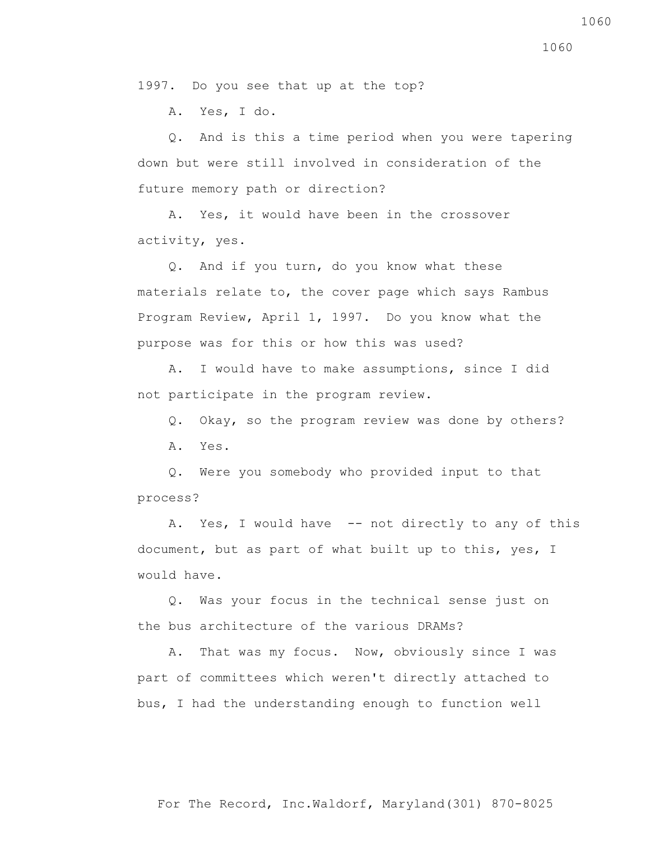1997. Do you see that up at the top?

A. Yes, I do.

 Q. And is this a time period when you were tapering down but were still involved in consideration of the future memory path or direction?

 A. Yes, it would have been in the crossover activity, yes.

 Q. And if you turn, do you know what these materials relate to, the cover page which says Rambus Program Review, April 1, 1997. Do you know what the purpose was for this or how this was used?

 A. I would have to make assumptions, since I did not participate in the program review.

Q. Okay, so the program review was done by others?

A. Yes.

 Q. Were you somebody who provided input to that process?

A. Yes, I would have -- not directly to any of this document, but as part of what built up to this, yes, I would have.

 Q. Was your focus in the technical sense just on the bus architecture of the various DRAMs?

 A. That was my focus. Now, obviously since I was part of committees which weren't directly attached to bus, I had the understanding enough to function well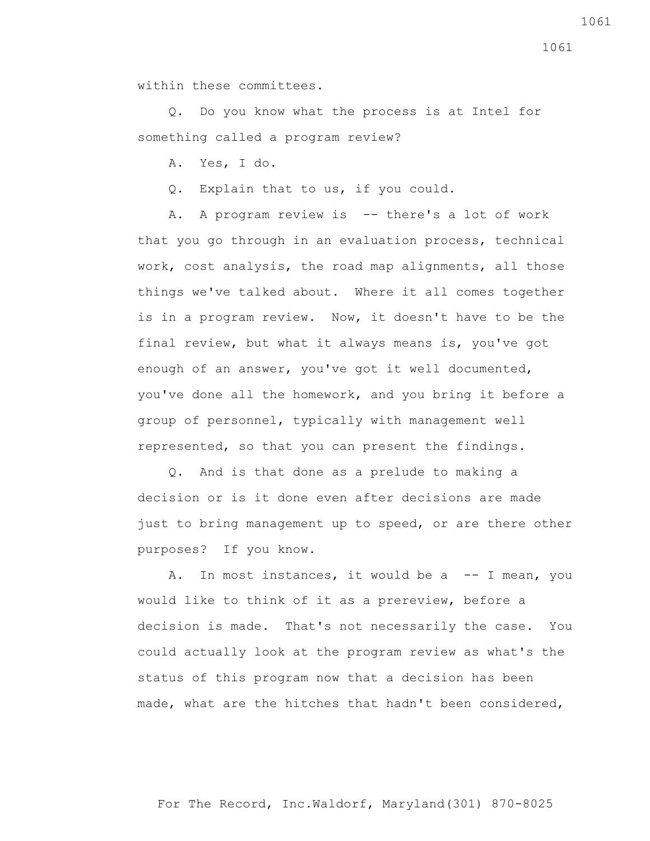within these committees.

 Q. Do you know what the process is at Intel for something called a program review?

A. Yes, I do.

Q. Explain that to us, if you could.

A. A program review is -- there's a lot of work that you go through in an evaluation process, technical work, cost analysis, the road map alignments, all those things we've talked about. Where it all comes together is in a program review. Now, it doesn't have to be the final review, but what it always means is, you've got enough of an answer, you've got it well documented, you've done all the homework, and you bring it before a group of personnel, typically with management well represented, so that you can present the findings.

 Q. And is that done as a prelude to making a decision or is it done even after decisions are made just to bring management up to speed, or are there other purposes? If you know.

A. In most instances, it would be a -- I mean, you would like to think of it as a prereview, before a decision is made. That's not necessarily the case. You could actually look at the program review as what's the status of this program now that a decision has been made, what are the hitches that hadn't been considered,

1061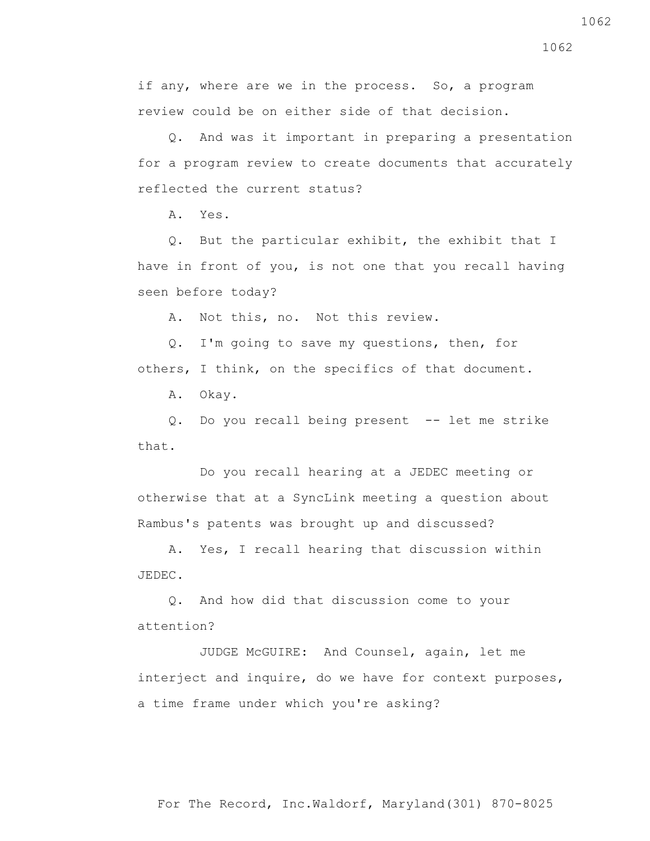if any, where are we in the process. So, a program review could be on either side of that decision.

 Q. And was it important in preparing a presentation for a program review to create documents that accurately reflected the current status?

A. Yes.

 Q. But the particular exhibit, the exhibit that I have in front of you, is not one that you recall having seen before today?

A. Not this, no. Not this review.

 Q. I'm going to save my questions, then, for others, I think, on the specifics of that document.

A. Okay.

 Q. Do you recall being present -- let me strike that.

 Do you recall hearing at a JEDEC meeting or otherwise that at a SyncLink meeting a question about Rambus's patents was brought up and discussed?

 A. Yes, I recall hearing that discussion within JEDEC.

 Q. And how did that discussion come to your attention?

 JUDGE McGUIRE: And Counsel, again, let me interject and inquire, do we have for context purposes, a time frame under which you're asking?

1062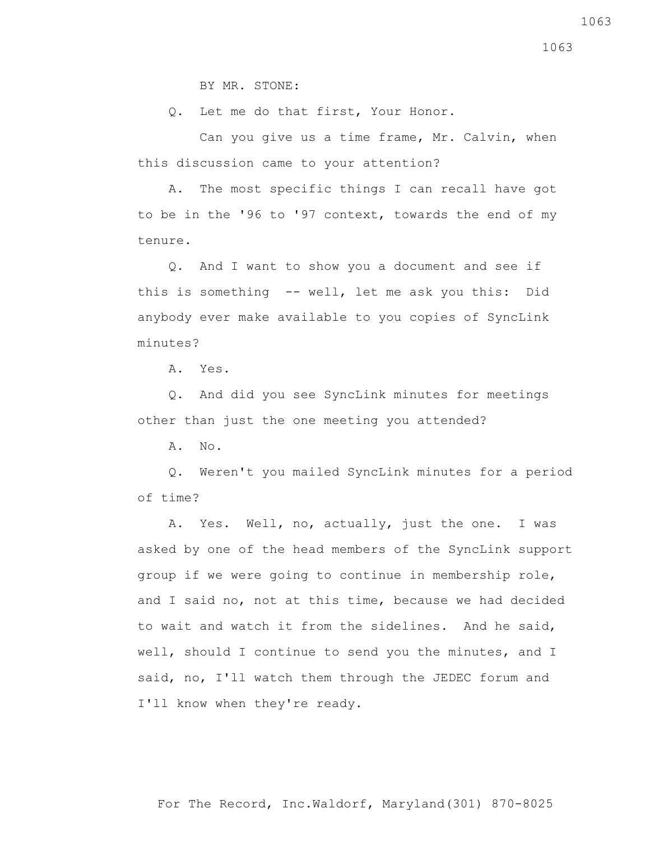BY MR. STONE:

Q. Let me do that first, Your Honor.

 Can you give us a time frame, Mr. Calvin, when this discussion came to your attention?

 A. The most specific things I can recall have got to be in the '96 to '97 context, towards the end of my tenure.

 Q. And I want to show you a document and see if this is something -- well, let me ask you this: Did anybody ever make available to you copies of SyncLink minutes?

A. Yes.

 Q. And did you see SyncLink minutes for meetings other than just the one meeting you attended?

A. No.

 Q. Weren't you mailed SyncLink minutes for a period of time?

 A. Yes. Well, no, actually, just the one. I was asked by one of the head members of the SyncLink support group if we were going to continue in membership role, and I said no, not at this time, because we had decided to wait and watch it from the sidelines. And he said, well, should I continue to send you the minutes, and I said, no, I'll watch them through the JEDEC forum and I'll know when they're ready.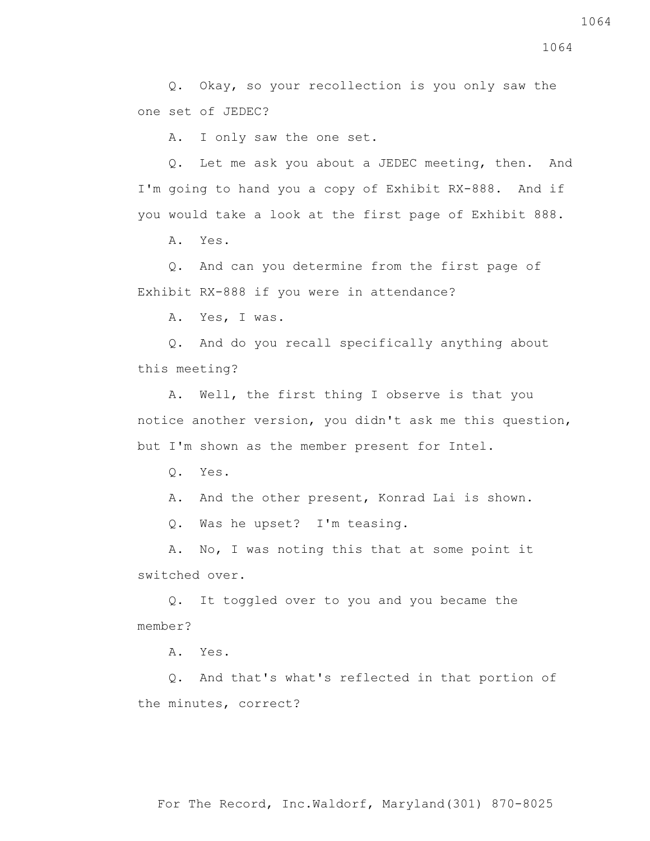Q. Okay, so your recollection is you only saw the one set of JEDEC?

A. I only saw the one set.

 Q. Let me ask you about a JEDEC meeting, then. And I'm going to hand you a copy of Exhibit RX-888. And if you would take a look at the first page of Exhibit 888.

A. Yes.

 Q. And can you determine from the first page of Exhibit RX-888 if you were in attendance?

A. Yes, I was.

 Q. And do you recall specifically anything about this meeting?

 A. Well, the first thing I observe is that you notice another version, you didn't ask me this question, but I'm shown as the member present for Intel.

Q. Yes.

A. And the other present, Konrad Lai is shown.

Q. Was he upset? I'm teasing.

 A. No, I was noting this that at some point it switched over.

 Q. It toggled over to you and you became the member?

A. Yes.

 Q. And that's what's reflected in that portion of the minutes, correct?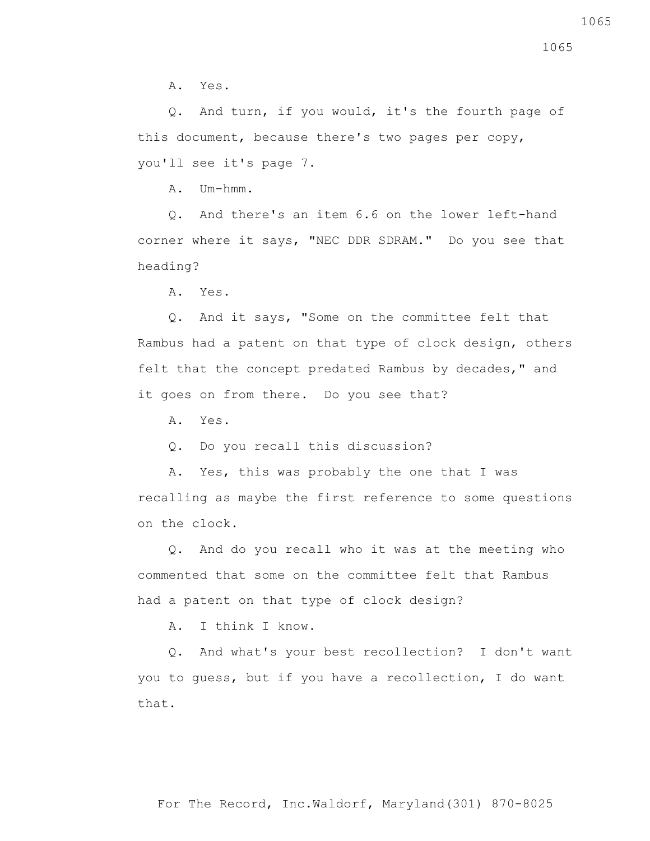A. Yes.

 Q. And turn, if you would, it's the fourth page of this document, because there's two pages per copy, you'll see it's page 7.

A. Um-hmm.

 Q. And there's an item 6.6 on the lower left-hand corner where it says, "NEC DDR SDRAM." Do you see that heading?

A. Yes.

 Q. And it says, "Some on the committee felt that Rambus had a patent on that type of clock design, others felt that the concept predated Rambus by decades," and it goes on from there. Do you see that?

A. Yes.

Q. Do you recall this discussion?

 A. Yes, this was probably the one that I was recalling as maybe the first reference to some questions on the clock.

 Q. And do you recall who it was at the meeting who commented that some on the committee felt that Rambus had a patent on that type of clock design?

A. I think I know.

 Q. And what's your best recollection? I don't want you to guess, but if you have a recollection, I do want that.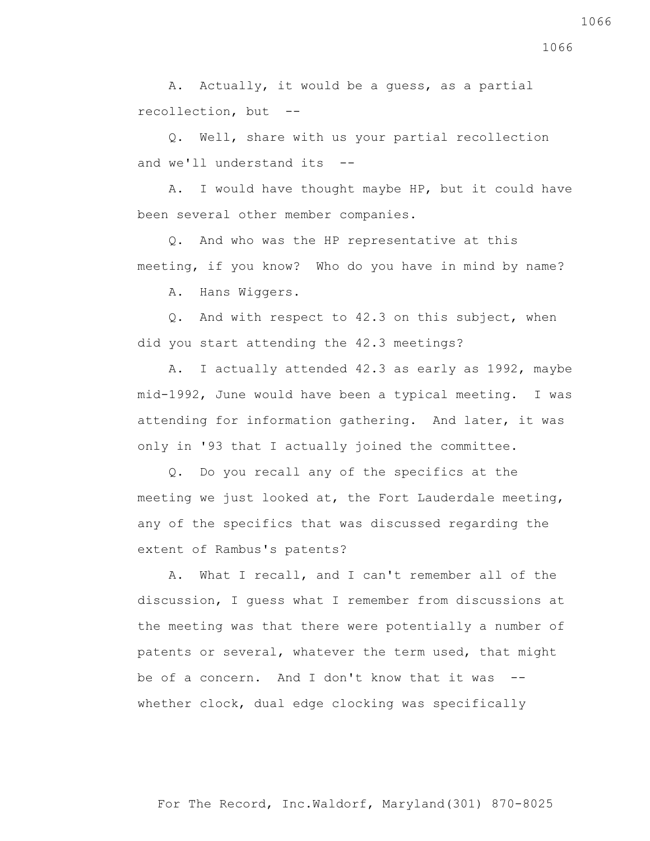A. Actually, it would be a guess, as a partial recollection, but --

 Q. Well, share with us your partial recollection and we'll understand its --

 A. I would have thought maybe HP, but it could have been several other member companies.

 Q. And who was the HP representative at this meeting, if you know? Who do you have in mind by name?

A. Hans Wiggers.

 Q. And with respect to 42.3 on this subject, when did you start attending the 42.3 meetings?

 A. I actually attended 42.3 as early as 1992, maybe mid-1992, June would have been a typical meeting. I was attending for information gathering. And later, it was only in '93 that I actually joined the committee.

 Q. Do you recall any of the specifics at the meeting we just looked at, the Fort Lauderdale meeting, any of the specifics that was discussed regarding the extent of Rambus's patents?

 A. What I recall, and I can't remember all of the discussion, I guess what I remember from discussions at the meeting was that there were potentially a number of patents or several, whatever the term used, that might be of a concern. And I don't know that it was -whether clock, dual edge clocking was specifically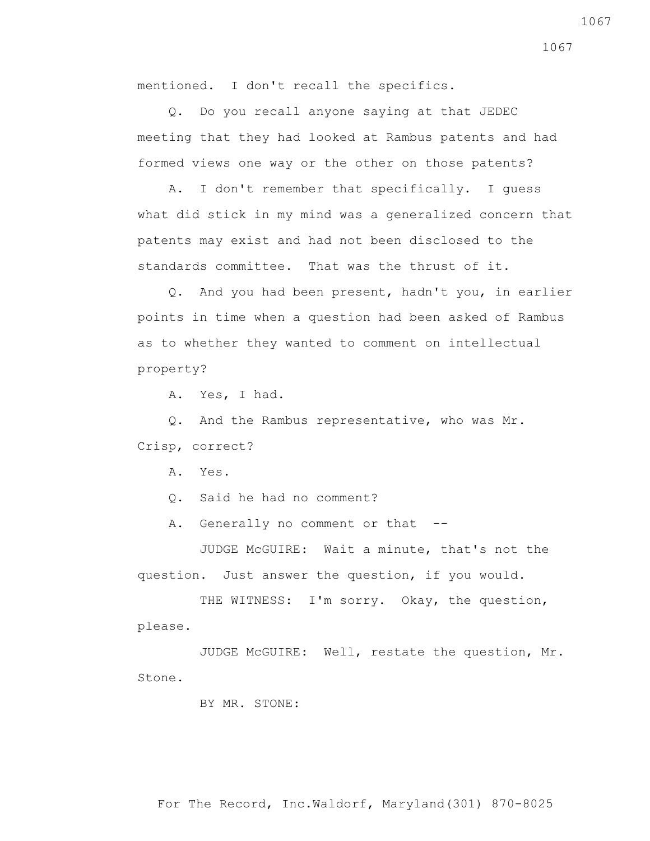mentioned. I don't recall the specifics.

 Q. Do you recall anyone saying at that JEDEC meeting that they had looked at Rambus patents and had formed views one way or the other on those patents?

 A. I don't remember that specifically. I guess what did stick in my mind was a generalized concern that patents may exist and had not been disclosed to the standards committee. That was the thrust of it.

 Q. And you had been present, hadn't you, in earlier points in time when a question had been asked of Rambus as to whether they wanted to comment on intellectual property?

A. Yes, I had.

 Q. And the Rambus representative, who was Mr. Crisp, correct?

A. Yes.

Q. Said he had no comment?

A. Generally no comment or that --

 JUDGE McGUIRE: Wait a minute, that's not the question. Just answer the question, if you would.

THE WITNESS: I'm sorry. Okay, the question, please.

 JUDGE McGUIRE: Well, restate the question, Mr. Stone.

## BY MR. STONE:

For The Record, Inc.Waldorf, Maryland(301) 870-8025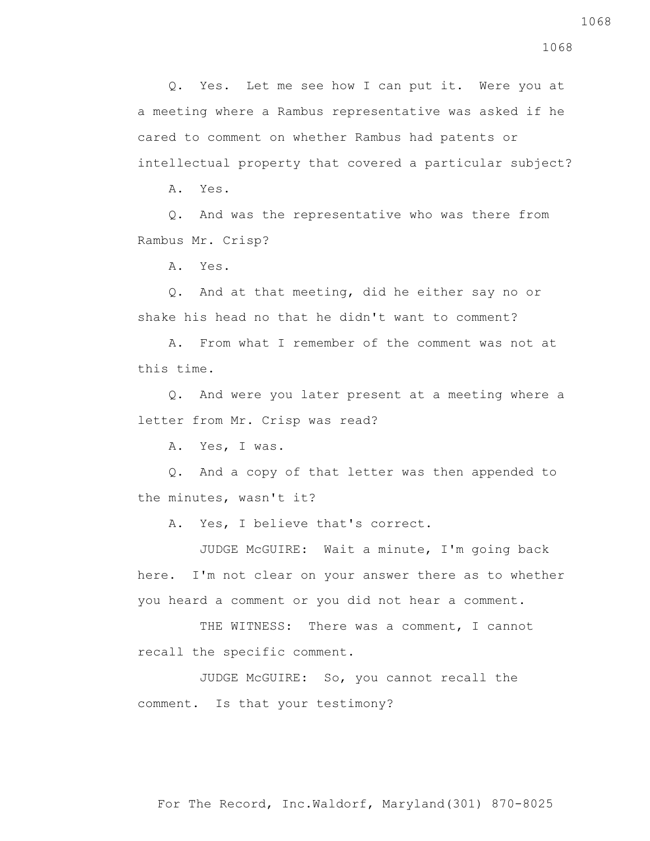Q. Yes. Let me see how I can put it. Were you at a meeting where a Rambus representative was asked if he cared to comment on whether Rambus had patents or intellectual property that covered a particular subject?

A. Yes.

 Q. And was the representative who was there from Rambus Mr. Crisp?

A. Yes.

 Q. And at that meeting, did he either say no or shake his head no that he didn't want to comment?

 A. From what I remember of the comment was not at this time.

 Q. And were you later present at a meeting where a letter from Mr. Crisp was read?

A. Yes, I was.

 Q. And a copy of that letter was then appended to the minutes, wasn't it?

A. Yes, I believe that's correct.

 JUDGE McGUIRE: Wait a minute, I'm going back here. I'm not clear on your answer there as to whether you heard a comment or you did not hear a comment.

THE WITNESS: There was a comment, I cannot recall the specific comment.

 JUDGE McGUIRE: So, you cannot recall the comment. Is that your testimony?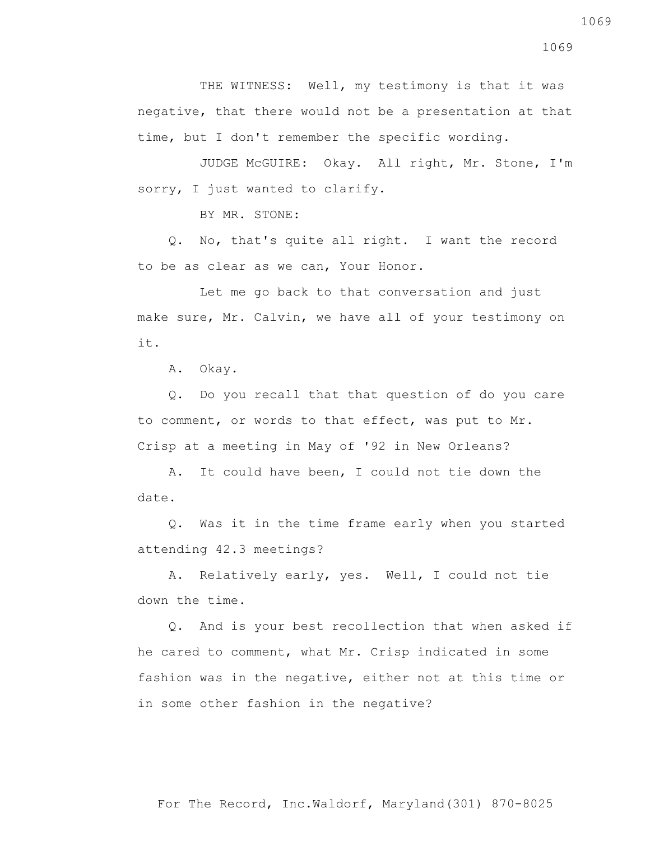THE WITNESS: Well, my testimony is that it was negative, that there would not be a presentation at that time, but I don't remember the specific wording.

 JUDGE McGUIRE: Okay. All right, Mr. Stone, I'm sorry, I just wanted to clarify.

BY MR. STONE:

 Q. No, that's quite all right. I want the record to be as clear as we can, Your Honor.

 Let me go back to that conversation and just make sure, Mr. Calvin, we have all of your testimony on it.

A. Okay.

 Q. Do you recall that that question of do you care to comment, or words to that effect, was put to Mr. Crisp at a meeting in May of '92 in New Orleans?

 A. It could have been, I could not tie down the date.

 Q. Was it in the time frame early when you started attending 42.3 meetings?

 A. Relatively early, yes. Well, I could not tie down the time.

 Q. And is your best recollection that when asked if he cared to comment, what Mr. Crisp indicated in some fashion was in the negative, either not at this time or in some other fashion in the negative?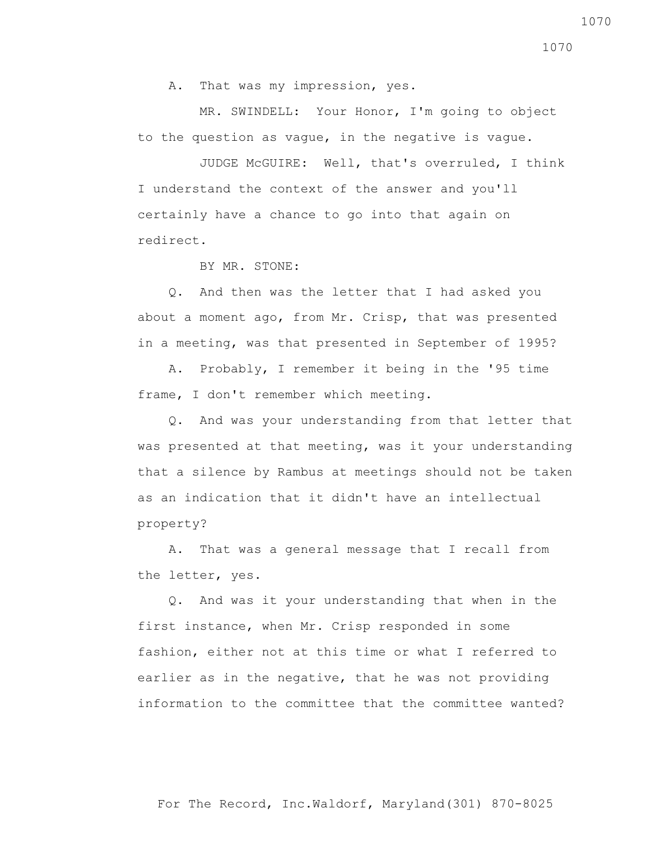A. That was my impression, yes.

 MR. SWINDELL: Your Honor, I'm going to object to the question as vague, in the negative is vague.

 JUDGE McGUIRE: Well, that's overruled, I think I understand the context of the answer and you'll certainly have a chance to go into that again on redirect.

BY MR. STONE:

 Q. And then was the letter that I had asked you about a moment ago, from Mr. Crisp, that was presented in a meeting, was that presented in September of 1995?

 A. Probably, I remember it being in the '95 time frame, I don't remember which meeting.

 Q. And was your understanding from that letter that was presented at that meeting, was it your understanding that a silence by Rambus at meetings should not be taken as an indication that it didn't have an intellectual property?

 A. That was a general message that I recall from the letter, yes.

 Q. And was it your understanding that when in the first instance, when Mr. Crisp responded in some fashion, either not at this time or what I referred to earlier as in the negative, that he was not providing information to the committee that the committee wanted?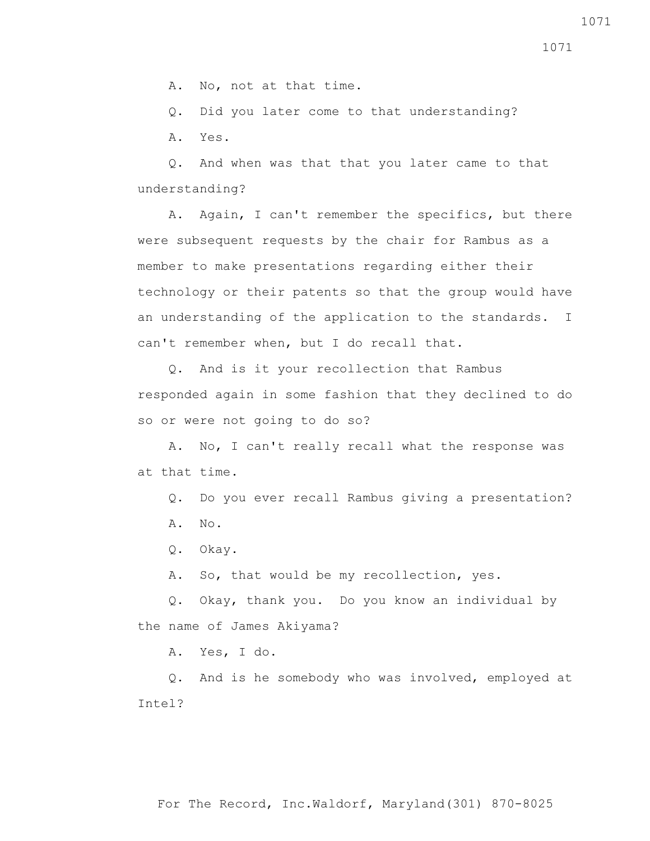A. No, not at that time.

Q. Did you later come to that understanding?

A. Yes.

 Q. And when was that that you later came to that understanding?

 A. Again, I can't remember the specifics, but there were subsequent requests by the chair for Rambus as a member to make presentations regarding either their technology or their patents so that the group would have an understanding of the application to the standards. I can't remember when, but I do recall that.

 Q. And is it your recollection that Rambus responded again in some fashion that they declined to do so or were not going to do so?

 A. No, I can't really recall what the response was at that time.

 Q. Do you ever recall Rambus giving a presentation? A. No.

Q. Okay.

A. So, that would be my recollection, yes.

 Q. Okay, thank you. Do you know an individual by the name of James Akiyama?

A. Yes, I do.

 Q. And is he somebody who was involved, employed at Intel?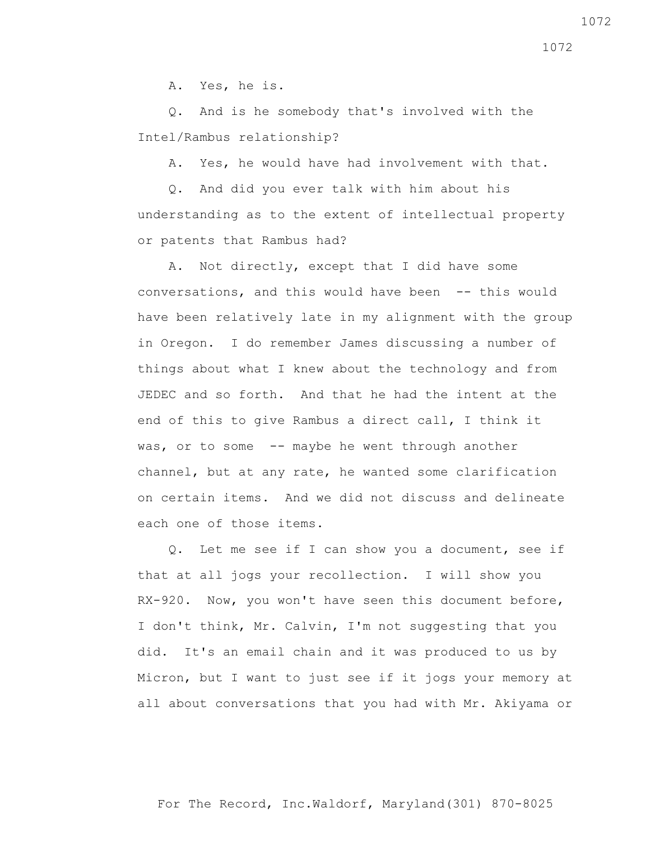A. Yes, he is.

 Q. And is he somebody that's involved with the Intel/Rambus relationship?

A. Yes, he would have had involvement with that.

 Q. And did you ever talk with him about his understanding as to the extent of intellectual property or patents that Rambus had?

 A. Not directly, except that I did have some conversations, and this would have been -- this would have been relatively late in my alignment with the group in Oregon. I do remember James discussing a number of things about what I knew about the technology and from JEDEC and so forth. And that he had the intent at the end of this to give Rambus a direct call, I think it was, or to some -- maybe he went through another channel, but at any rate, he wanted some clarification on certain items. And we did not discuss and delineate each one of those items.

 Q. Let me see if I can show you a document, see if that at all jogs your recollection. I will show you RX-920. Now, you won't have seen this document before, I don't think, Mr. Calvin, I'm not suggesting that you did. It's an email chain and it was produced to us by Micron, but I want to just see if it jogs your memory at all about conversations that you had with Mr. Akiyama or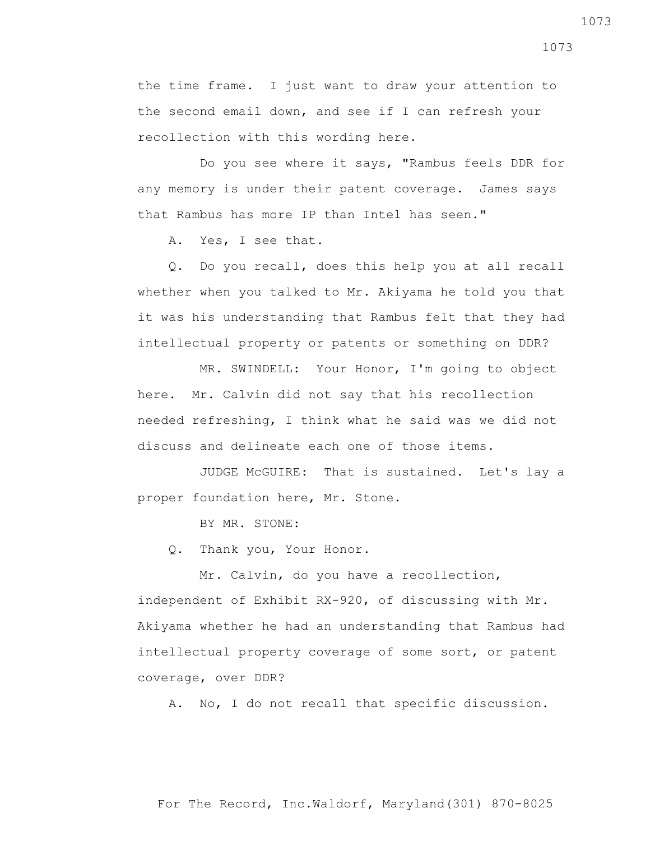the time frame. I just want to draw your attention to the second email down, and see if I can refresh your recollection with this wording here.

 Do you see where it says, "Rambus feels DDR for any memory is under their patent coverage. James says that Rambus has more IP than Intel has seen."

A. Yes, I see that.

 Q. Do you recall, does this help you at all recall whether when you talked to Mr. Akiyama he told you that it was his understanding that Rambus felt that they had intellectual property or patents or something on DDR?

 MR. SWINDELL: Your Honor, I'm going to object here. Mr. Calvin did not say that his recollection needed refreshing, I think what he said was we did not discuss and delineate each one of those items.

 JUDGE McGUIRE: That is sustained. Let's lay a proper foundation here, Mr. Stone.

BY MR. STONE:

Q. Thank you, Your Honor.

Mr. Calvin, do you have a recollection, independent of Exhibit RX-920, of discussing with Mr. Akiyama whether he had an understanding that Rambus had intellectual property coverage of some sort, or patent coverage, over DDR?

A. No, I do not recall that specific discussion.

1073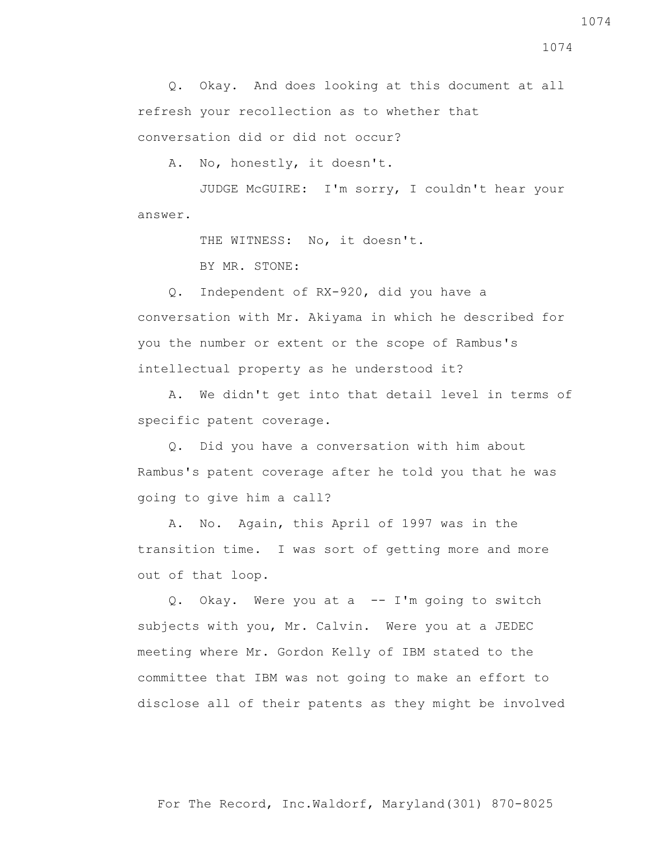1074

 Q. Okay. And does looking at this document at all refresh your recollection as to whether that conversation did or did not occur?

A. No, honestly, it doesn't.

 JUDGE McGUIRE: I'm sorry, I couldn't hear your answer.

THE WITNESS: No, it doesn't.

BY MR. STONE:

 Q. Independent of RX-920, did you have a conversation with Mr. Akiyama in which he described for you the number or extent or the scope of Rambus's intellectual property as he understood it?

 A. We didn't get into that detail level in terms of specific patent coverage.

 Q. Did you have a conversation with him about Rambus's patent coverage after he told you that he was going to give him a call?

 A. No. Again, this April of 1997 was in the transition time. I was sort of getting more and more out of that loop.

 Q. Okay. Were you at a -- I'm going to switch subjects with you, Mr. Calvin. Were you at a JEDEC meeting where Mr. Gordon Kelly of IBM stated to the committee that IBM was not going to make an effort to disclose all of their patents as they might be involved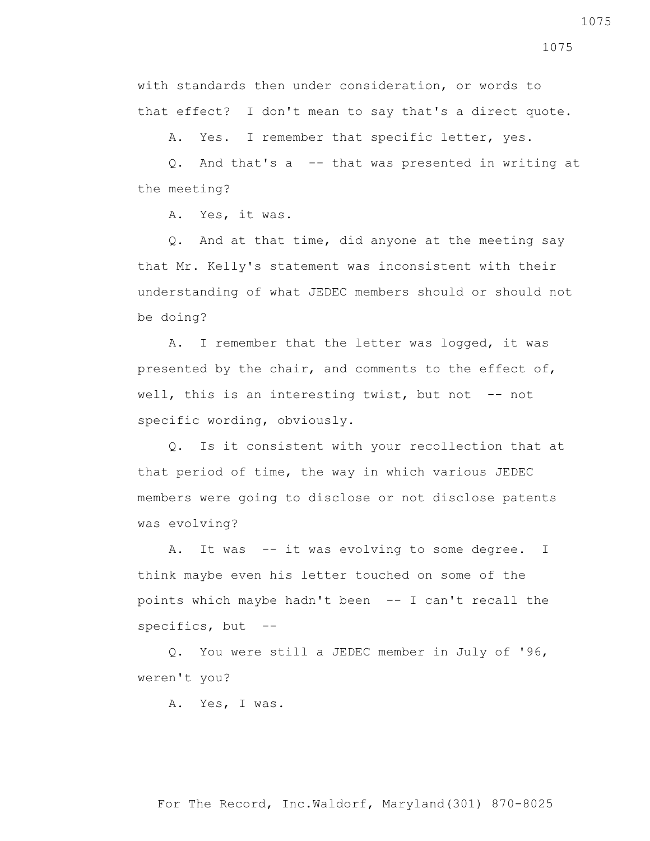with standards then under consideration, or words to that effect? I don't mean to say that's a direct quote.

A. Yes. I remember that specific letter, yes.

 Q. And that's a -- that was presented in writing at the meeting?

A. Yes, it was.

 Q. And at that time, did anyone at the meeting say that Mr. Kelly's statement was inconsistent with their understanding of what JEDEC members should or should not be doing?

 A. I remember that the letter was logged, it was presented by the chair, and comments to the effect of, well, this is an interesting twist, but not -- not specific wording, obviously.

 Q. Is it consistent with your recollection that at that period of time, the way in which various JEDEC members were going to disclose or not disclose patents was evolving?

A. It was -- it was evolving to some degree. I think maybe even his letter touched on some of the points which maybe hadn't been -- I can't recall the specifics, but --

 Q. You were still a JEDEC member in July of '96, weren't you?

A. Yes, I was.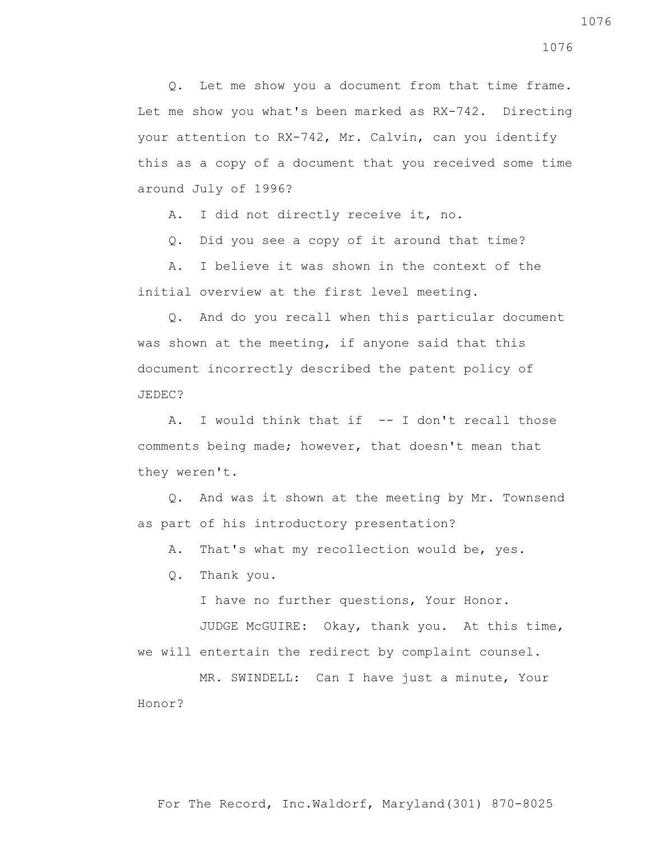Q. Let me show you a document from that time frame. Let me show you what's been marked as RX-742. Directing your attention to RX-742, Mr. Calvin, can you identify this as a copy of a document that you received some time around July of 1996?

A. I did not directly receive it, no.

Q. Did you see a copy of it around that time?

 A. I believe it was shown in the context of the initial overview at the first level meeting.

 Q. And do you recall when this particular document was shown at the meeting, if anyone said that this document incorrectly described the patent policy of JEDEC?

A. I would think that if -- I don't recall those comments being made; however, that doesn't mean that they weren't.

 Q. And was it shown at the meeting by Mr. Townsend as part of his introductory presentation?

A. That's what my recollection would be, yes.

Q. Thank you.

I have no further questions, Your Honor.

 JUDGE McGUIRE: Okay, thank you. At this time, we will entertain the redirect by complaint counsel.

 MR. SWINDELL: Can I have just a minute, Your Honor?

1076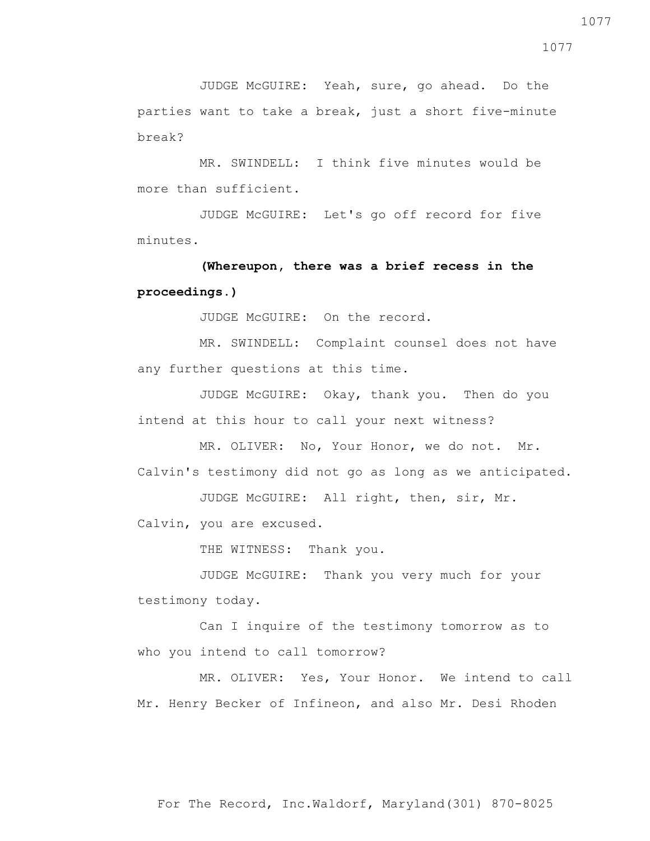JUDGE McGUIRE: Yeah, sure, go ahead. Do the parties want to take a break, just a short five-minute break?

 MR. SWINDELL: I think five minutes would be more than sufficient.

 JUDGE McGUIRE: Let's go off record for five minutes.

 **(Whereupon, there was a brief recess in the proceedings.)**

JUDGE McGUIRE: On the record.

 MR. SWINDELL: Complaint counsel does not have any further questions at this time.

 JUDGE McGUIRE: Okay, thank you. Then do you intend at this hour to call your next witness?

MR. OLIVER: No, Your Honor, we do not. Mr. Calvin's testimony did not go as long as we anticipated.

 JUDGE McGUIRE: All right, then, sir, Mr. Calvin, you are excused.

THE WITNESS: Thank you.

 JUDGE McGUIRE: Thank you very much for your testimony today.

 Can I inquire of the testimony tomorrow as to who you intend to call tomorrow?

 MR. OLIVER: Yes, Your Honor. We intend to call Mr. Henry Becker of Infineon, and also Mr. Desi Rhoden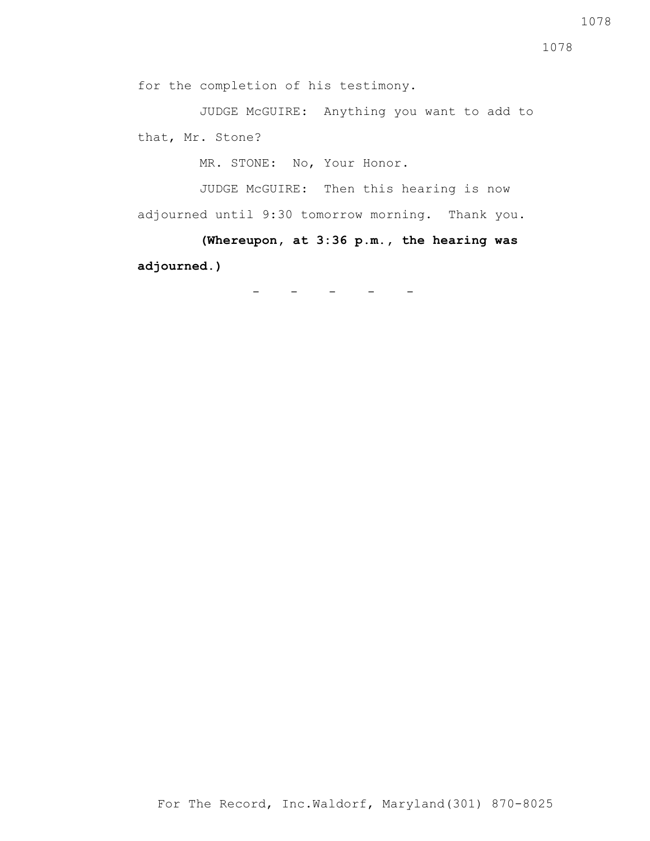for the completion of his testimony.

 JUDGE McGUIRE: Anything you want to add to that, Mr. Stone?

MR. STONE: No, Your Honor.

 JUDGE McGUIRE: Then this hearing is now adjourned until 9:30 tomorrow morning. Thank you.

 **(Whereupon, at 3:36 p.m., the hearing was adjourned.)**

- - - - -